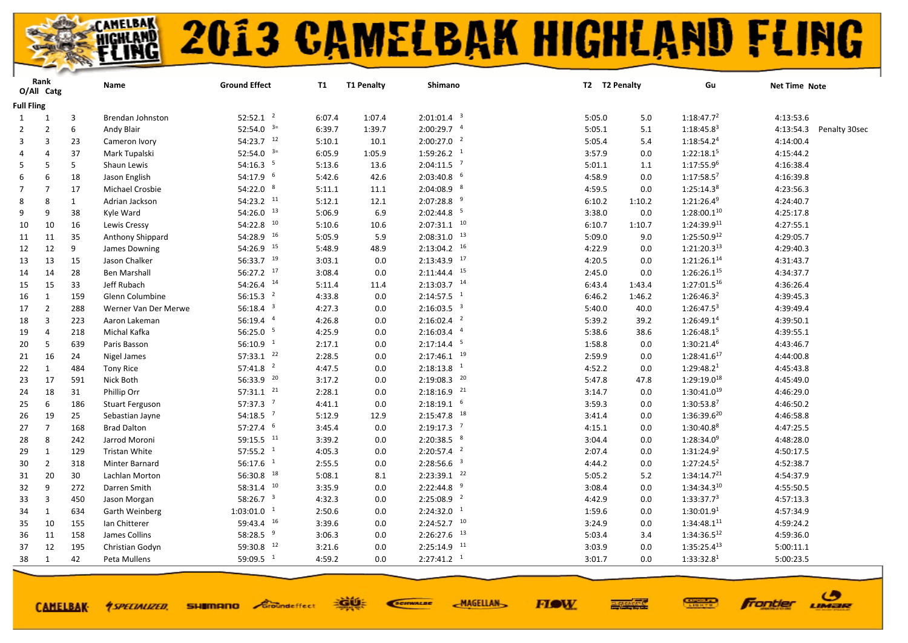

# **2013 CAMELBAK HIGHLAND FLING**

|                   | Rank<br>O/All Catg |              | Name                   | <b>Ground Effect</b>     | <b>T1</b> | <b>T1 Penalty</b> | Shimano                   | T2 T2 Penalty | Gu                               | Net Time Note              |
|-------------------|--------------------|--------------|------------------------|--------------------------|-----------|-------------------|---------------------------|---------------|----------------------------------|----------------------------|
| <b>Full Fling</b> |                    |              |                        |                          |           |                   |                           |               |                                  |                            |
| 1                 | 1                  | 3            | Brendan Johnston       | $52:52.1$ <sup>2</sup>   | 6:07.4    | 1:07.4            | $2:01:01.4$ <sup>3</sup>  | 5:05.0        | 1:18:47.7 <sup>2</sup><br>5.0    | 4:13:53.6                  |
| $\overline{2}$    | $\overline{2}$     | 6            | Andy Blair             | 52:54.0 $3=$             | 6:39.7    | 1:39.7            | $2:00:29.7$ <sup>4</sup>  | 5:05.1        | $5.1\,$<br>$1:18:45.8^3$         | 4:13:54.3<br>Penalty 30sec |
| 3                 | 3                  | 23           | Cameron Ivory          | $54:23.7$ <sup>12</sup>  | 5:10.1    | 10.1              | $2:00:27.0$ <sup>2</sup>  | 5:05.4        | 1:18:54.2 <sup>4</sup><br>5.4    | 4:14:00.4                  |
| 4                 | 4                  | 37           | Mark Tupalski          | 52:54.0 $3=$             | 6:05.9    | 1:05.9            | $1:59:26.2$ <sup>1</sup>  | 3:57.9        | 1:22:18.1 <sup>5</sup><br>0.0    | 4:15:44.2                  |
| 5                 | -5                 | 5            | Shaun Lewis            | 54:16.3 <sup>5</sup>     | 5:13.6    | 13.6              | $2:04:11.5$ <sup>7</sup>  | 5:01.1        | 1:17:55.9 <sup>6</sup><br>1.1    | 4:16:38.4                  |
| 6                 | 6                  | 18           | Jason English          | $54:17.9$ <sup>6</sup>   | 5:42.6    | 42.6              | $2:03:40.8$ 6             | 4:58.9        | $1:17:58.5^7$<br>0.0             | 4:16:39.8                  |
| $\overline{7}$    | $\overline{7}$     | 17           | Michael Crosbie        | 54:22.0 8                | 5:11.1    | 11.1              | $2:04:08.9$ <sup>8</sup>  | 4:59.5        | 1:25:14.3 <sup>8</sup><br>0.0    | 4:23:56.3                  |
| 8                 | $\mathbf{8}$       | $\mathbf{1}$ | Adrian Jackson         | 54:23.2 11               | 5:12.1    | 12.1              | $2:07:28.8$ <sup>9</sup>  | 6:10.2        | $1:21:26.4^9$<br>1:10.2          | 4:24:40.7                  |
| 9                 | 9                  | 38           | Kyle Ward              | $54:26.0$ $13$           | 5:06.9    | 6.9               | $2:02:44.8$ <sup>5</sup>  | 3:38.0        | $1:28:00.1^{10}$<br>0.0          | 4:25:17.8                  |
| 10                | 10                 | 16           | Lewis Cressy           | $54:22.8$ $^{10}$        | 5:10.6    | 10.6              | $2:07:31.1$ <sup>10</sup> | 6:10.7        | $1:24:39.9^{11}$<br>1:10.7       | 4:27:55.1                  |
| 11                | 11                 | 35           | Anthony Shippard       | 54:28.9 16               | 5:05.9    | 5.9               | $2:08:31.0$ $13$          | 5:09.0        | $1:25:50.9^{12}$<br>9.0          | 4:29:05.7                  |
| 12                | 12                 | 9            | James Downing          | 54:26.9 15               | 5:48.9    | 48.9              | $2:13:04.2$ <sup>16</sup> | 4:22.9        | $1:21:20.3^{13}$<br>0.0          | 4:29:40.3                  |
| 13                | 13                 | 15           | Jason Chalker          | 56:33.7 19               | 3:03.1    | 0.0               | $2:13:43.9$ $17$          | 4:20.5        | 1:21:26.1 <sup>14</sup><br>0.0   | 4:31:43.7                  |
| 14                | 14                 | 28           | <b>Ben Marshall</b>    | $56:27.2$ $17$           | 3:08.4    | 0.0               | $2:11:44.4$ <sup>15</sup> | 2:45.0        | $1:26:26.1^{15}$<br>0.0          | 4:34:37.7                  |
| 15                | 15                 | 33           | Jeff Rubach            | 54:26.4 14               | 5:11.4    | 11.4              | $2:13:03.7$ 14            | 6:43.4        | 1:27:01.516<br>1:43.4            | 4:36:26.4                  |
| 16                | $\mathbf{1}$       | 159          | Glenn Columbine        | 56:15.3 <sup>2</sup>     | 4:33.8    | 0.0               | $2:14:57.5$ <sup>1</sup>  | 6:46.2        | 1:26:46.3 <sup>2</sup><br>1:46.2 | 4:39:45.3                  |
| 17                | $\overline{2}$     | 288          | Werner Van Der Merwe   | $56:18.4$ <sup>3</sup>   | 4:27.3    | 0.0               | 2:16:03.5 <sup>3</sup>    | 5:40.0        | $1:26:47.5^3$<br>40.0            | 4:39:49.4                  |
| 18                | 3                  | 223          | Aaron Lakeman          | $56:19.4$ <sup>4</sup>   | 4:26.8    | 0.0               | $2:16:02.4$ <sup>2</sup>  | 5:39.2        | 1:26:49.1 <sup>4</sup><br>39.2   | 4:39:50.1                  |
| 19                | 4                  | 218          | Michal Kafka           | 56:25.0 5                | 4:25.9    | 0.0               | $2:16:03.4$ <sup>4</sup>  | 5:38.6        | 1:26:48.15<br>38.6               | 4:39:55.1                  |
| 20                | -5                 | 639          | Paris Basson           | 56:10.9 <sup>1</sup>     | 2:17.1    | 0.0               | $2:17:14.4$ <sup>5</sup>  | 1:58.8        | 1:30:21.4 <sup>6</sup><br>0.0    | 4:43:46.7                  |
| 21                | 16                 | 24           | Nigel James            | $57:33.1$ $22$           | 2:28.5    | 0.0               | $2:17:46.1$ <sup>19</sup> | 2:59.9        | 1:28:41.617<br>0.0               | 4:44:00.8                  |
| 22                | $\mathbf{1}$       | 484          | <b>Tony Rice</b>       | $57:41.8$ <sup>2</sup>   | 4:47.5    | 0.0               | $2:18:13.8$ <sup>1</sup>  | 4:52.2        | 1:29:48.2 <sup>1</sup><br>0.0    | 4:45:43.8                  |
| 23                | 17                 | 591          | Nick Both              | 56:33.9 20               | 3:17.2    | 0.0               | $2:19:08.3$ $20$          | 5:47.8        | 1:29:19.018<br>47.8              | 4:45:49.0                  |
| 24                | 18                 | 31           | Phillip Orr            | $57:31.1$ $^{21}$        | 2:28.1    | 0.0               | $2:18:16.9$ <sup>21</sup> | 3:14.7        | $1:30:41.0^{19}$<br>0.0          | 4:46:29.0                  |
| 25                | 6                  | 186          | <b>Stuart Ferguson</b> | $57:37.3$ <sup>7</sup>   | 4:41.1    | 0.0               | $2:18:19.1$ 6             | 3:59.3        | 1:30:53.87<br>0.0                | 4:46:50.2                  |
| 26                | 19                 | 25           | Sebastian Jayne        | $54:18.5$ <sup>7</sup>   | 5:12.9    | 12.9              | $2:15:47.8$ <sup>18</sup> | 3:41.4        | $1:36:39.6^{20}$<br>0.0          | 4:46:58.8                  |
| 27                | $\overline{7}$     | 168          | <b>Brad Dalton</b>     | $57:27.4$ <sup>6</sup>   | 3:45.4    | 0.0               | $2:19:17.3$ <sup>7</sup>  | 4:15.1        | 1:30:40.8 <sup>8</sup><br>0.0    | 4:47:25.5                  |
| 28                | 8                  | 242          | Jarrod Moroni          | 59:15.5 11               | 3:39.2    | 0.0               | $2:20:38.5$ $8$           | 3:04.4        | $1:28:34.0^9$<br>0.0             | 4:48:28.0                  |
| 29                | 1                  | 129          | Tristan White          | 57:55.2 <sup>1</sup>     | 4:05.3    | 0.0               | $2:20:57.4$ <sup>2</sup>  | 2:07.4        | 1:31:24.9 <sup>2</sup><br>0.0    | 4:50:17.5                  |
| 30                | $\overline{2}$     | 318          | Minter Barnard         | $56:17.6$ <sup>1</sup>   | 2:55.5    | 0.0               | $2:28:56.6$ <sup>3</sup>  | 4:44.2        | $1:27:24.5^2$<br>0.0             | 4:52:38.7                  |
| 31                | 20                 | 30           | Lachlan Morton         | $56:30.8$ <sup>18</sup>  | 5:08.1    | 8.1               | $2:23:39.1$ $22$          | 5:05.2        | 1:34:14.7 <sup>21</sup><br>5.2   | 4:54:37.9                  |
| 32                | 9                  | 272          | Darren Smith           | 58:31.4 10               | 3:35.9    | 0.0               | $2:22:44.8$ <sup>9</sup>  | 3:08.4        | 1:34:34.310<br>0.0               | 4:55:50.5                  |
| 33                | 3                  | 450          | Jason Morgan           | 58:26.7 $3$              | 4:32.3    | 0.0               | $2:25:08.9$ <sup>2</sup>  | 4:42.9        | 1:33:37.7 <sup>3</sup><br>0.0    | 4:57:13.3                  |
| 34                | 1                  | 634          | Garth Weinberg         | $1:03:01.0$ <sup>1</sup> | 2:50.6    | 0.0               | $2:24:32.0-1$             | 1:59.6        | 1:30:01.9 <sup>1</sup><br>0.0    | 4:57:34.9                  |
| 35                | 10                 | 155          | Ian Chitterer          | 59:43.4 16               | 3:39.6    | 0.0               | $2:24:52.7$ <sup>10</sup> | 3:24.9        | $1:34:48.1^{11}$<br>0.0          | 4:59:24.2                  |
| 36                | 11                 | 158          | James Collins          | 58:28.5 <sup>9</sup>     | 3:06.3    | 0.0               | $2:26:27.6$ $13$          | 5:03.4        | $1:34:36.5^{12}$<br>3.4          | 4:59:36.0                  |
| 37                | 12                 | 195          | Christian Godyn        | 59:30.8 12               | 3:21.6    | 0.0               | $2:25:14.9$ <sup>11</sup> | 3:03.9        | $1:35:25.4^{13}$<br>0.0          | 5:00:11.1                  |
| 38                | 1                  | 42           | Peta Mullens           | 59:09.5 $1$              | 4:59.2    | 0.0               | $2:27:41.2$ <sup>1</sup>  | 3:01.7        | 1:33:32.8 <sup>1</sup><br>0.0    | 5:00:23.5                  |
|                   |                    |              |                        |                          |           |                   |                           |               |                                  |                            |

**CAMELBAK-**

*<u>ASPECIALIZED.</u>* 

**SHIMANO** Groundeffect

EGUE SCIENALDE **MAGELLAN** 



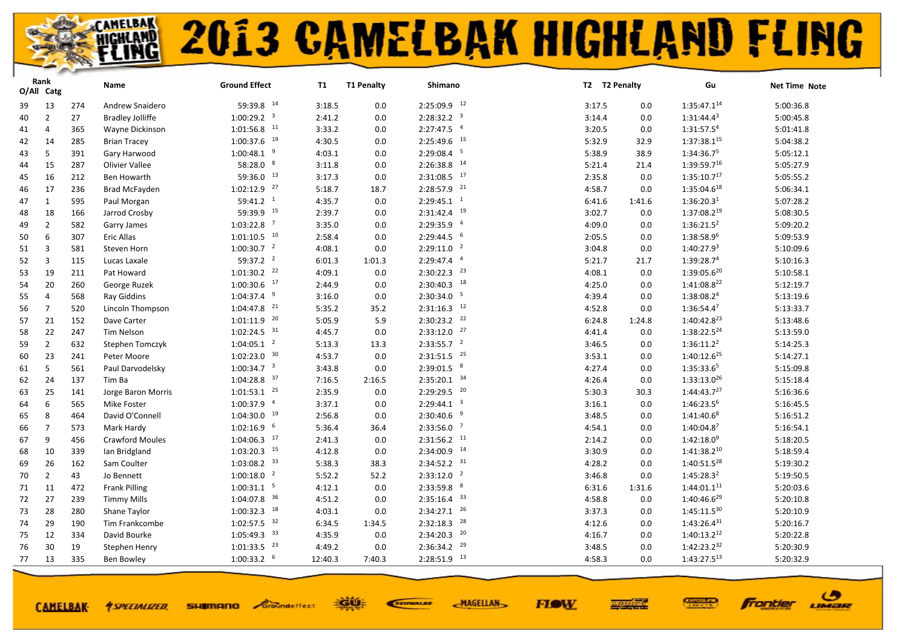| 59:39.8 14<br>2:25:09.9 12<br>1:35:47.114<br>13<br>5:00:36.8<br>274<br>Andrew Snaidero<br>3:18.5<br>0.0<br>3:17.5<br>39<br>0.0<br>$1:00:29.2$ <sup>3</sup><br>$2:28:32.2$ <sup>3</sup><br>$1:31:44.4^{3}$<br>$\overline{2}$<br>27<br><b>Bradley Jolliffe</b><br>2:41.2<br>0.0<br>0.0<br>5:00:45.8<br>40<br>3:14.4<br>$1:01:56.8$ <sup>11</sup><br>$2:27:47.5$ <sup>4</sup><br>1:31:57.54<br>3:33.2<br>5:01:41.8<br>$\overline{4}$<br>365<br>Wayne Dickinson<br>0.0<br>3:20.5<br>0.0<br>41<br>$2:25:49.6$ <sup>15</sup><br>$1:00:37.6$ <sup>19</sup><br>$1:37:38.1^{15}$<br>4:30.5<br>5:04:38.2<br>5:32.9<br>42<br>14<br>285<br><b>Brian Tracey</b><br>0.0<br>32.9<br>$2:29:08.4$ <sup>5</sup><br>$1:00:48.1$ <sup>9</sup><br>4:03.1<br>1:34:36.75<br>5:05:12.1<br>5<br>391<br>Gary Harwood<br>5:38.9<br>43<br>0.0<br>38.9<br>58:28.0 8<br>$2:26:38.8$ <sup>14</sup><br>$1:39:59.7^{16}$<br>Olivier Vallee<br>3:11.8<br>5:05:27.9<br>15<br>287<br>0.0<br>5:21.4<br>21.4<br>44<br>$2:31:08.5$ $17$<br>59:36.0 13<br>1:35:10.7 <sup>17</sup><br>5:05:55.2<br>16<br>212<br>Ben Howarth<br>3:17.3<br>0.0<br>2:35.8<br>0.0<br>45<br>$2:28:57.9$ <sup>21</sup><br>$1:02:12.9$ $27$<br>$1:35:04.6^{18}$<br>5:06:34.1<br>17<br>5:18.7<br>236<br><b>Brad McFayden</b><br>18.7<br>4:58.7<br>0.0<br>46<br>$59:41.2$ <sup>1</sup><br>$2:29:45.1$ <sup>1</sup><br>1:36:20.3 <sup>1</sup><br>5:07:28.2<br>4:35.7<br>47<br>1<br>595<br>Paul Morgan<br>0.0<br>6:41.6<br>1:41.6<br>$2:31:42.4$ <sup>19</sup><br>59:39.9 15<br>$1:37:08.2^{19}$<br>5:08:30.5<br>2:39.7<br>3:02.7<br>48<br>18<br>166<br>Jarrod Crosby<br>0.0<br>0.0<br>2:29:35.9 4<br>$1:03:22.8$ <sup>7</sup><br>3:35.0<br>$1:36:21.5^2$<br>5:09:20.2<br>$\overline{2}$<br>582<br>0.0<br>4:09.0<br>0.0<br>49<br>Garry James<br>$1:01:10.5$ <sup>10</sup><br>$2:29:44.5$ <sup>6</sup><br>1:38:58.96<br>2:58.4<br>5:09:53.9<br>6<br><b>Eric Allas</b><br>2:05.5<br>50<br>307<br>0.0<br>0.0<br>2:29:11.0 <sup>2</sup><br>$1:00:30.7$ <sup>2</sup><br>1:40:27.9 <sup>3</sup><br>$\overline{3}$<br>Steven Horn<br>4:08.1<br>0.0<br>5:10:09.6<br>51<br>581<br>3:04.8<br>0.0<br>$59:37.2$ <sup>2</sup><br>$2:29:47.4$ <sup>4</sup><br>1:39:28.7 <sup>4</sup><br>5:10:16.3<br>3<br>115<br>6:01.3<br>5:21.7<br>52<br>Lucas Laxale<br>1:01.3<br>21.7<br>$2:30:22.3$ <sup>23</sup><br>$1:01:30.2$ <sup>22</sup><br>$1:39:05.6^{20}$<br>4:09.1<br>4:08.1<br>5:10:58.1<br>53<br>19<br>211<br>Pat Howard<br>0.0<br>0.0<br>$2:30:40.3$ <sup>18</sup><br>$1:00:30.6$ $17$<br>1:41:08.8 <sup>22</sup><br>5:12:19.7<br>20<br>260<br>2:44.9<br>George Ruzek<br>0.0<br>4:25.0<br>0.0<br>54<br>$1:04:37.4$ <sup>9</sup><br>$2:30:34.0$ <sup>5</sup><br>1:38:08.24<br><b>Ray Giddins</b><br>3:16.0<br>5:13:19.6<br>568<br>0.0<br>4:39.4<br>0.0<br>55<br>$\overline{4}$<br>$1:04:47.8$ <sup>21</sup><br>$2:31:16.3$ <sup>12</sup><br>1:36:54.4 <sup>7</sup><br>5:13:33.7<br>56<br>$\overline{7}$<br>520<br>Lincoln Thompson<br>5:35.2<br>35.2<br>4:52.8<br>0.0 | O/All Catg | Rank | Name | <b>Ground Effect</b> | T1 | <b>T1 Penalty</b> | Shimano | T2 T2 Penalty | Gu | Net Time Note |
|--------------------------------------------------------------------------------------------------------------------------------------------------------------------------------------------------------------------------------------------------------------------------------------------------------------------------------------------------------------------------------------------------------------------------------------------------------------------------------------------------------------------------------------------------------------------------------------------------------------------------------------------------------------------------------------------------------------------------------------------------------------------------------------------------------------------------------------------------------------------------------------------------------------------------------------------------------------------------------------------------------------------------------------------------------------------------------------------------------------------------------------------------------------------------------------------------------------------------------------------------------------------------------------------------------------------------------------------------------------------------------------------------------------------------------------------------------------------------------------------------------------------------------------------------------------------------------------------------------------------------------------------------------------------------------------------------------------------------------------------------------------------------------------------------------------------------------------------------------------------------------------------------------------------------------------------------------------------------------------------------------------------------------------------------------------------------------------------------------------------------------------------------------------------------------------------------------------------------------------------------------------------------------------------------------------------------------------------------------------------------------------------------------------------------------------------------------------------------------------------------------------------------------------------------------------------------------------------------------------------------------------------------------------------------------------------------------------------------------------------------------------------------------------------------------------------------------------------------------------------------------------------------------------------------------------------------------------------------------------|------------|------|------|----------------------|----|-------------------|---------|---------------|----|---------------|
|                                                                                                                                                                                                                                                                                                                                                                                                                                                                                                                                                                                                                                                                                                                                                                                                                                                                                                                                                                                                                                                                                                                                                                                                                                                                                                                                                                                                                                                                                                                                                                                                                                                                                                                                                                                                                                                                                                                                                                                                                                                                                                                                                                                                                                                                                                                                                                                                                                                                                                                                                                                                                                                                                                                                                                                                                                                                                                                                                                                      |            |      |      |                      |    |                   |         |               |    |               |
|                                                                                                                                                                                                                                                                                                                                                                                                                                                                                                                                                                                                                                                                                                                                                                                                                                                                                                                                                                                                                                                                                                                                                                                                                                                                                                                                                                                                                                                                                                                                                                                                                                                                                                                                                                                                                                                                                                                                                                                                                                                                                                                                                                                                                                                                                                                                                                                                                                                                                                                                                                                                                                                                                                                                                                                                                                                                                                                                                                                      |            |      |      |                      |    |                   |         |               |    |               |
|                                                                                                                                                                                                                                                                                                                                                                                                                                                                                                                                                                                                                                                                                                                                                                                                                                                                                                                                                                                                                                                                                                                                                                                                                                                                                                                                                                                                                                                                                                                                                                                                                                                                                                                                                                                                                                                                                                                                                                                                                                                                                                                                                                                                                                                                                                                                                                                                                                                                                                                                                                                                                                                                                                                                                                                                                                                                                                                                                                                      |            |      |      |                      |    |                   |         |               |    |               |
|                                                                                                                                                                                                                                                                                                                                                                                                                                                                                                                                                                                                                                                                                                                                                                                                                                                                                                                                                                                                                                                                                                                                                                                                                                                                                                                                                                                                                                                                                                                                                                                                                                                                                                                                                                                                                                                                                                                                                                                                                                                                                                                                                                                                                                                                                                                                                                                                                                                                                                                                                                                                                                                                                                                                                                                                                                                                                                                                                                                      |            |      |      |                      |    |                   |         |               |    |               |
|                                                                                                                                                                                                                                                                                                                                                                                                                                                                                                                                                                                                                                                                                                                                                                                                                                                                                                                                                                                                                                                                                                                                                                                                                                                                                                                                                                                                                                                                                                                                                                                                                                                                                                                                                                                                                                                                                                                                                                                                                                                                                                                                                                                                                                                                                                                                                                                                                                                                                                                                                                                                                                                                                                                                                                                                                                                                                                                                                                                      |            |      |      |                      |    |                   |         |               |    |               |
|                                                                                                                                                                                                                                                                                                                                                                                                                                                                                                                                                                                                                                                                                                                                                                                                                                                                                                                                                                                                                                                                                                                                                                                                                                                                                                                                                                                                                                                                                                                                                                                                                                                                                                                                                                                                                                                                                                                                                                                                                                                                                                                                                                                                                                                                                                                                                                                                                                                                                                                                                                                                                                                                                                                                                                                                                                                                                                                                                                                      |            |      |      |                      |    |                   |         |               |    |               |
|                                                                                                                                                                                                                                                                                                                                                                                                                                                                                                                                                                                                                                                                                                                                                                                                                                                                                                                                                                                                                                                                                                                                                                                                                                                                                                                                                                                                                                                                                                                                                                                                                                                                                                                                                                                                                                                                                                                                                                                                                                                                                                                                                                                                                                                                                                                                                                                                                                                                                                                                                                                                                                                                                                                                                                                                                                                                                                                                                                                      |            |      |      |                      |    |                   |         |               |    |               |
|                                                                                                                                                                                                                                                                                                                                                                                                                                                                                                                                                                                                                                                                                                                                                                                                                                                                                                                                                                                                                                                                                                                                                                                                                                                                                                                                                                                                                                                                                                                                                                                                                                                                                                                                                                                                                                                                                                                                                                                                                                                                                                                                                                                                                                                                                                                                                                                                                                                                                                                                                                                                                                                                                                                                                                                                                                                                                                                                                                                      |            |      |      |                      |    |                   |         |               |    |               |
|                                                                                                                                                                                                                                                                                                                                                                                                                                                                                                                                                                                                                                                                                                                                                                                                                                                                                                                                                                                                                                                                                                                                                                                                                                                                                                                                                                                                                                                                                                                                                                                                                                                                                                                                                                                                                                                                                                                                                                                                                                                                                                                                                                                                                                                                                                                                                                                                                                                                                                                                                                                                                                                                                                                                                                                                                                                                                                                                                                                      |            |      |      |                      |    |                   |         |               |    |               |
|                                                                                                                                                                                                                                                                                                                                                                                                                                                                                                                                                                                                                                                                                                                                                                                                                                                                                                                                                                                                                                                                                                                                                                                                                                                                                                                                                                                                                                                                                                                                                                                                                                                                                                                                                                                                                                                                                                                                                                                                                                                                                                                                                                                                                                                                                                                                                                                                                                                                                                                                                                                                                                                                                                                                                                                                                                                                                                                                                                                      |            |      |      |                      |    |                   |         |               |    |               |
|                                                                                                                                                                                                                                                                                                                                                                                                                                                                                                                                                                                                                                                                                                                                                                                                                                                                                                                                                                                                                                                                                                                                                                                                                                                                                                                                                                                                                                                                                                                                                                                                                                                                                                                                                                                                                                                                                                                                                                                                                                                                                                                                                                                                                                                                                                                                                                                                                                                                                                                                                                                                                                                                                                                                                                                                                                                                                                                                                                                      |            |      |      |                      |    |                   |         |               |    |               |
|                                                                                                                                                                                                                                                                                                                                                                                                                                                                                                                                                                                                                                                                                                                                                                                                                                                                                                                                                                                                                                                                                                                                                                                                                                                                                                                                                                                                                                                                                                                                                                                                                                                                                                                                                                                                                                                                                                                                                                                                                                                                                                                                                                                                                                                                                                                                                                                                                                                                                                                                                                                                                                                                                                                                                                                                                                                                                                                                                                                      |            |      |      |                      |    |                   |         |               |    |               |
|                                                                                                                                                                                                                                                                                                                                                                                                                                                                                                                                                                                                                                                                                                                                                                                                                                                                                                                                                                                                                                                                                                                                                                                                                                                                                                                                                                                                                                                                                                                                                                                                                                                                                                                                                                                                                                                                                                                                                                                                                                                                                                                                                                                                                                                                                                                                                                                                                                                                                                                                                                                                                                                                                                                                                                                                                                                                                                                                                                                      |            |      |      |                      |    |                   |         |               |    |               |
|                                                                                                                                                                                                                                                                                                                                                                                                                                                                                                                                                                                                                                                                                                                                                                                                                                                                                                                                                                                                                                                                                                                                                                                                                                                                                                                                                                                                                                                                                                                                                                                                                                                                                                                                                                                                                                                                                                                                                                                                                                                                                                                                                                                                                                                                                                                                                                                                                                                                                                                                                                                                                                                                                                                                                                                                                                                                                                                                                                                      |            |      |      |                      |    |                   |         |               |    |               |
|                                                                                                                                                                                                                                                                                                                                                                                                                                                                                                                                                                                                                                                                                                                                                                                                                                                                                                                                                                                                                                                                                                                                                                                                                                                                                                                                                                                                                                                                                                                                                                                                                                                                                                                                                                                                                                                                                                                                                                                                                                                                                                                                                                                                                                                                                                                                                                                                                                                                                                                                                                                                                                                                                                                                                                                                                                                                                                                                                                                      |            |      |      |                      |    |                   |         |               |    |               |
|                                                                                                                                                                                                                                                                                                                                                                                                                                                                                                                                                                                                                                                                                                                                                                                                                                                                                                                                                                                                                                                                                                                                                                                                                                                                                                                                                                                                                                                                                                                                                                                                                                                                                                                                                                                                                                                                                                                                                                                                                                                                                                                                                                                                                                                                                                                                                                                                                                                                                                                                                                                                                                                                                                                                                                                                                                                                                                                                                                                      |            |      |      |                      |    |                   |         |               |    |               |
|                                                                                                                                                                                                                                                                                                                                                                                                                                                                                                                                                                                                                                                                                                                                                                                                                                                                                                                                                                                                                                                                                                                                                                                                                                                                                                                                                                                                                                                                                                                                                                                                                                                                                                                                                                                                                                                                                                                                                                                                                                                                                                                                                                                                                                                                                                                                                                                                                                                                                                                                                                                                                                                                                                                                                                                                                                                                                                                                                                                      |            |      |      |                      |    |                   |         |               |    |               |
|                                                                                                                                                                                                                                                                                                                                                                                                                                                                                                                                                                                                                                                                                                                                                                                                                                                                                                                                                                                                                                                                                                                                                                                                                                                                                                                                                                                                                                                                                                                                                                                                                                                                                                                                                                                                                                                                                                                                                                                                                                                                                                                                                                                                                                                                                                                                                                                                                                                                                                                                                                                                                                                                                                                                                                                                                                                                                                                                                                                      |            |      |      |                      |    |                   |         |               |    |               |
| $2:30:23.2$ <sup>22</sup><br>$1:01:11.9$ <sup>20</sup><br>$1:40:42.8^{23}$<br>21<br>152<br>5:05.9<br>5.9<br>5:13:48.6<br>57<br>Dave Carter<br>6:24.8<br>1:24.8                                                                                                                                                                                                                                                                                                                                                                                                                                                                                                                                                                                                                                                                                                                                                                                                                                                                                                                                                                                                                                                                                                                                                                                                                                                                                                                                                                                                                                                                                                                                                                                                                                                                                                                                                                                                                                                                                                                                                                                                                                                                                                                                                                                                                                                                                                                                                                                                                                                                                                                                                                                                                                                                                                                                                                                                                       |            |      |      |                      |    |                   |         |               |    |               |
| $2:33:12.0$ $27$<br>22<br>$1:02:24.5$ <sup>31</sup><br>1:38:22.5 <sup>24</sup><br>247<br>Tim Nelson<br>4:45.7<br>5:13:59.0<br>58<br>0.0<br>4:41.4<br>0.0                                                                                                                                                                                                                                                                                                                                                                                                                                                                                                                                                                                                                                                                                                                                                                                                                                                                                                                                                                                                                                                                                                                                                                                                                                                                                                                                                                                                                                                                                                                                                                                                                                                                                                                                                                                                                                                                                                                                                                                                                                                                                                                                                                                                                                                                                                                                                                                                                                                                                                                                                                                                                                                                                                                                                                                                                             |            |      |      |                      |    |                   |         |               |    |               |
| $2:33:55.7$ <sup>2</sup><br>$1:04:05.1$ <sup>2</sup><br>$1:36:11.2^2$<br>5:14:25.3<br>$\overline{2}$<br>632<br>5:13.3<br>13.3<br>3:46.5<br>0.0<br>59<br>Stephen Tomczyk                                                                                                                                                                                                                                                                                                                                                                                                                                                                                                                                                                                                                                                                                                                                                                                                                                                                                                                                                                                                                                                                                                                                                                                                                                                                                                                                                                                                                                                                                                                                                                                                                                                                                                                                                                                                                                                                                                                                                                                                                                                                                                                                                                                                                                                                                                                                                                                                                                                                                                                                                                                                                                                                                                                                                                                                              |            |      |      |                      |    |                   |         |               |    |               |
| $2:31:51.5$ <sup>25</sup><br>$1:02:23.0$ 30<br>1:40:12.6 <sup>25</sup><br>23<br>4:53.7<br>5:14:27.1<br>60<br>241<br>Peter Moore<br>0.0<br>3:53.1<br>0.0                                                                                                                                                                                                                                                                                                                                                                                                                                                                                                                                                                                                                                                                                                                                                                                                                                                                                                                                                                                                                                                                                                                                                                                                                                                                                                                                                                                                                                                                                                                                                                                                                                                                                                                                                                                                                                                                                                                                                                                                                                                                                                                                                                                                                                                                                                                                                                                                                                                                                                                                                                                                                                                                                                                                                                                                                              |            |      |      |                      |    |                   |         |               |    |               |
| $2:39:01.5$ 8<br>$1:00:34.7$ <sup>3</sup><br>1:35:33.65<br>3:43.8<br>5:15:09.8<br>5<br>561<br>Paul Darvodelsky<br>0.0<br>4:27.4<br>0.0<br>61                                                                                                                                                                                                                                                                                                                                                                                                                                                                                                                                                                                                                                                                                                                                                                                                                                                                                                                                                                                                                                                                                                                                                                                                                                                                                                                                                                                                                                                                                                                                                                                                                                                                                                                                                                                                                                                                                                                                                                                                                                                                                                                                                                                                                                                                                                                                                                                                                                                                                                                                                                                                                                                                                                                                                                                                                                         |            |      |      |                      |    |                   |         |               |    |               |
| $1:04:28.8$ 37<br>$2:35:20.1$ 34<br>$1:33:13.0^{26}$<br>24<br>137<br>7:16.5<br>5:15:18.4<br>62<br>Tim Ba<br>2:16.5<br>4:26.4<br>0.0                                                                                                                                                                                                                                                                                                                                                                                                                                                                                                                                                                                                                                                                                                                                                                                                                                                                                                                                                                                                                                                                                                                                                                                                                                                                                                                                                                                                                                                                                                                                                                                                                                                                                                                                                                                                                                                                                                                                                                                                                                                                                                                                                                                                                                                                                                                                                                                                                                                                                                                                                                                                                                                                                                                                                                                                                                                  |            |      |      |                      |    |                   |         |               |    |               |
| $2:29:29.5$ <sup>20</sup><br>$1:01:53.1$ $25$<br>$1:44:43.7^{27}$<br>25<br>141<br>Jorge Baron Morris<br>2:35.9<br>0.0<br>5:30.3<br>5:16:36.6<br>63<br>30.3                                                                                                                                                                                                                                                                                                                                                                                                                                                                                                                                                                                                                                                                                                                                                                                                                                                                                                                                                                                                                                                                                                                                                                                                                                                                                                                                                                                                                                                                                                                                                                                                                                                                                                                                                                                                                                                                                                                                                                                                                                                                                                                                                                                                                                                                                                                                                                                                                                                                                                                                                                                                                                                                                                                                                                                                                           |            |      |      |                      |    |                   |         |               |    |               |
| $1:00:37.9$ <sup>4</sup><br>$2:29:44.1$ <sup>3</sup><br>1:46:23.56<br>3:37.1<br>5:16:45.5<br>6<br>565<br>Mike Foster<br>0.0<br>3:16.1<br>0.0<br>64                                                                                                                                                                                                                                                                                                                                                                                                                                                                                                                                                                                                                                                                                                                                                                                                                                                                                                                                                                                                                                                                                                                                                                                                                                                                                                                                                                                                                                                                                                                                                                                                                                                                                                                                                                                                                                                                                                                                                                                                                                                                                                                                                                                                                                                                                                                                                                                                                                                                                                                                                                                                                                                                                                                                                                                                                                   |            |      |      |                      |    |                   |         |               |    |               |
| $2:30:40.6$ <sup>9</sup><br>$1:04:30.0$ <sup>19</sup><br>2:56.8<br>1:41:40.68<br>5:16:51.2<br>8<br>David O'Connell<br>65<br>464<br>0.0<br>3:48.5<br>0.0                                                                                                                                                                                                                                                                                                                                                                                                                                                                                                                                                                                                                                                                                                                                                                                                                                                                                                                                                                                                                                                                                                                                                                                                                                                                                                                                                                                                                                                                                                                                                                                                                                                                                                                                                                                                                                                                                                                                                                                                                                                                                                                                                                                                                                                                                                                                                                                                                                                                                                                                                                                                                                                                                                                                                                                                                              |            |      |      |                      |    |                   |         |               |    |               |
| $1:02:16.9$ <sup>6</sup><br>$2:33:56.0$ <sup>7</sup><br>$1:40:04.8^7$<br>$\overline{7}$<br>5:16:54.1<br>Mark Hardy<br>5:36.4<br>4:54.1<br>66<br>573<br>36.4<br>0.0                                                                                                                                                                                                                                                                                                                                                                                                                                                                                                                                                                                                                                                                                                                                                                                                                                                                                                                                                                                                                                                                                                                                                                                                                                                                                                                                                                                                                                                                                                                                                                                                                                                                                                                                                                                                                                                                                                                                                                                                                                                                                                                                                                                                                                                                                                                                                                                                                                                                                                                                                                                                                                                                                                                                                                                                                   |            |      |      |                      |    |                   |         |               |    |               |
| $2:31:56.2$ <sup>11</sup><br>$1:04:06.3$ <sup>17</sup><br>$1:42:18.0^9$<br>9<br>456<br><b>Crawford Moules</b><br>2:41.3<br>5:18:20.5<br>67<br>0.0<br>2:14.2<br>0.0                                                                                                                                                                                                                                                                                                                                                                                                                                                                                                                                                                                                                                                                                                                                                                                                                                                                                                                                                                                                                                                                                                                                                                                                                                                                                                                                                                                                                                                                                                                                                                                                                                                                                                                                                                                                                                                                                                                                                                                                                                                                                                                                                                                                                                                                                                                                                                                                                                                                                                                                                                                                                                                                                                                                                                                                                   |            |      |      |                      |    |                   |         |               |    |               |
| $1:03:20.3$ $15$<br>$2:34:00.9$ <sup>14</sup><br>$1:41:38.2^{10}$<br>4:12.8<br>5:18:59.4<br>68<br>10<br>339<br>lan Bridgland<br>0.0<br>3:30.9<br>0.0                                                                                                                                                                                                                                                                                                                                                                                                                                                                                                                                                                                                                                                                                                                                                                                                                                                                                                                                                                                                                                                                                                                                                                                                                                                                                                                                                                                                                                                                                                                                                                                                                                                                                                                                                                                                                                                                                                                                                                                                                                                                                                                                                                                                                                                                                                                                                                                                                                                                                                                                                                                                                                                                                                                                                                                                                                 |            |      |      |                      |    |                   |         |               |    |               |
| $2:34:52.2$ <sup>31</sup><br>$1:03:08.2$ <sup>33</sup><br>$1:40:51.5^{28}$<br>5:19:30.2<br>26<br>5:38.3<br>4:28.2<br>162<br>Sam Coulter<br>38.3<br>0.0<br>69                                                                                                                                                                                                                                                                                                                                                                                                                                                                                                                                                                                                                                                                                                                                                                                                                                                                                                                                                                                                                                                                                                                                                                                                                                                                                                                                                                                                                                                                                                                                                                                                                                                                                                                                                                                                                                                                                                                                                                                                                                                                                                                                                                                                                                                                                                                                                                                                                                                                                                                                                                                                                                                                                                                                                                                                                         |            |      |      |                      |    |                   |         |               |    |               |
| 2:33:12.0 <sup>2</sup><br>$1:00:18.0$ <sup>2</sup><br>5:52.2<br>$1:45:28.3^2$<br>5:19:50.5<br>$\overline{2}$<br>43<br>52.2<br>3:46.8<br>70<br>Jo Bennett<br>0.0                                                                                                                                                                                                                                                                                                                                                                                                                                                                                                                                                                                                                                                                                                                                                                                                                                                                                                                                                                                                                                                                                                                                                                                                                                                                                                                                                                                                                                                                                                                                                                                                                                                                                                                                                                                                                                                                                                                                                                                                                                                                                                                                                                                                                                                                                                                                                                                                                                                                                                                                                                                                                                                                                                                                                                                                                      |            |      |      |                      |    |                   |         |               |    |               |
| $2:33:59.8$ 8<br>$1:00:31.1$ <sup>5</sup><br>4:12.1<br>1:44:01.1 <sup>11</sup><br>5:20:03.6<br>71<br>11<br>472<br><b>Frank Pilling</b><br>0.0<br>6:31.6<br>1:31.6                                                                                                                                                                                                                                                                                                                                                                                                                                                                                                                                                                                                                                                                                                                                                                                                                                                                                                                                                                                                                                                                                                                                                                                                                                                                                                                                                                                                                                                                                                                                                                                                                                                                                                                                                                                                                                                                                                                                                                                                                                                                                                                                                                                                                                                                                                                                                                                                                                                                                                                                                                                                                                                                                                                                                                                                                    |            |      |      |                      |    |                   |         |               |    |               |
| $1:04:07.8$ <sup>36</sup><br>$2:35:16.4$ 33<br>$1:40:46.6^{29}$<br>5:20:10.8<br>72<br>27<br>239<br><b>Timmy Mills</b><br>4:51.2<br>0.0<br>4:58.8<br>0.0                                                                                                                                                                                                                                                                                                                                                                                                                                                                                                                                                                                                                                                                                                                                                                                                                                                                                                                                                                                                                                                                                                                                                                                                                                                                                                                                                                                                                                                                                                                                                                                                                                                                                                                                                                                                                                                                                                                                                                                                                                                                                                                                                                                                                                                                                                                                                                                                                                                                                                                                                                                                                                                                                                                                                                                                                              |            |      |      |                      |    |                   |         |               |    |               |
| $2:34:27.1$ $26$<br>$1:00:32.3$ 18<br>$1:45:11.5^{30}$<br>28<br>280<br>4:03.1<br>5:20:10.9<br>73<br>Shane Taylor<br>0.0<br>3:37.3<br>0.0                                                                                                                                                                                                                                                                                                                                                                                                                                                                                                                                                                                                                                                                                                                                                                                                                                                                                                                                                                                                                                                                                                                                                                                                                                                                                                                                                                                                                                                                                                                                                                                                                                                                                                                                                                                                                                                                                                                                                                                                                                                                                                                                                                                                                                                                                                                                                                                                                                                                                                                                                                                                                                                                                                                                                                                                                                             |            |      |      |                      |    |                   |         |               |    |               |
| $2:32:18.3$ <sup>28</sup><br>$1:02:57.5$ <sup>32</sup><br>$1:43:26.4^{31}$<br>29<br>5:20:16.7<br>190<br>Tim Frankcombe<br>6:34.5<br>1:34.5<br>4:12.6<br>0.0<br>74                                                                                                                                                                                                                                                                                                                                                                                                                                                                                                                                                                                                                                                                                                                                                                                                                                                                                                                                                                                                                                                                                                                                                                                                                                                                                                                                                                                                                                                                                                                                                                                                                                                                                                                                                                                                                                                                                                                                                                                                                                                                                                                                                                                                                                                                                                                                                                                                                                                                                                                                                                                                                                                                                                                                                                                                                    |            |      |      |                      |    |                   |         |               |    |               |
| $2:34:20.3$ $20$<br>$1:05:49.3$ 33<br>$1:40:13.2^{12}$<br>5:20:22.8<br>12<br>334<br>David Bourke<br>4:35.9<br>0.0<br>4:16.7<br>75<br>0.0                                                                                                                                                                                                                                                                                                                                                                                                                                                                                                                                                                                                                                                                                                                                                                                                                                                                                                                                                                                                                                                                                                                                                                                                                                                                                                                                                                                                                                                                                                                                                                                                                                                                                                                                                                                                                                                                                                                                                                                                                                                                                                                                                                                                                                                                                                                                                                                                                                                                                                                                                                                                                                                                                                                                                                                                                                             |            |      |      |                      |    |                   |         |               |    |               |
| $2:36:34.2$ <sup>29</sup><br>$1:01:33.5$ <sup>23</sup><br>$1:42:23.2^{32}$<br>5:20:30.9<br>76<br>30<br>4:49.2<br>3:48.5<br>19<br>Stephen Henry<br>0.0<br>0.0                                                                                                                                                                                                                                                                                                                                                                                                                                                                                                                                                                                                                                                                                                                                                                                                                                                                                                                                                                                                                                                                                                                                                                                                                                                                                                                                                                                                                                                                                                                                                                                                                                                                                                                                                                                                                                                                                                                                                                                                                                                                                                                                                                                                                                                                                                                                                                                                                                                                                                                                                                                                                                                                                                                                                                                                                         |            |      |      |                      |    |                   |         |               |    |               |
| $2:28:51.9$ 13<br>1:43:27.513<br>77<br>13<br>$1:00:33.2$ 6<br>5:20:32.9<br>335<br>12:40.3<br>7:40.3<br>4:58.3<br>0.0<br><b>Ben Bowley</b>                                                                                                                                                                                                                                                                                                                                                                                                                                                                                                                                                                                                                                                                                                                                                                                                                                                                                                                                                                                                                                                                                                                                                                                                                                                                                                                                                                                                                                                                                                                                                                                                                                                                                                                                                                                                                                                                                                                                                                                                                                                                                                                                                                                                                                                                                                                                                                                                                                                                                                                                                                                                                                                                                                                                                                                                                                            |            |      |      |                      |    |                   |         |               |    |               |

**CAMELBAK-**

**SHIMANO** Groundeffect *<u>ASPECIALIZED.</u>* 

EGUE SCIENALDE **MAGELLAN** 



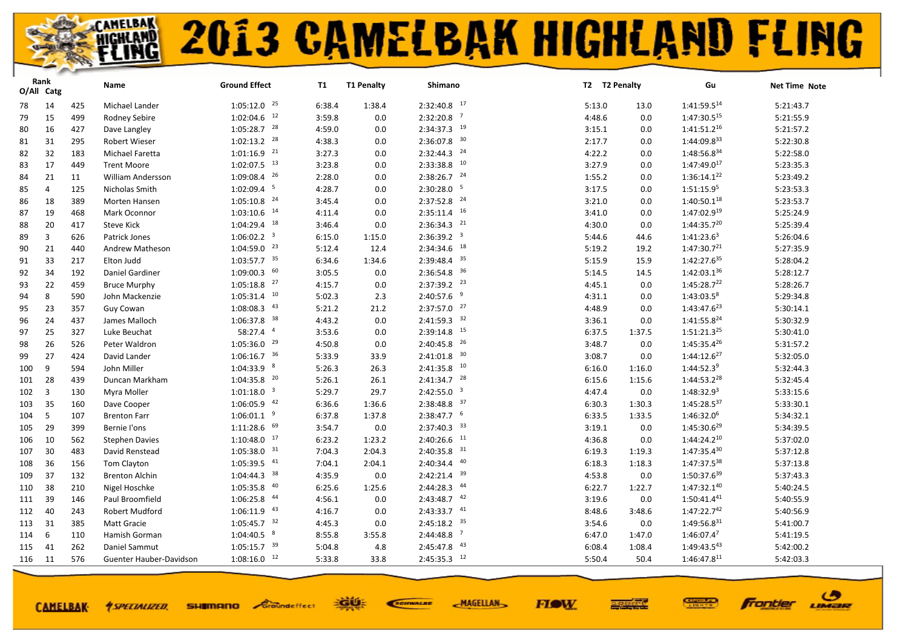|     | Rank<br>O/All Catg |     | Name                     | <b>Ground Effect</b>      | T1     | <b>T1 Penalty</b> | Shimano                   |        | T2 T2 Penalty | Gu                      | Net Time Note |
|-----|--------------------|-----|--------------------------|---------------------------|--------|-------------------|---------------------------|--------|---------------|-------------------------|---------------|
| 78  | 14                 | 425 | Michael Lander           | $1:05:12.0$ <sup>25</sup> | 6:38.4 | 1:38.4            | $2:32:40.8$ 17            | 5:13.0 | 13.0          | 1:41:59.514             | 5:21:43.7     |
| 79  | 15                 | 499 | Rodney Sebire            | $1:02:04.6$ <sup>12</sup> | 3:59.8 | 0.0               | $2:32:20.8$ <sup>7</sup>  | 4:48.6 | 0.0           | 1:47:30.515             | 5:21:55.9     |
| 80  | 16                 | 427 | Dave Langley             | $1:05:28.7$ <sup>28</sup> | 4:59.0 | 0.0               | 2:34:37.3 19              | 3:15.1 | 0.0           | 1:41:51.216             | 5:21:57.2     |
| 81  | 31                 | 295 | Robert Wieser            | $1:02:13.2$ <sup>28</sup> | 4:38.3 | 0.0               | $2:36:07.8$ <sup>30</sup> | 2:17.7 | 0.0           | 1:44:09.833             | 5:22:30.8     |
| 82  | 32                 | 183 | Michael Faretta          | $1:01:16.9$ <sup>21</sup> | 3:27.3 | 0.0               | $2:32:44.3$ <sup>24</sup> | 4:22.2 | 0.0           | 1:48:56.834             | 5:22:58.0     |
| 83  | 17                 | 449 | <b>Trent Moore</b>       | $1:02:07.5$ <sup>13</sup> | 3:23.8 | 0.0               | $2:33:38.8$ <sup>10</sup> | 3:27.9 | 0.0           | $1:47:49.0^{17}$        | 5:23:35.3     |
| 84  | 21                 | 11  | <b>William Andersson</b> | $1:09:08.4$ <sup>26</sup> | 2:28.0 | 0.0               | $2:38:26.7$ $24$          | 1:55.2 | 0.0           | 1:36:14.122             | 5:23:49.2     |
| 85  | 4                  | 125 | Nicholas Smith           | $1:02:09.4$ <sup>5</sup>  | 4:28.7 | 0.0               | $2:30:28.0$ <sup>5</sup>  | 3:17.5 | 0.0           | 1:51:15.9 <sup>5</sup>  | 5:23:53.3     |
| 86  | 18                 | 389 | Morten Hansen            | $1:05:10.8$ <sup>24</sup> | 3:45.4 | 0.0               | $2:37:52.8$ $^{24}$       | 3:21.0 | 0.0           | 1:40:50.118             | 5:23:53.7     |
| 87  | 19                 | 468 | Mark Oconnor             | $1:03:10.6$ <sup>14</sup> | 4:11.4 | 0.0               | $2:35:11.4$ <sup>16</sup> | 3:41.0 | 0.0           | 1:47:02.919             | 5:25:24.9     |
| 88  | 20                 | 417 | <b>Steve Kick</b>        | $1:04:29.4$ <sup>18</sup> | 3:46.4 | 0.0               | $2:36:34.3$ <sup>21</sup> | 4:30.0 | 0.0           | $1:44:35.7^{20}$        | 5:25:39.4     |
| 89  | 3                  | 626 | Patrick Jones            | $1:06:02.2$ <sup>3</sup>  | 6:15.0 | 1:15.0            | 2:36:39.2 <sup>3</sup>    | 5:44.6 | 44.6          | $1:41:23.6^3$           | 5:26:04.6     |
| 90  | 21                 | 440 | Andrew Matheson          | $1:04:59.0$ <sup>23</sup> | 5:12.4 | 12.4              | $2:34:34.6$ <sup>18</sup> | 5:19.2 | 19.2          | 1:47:30.7 <sup>21</sup> | 5:27:35.9     |
| 91  | 33                 | 217 | Elton Judd               | $1:03:57.7$ 35            | 6:34.6 | 1:34.6            | $2:39:48.4$ 35            | 5:15.9 | 15.9          | 1:42:27.635             | 5:28:04.2     |
| 92  | 34                 | 192 | Daniel Gardiner          | $1:09:00.3$ 60            | 3:05.5 | 0.0               | $2:36:54.8$ <sup>36</sup> | 5:14.5 | 14.5          | $1:42:03.1^{36}$        | 5:28:12.7     |
| 93  | 22                 | 459 | <b>Bruce Murphy</b>      | $1:05:18.8$ <sup>27</sup> | 4:15.7 | 0.0               | $2:37:39.2$ <sup>23</sup> | 4:45.1 | 0.0           | 1:45:28.722             | 5:28:26.7     |
| 94  | 8                  | 590 | John Mackenzie           | $1:05:31.4$ <sup>10</sup> | 5:02.3 | 2.3               | $2:40:57.6$ <sup>9</sup>  | 4:31.1 | 0.0           | $1:43:03.5^8$           | 5:29:34.8     |
| 95  | 23                 | 357 | Guy Cowan                | $1:08:08.3$ $43$          | 5:21.2 | 21.2              | $2:37:57.0$ $27$          | 4:48.9 | 0.0           | 1:43:47.6 <sup>23</sup> | 5:30:14.1     |
| 96  | 24                 | 437 | James Malloch            | $1:06:37.8$ <sup>38</sup> | 4:43.2 | 0.0               | $2:41:59.3$ $32$          | 3:36.1 | 0.0           | 1:41:55.8 <sup>24</sup> | 5:30:32.9     |
| 97  | 25                 | 327 | Luke Beuchat             | 58:27.4 4                 | 3:53.6 | 0.0               | $2:39:14.8$ <sup>15</sup> | 6:37.5 | 1:37.5        | 1:51:21.3 <sup>25</sup> | 5:30:41.0     |
| 98  | 26                 | 526 | Peter Waldron            | $1:05:36.0$ <sup>29</sup> | 4:50.8 | 0.0               | $2:40:45.8$ <sup>26</sup> | 3:48.7 | 0.0           | 1:45:35.4 <sup>26</sup> | 5:31:57.2     |
| 99  | 27                 | 424 | David Lander             | $1:06:16.7$ 36            | 5:33.9 | 33.9              | $2:41:01.8$ 30            | 3:08.7 | 0.0           | 1:44:12.6 <sup>27</sup> | 5:32:05.0     |
| 100 | 9                  | 594 | John Miller              | $1:04:33.9$ 8             | 5:26.3 | 26.3              | $2:41:35.8$ <sup>10</sup> | 6:16.0 | 1:16.0        | $1:44:52.3^9$           | 5:32:44.3     |
| 101 | 28                 | 439 | Duncan Markham           | $1:04:35.8$ <sup>20</sup> | 5:26.1 | 26.1              | $2:41:34.7$ $28$          | 6:15.6 | 1:15.6        | 1:44:53.2 <sup>28</sup> | 5:32:45.4     |
| 102 | $\overline{3}$     | 130 | Myra Moller              | $1:01:18.0$ <sup>3</sup>  | 5:29.7 | 29.7              | $2:42:55.0$ <sup>3</sup>  | 4:47.4 | 0.0           | 1:48:32.9 <sup>3</sup>  | 5:33:15.6     |
| 103 | 35                 | 160 | Dave Cooper              | $1:06:05.9$ $42$          | 6:36.6 | 1:36.6            | $2:38:48.8$ 37            | 6:30.3 | 1:30.3        | 1:45:28.537             | 5:33:30.1     |
| 104 | 5                  | 107 | <b>Brenton Farr</b>      | $1:06:01.1$ <sup>9</sup>  | 6:37.8 | 1:37.8            | $2:38:47.7$ 6             | 6:33.5 | 1:33.5        | 1:46:32.0 <sup>6</sup>  | 5:34:32.1     |
| 105 | 29                 | 399 | Bernie l'ons             | $1:11:28.6$ 69            | 3:54.7 | 0.0               | $2:37:40.3$ 33            | 3:19.1 | 0.0           | $1:45:30.6^{29}$        | 5:34:39.5     |
| 106 | 10                 | 562 | <b>Stephen Davies</b>    | $1:10:48.0$ $17$          | 6:23.2 | 1:23.2            | $2:40:26.6$ <sup>11</sup> | 4:36.8 | 0.0           | 1:44:24.210             | 5:37:02.0     |
| 107 | 30                 | 483 | David Renstead           | $1:05:38.0$ 31            | 7:04.3 | 2:04.3            | $2:40:35.8$ <sup>31</sup> | 6:19.3 | 1:19.3        | $1:47:35.4^{30}$        | 5:37:12.8     |
| 108 | 36                 | 156 | Tom Clayton              | $1:05:39.5$ $41$          | 7:04.1 | 2:04.1            | 40<br>2:40:34.4           | 6:18.3 | 1:18.3        | 1:47:37.538             | 5:37:13.8     |
| 109 | 37                 | 132 | <b>Brenton Alchin</b>    | $1:04:44.3$ <sup>38</sup> | 4:35.9 | 0.0               | $2:42:21.4$ 39            | 4:53.8 | 0.0           | 1:50:37.6 <sup>39</sup> | 5:37:43.3     |
| 110 | 38                 | 210 | Nigel Hoschke            | $1:05:35.8$ $40$          | 6:25.6 | 1:25.6            | $2:44:28.3$ $44$          | 6:22.7 | 1:22.7        | 1:47:32.140             | 5:40:24.5     |
| 111 | 39                 | 146 | Paul Broomfield          | $1:06:25.8$ $44$          | 4:56.1 | 0.0               | $2:43:48.7$ $42$          | 3:19.6 | 0.0           | $1:50:41.4^{41}$        | 5:40:55.9     |
| 112 | 40                 | 243 | Robert Mudford           | $1:06:11.9$ $43$          | 4:16.7 | 0.0               | $2:43:33.7$ $41$          | 8:48.6 | 3:48.6        | 1:47:22.742             | 5:40:56.9     |
| 113 | 31                 | 385 | Matt Gracie              | $1:05:45.7$ <sup>32</sup> | 4:45.3 | 0.0               | $2:45:18.2$ 35            | 3:54.6 | 0.0           | 1:49:56.831             | 5:41:00.7     |
| 114 | 6                  | 110 | Hamish Gorman            | $1:04:40.5$ 8             | 8:55.8 | 3:55.8            | $2:44:48.8$ <sup>7</sup>  | 6:47.0 | 1:47.0        | 1:46:07.47              | 5:41:19.5     |
| 115 | 41                 | 262 | Daniel Sammut            | $1:05:15.7$ <sup>39</sup> | 5:04.8 | 4.8               | $2:45:47.8$ <sup>43</sup> | 6:08.4 | 1:08.4        | 1:49:43.543             | 5:42:00.2     |
| 116 | 11                 | 576 | Guenter Hauber-Davidson  | $1:08:16.0$ <sup>12</sup> | 5:33.8 | 33.8              | $2:45:35.3$ 12            | 5:50.4 | 50.4          | 1:46:47.811             | 5:42:03.3     |

**CAMELBAK-**

**SHIMANO** Groundeffect *<u>ASPECIALIZED.</u>* 

EGUE SCIENALDE **MAGELLAN** 



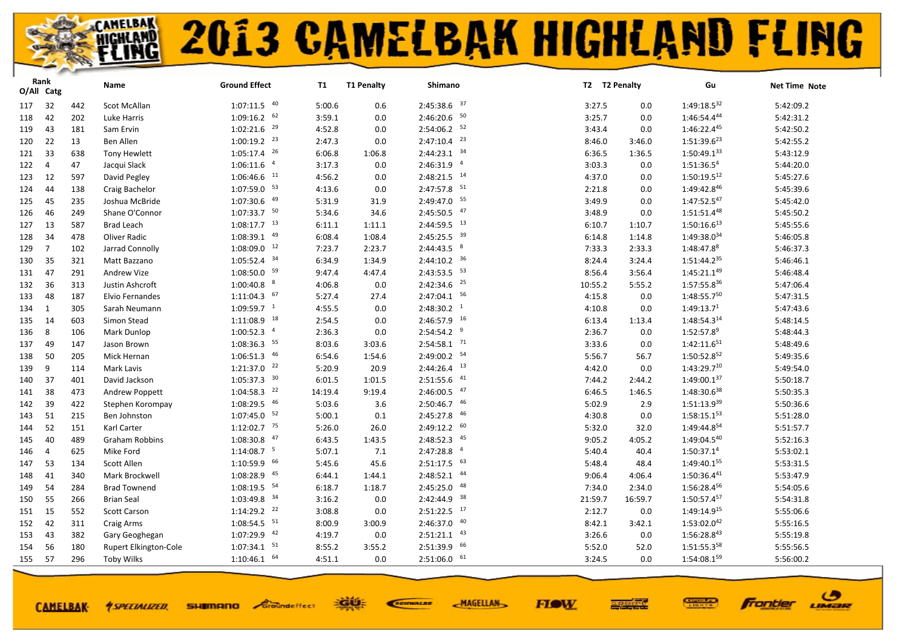| $1:07:11.5$ $40$<br>$2:45:38.6$ 37<br>$1:49:18.5^{32}$<br>32<br>5:00.6<br>5:42:09.2<br>117<br>442<br>Scot McAllan<br>0.6<br>3:27.5<br>0.0<br>$1:09:16.2$ 62<br>$2:46:20.6$ 50<br>1:46:54.444<br>42<br>3:59.1<br>5:42:31.2<br>202<br>Luke Harris<br>0.0<br>3:25.7<br>0.0<br>118<br>$1:02:21.6$ <sup>29</sup><br>$2:54:06.2$ <sup>52</sup><br>1:46:22.445<br>4:52.8<br>5:42:50.2<br>43<br>181<br>Sam Ervin<br>3:43.4<br>119<br>0.0<br>0.0<br>$2:47:10.4$ <sup>23</sup><br>$1:00:19.2$ <sup>23</sup><br>$1:51:39.6^{23}$<br>22<br><b>Ben Allen</b><br>2:47.3<br>8:46.0<br>5:42:55.2<br>120<br>13<br>0.0<br>3:46.0<br>$1:05:17.4$ <sup>26</sup><br>$2:44:23.1$ 34<br>6:06.8<br>$1:50:49.1^{33}$<br>5:43:12.9<br>33<br>638<br><b>Tony Hewlett</b><br>1:06.8<br>6:36.5<br>1:36.5<br>121<br>$\overline{a}$<br>$\overline{4}$<br>2:46:31.9<br>$1:51:36.5^4$<br>5:44:20.0<br>1:06:11.6<br>3:17.3<br>47<br>Jacqui Slack<br>0.0<br>3:03.3<br>0.0<br>122<br>$\overline{4}$<br>$1:06:46.6$ <sup>11</sup><br>$2:48:21.5$ <sup>14</sup><br>4:56.2<br>1:50:19.512<br>12<br>597<br>David Pegley<br>4:37.0<br>5:45:27.6<br>123<br>0.0<br>0.0<br>$2:47:57.8$ <sup>51</sup><br>$1:07:59.0$ 53<br>1:49:42.846<br>4:13.6<br>2:21.8<br>5:45:39.6<br>44<br>138<br>Craig Bachelor<br>0.0<br>0.0<br>124<br>2:49:47.0 55<br>1:47:52.547<br>$1:07:30.6$ $49$<br>5:45:42.0<br>45<br>235<br>5:31.9<br>31.9<br>3:49.9<br>Joshua McBride<br>0.0<br>125<br>47<br>$1:07:33.7$ 50<br>2:45:50.5<br>1:51:51.448<br>5:34.6<br>5:45:50.2<br>46<br>Shane O'Connor<br>3:48.9<br>126<br>249<br>34.6<br>0.0<br>$1:08:17.7$ <sup>13</sup><br>$2:44:59.5$ <sup>13</sup><br>$1:50:16.6^{13}$<br>5:45:55.6<br>13<br>587<br><b>Brad Leach</b><br>6:11.1<br>1:11.1<br>6:10.7<br>1:10.7<br>127<br>49<br>$2:45:25.5$ 39<br>1:49:38.034<br>34<br>1:08:39.1<br>6:08.4<br>1:08.4<br>5:46:05.8<br>128<br>478<br>Oliver Radic<br>6:14.8<br>1:14.8<br>$1:08:09.0$ <sup>12</sup><br>$2:44:43.5$ $8$<br>1:48:47.88<br>$\overline{7}$<br>102<br>Jarrad Connolly<br>7:23.7<br>2:23.7<br>7:33.3<br>2:33.3<br>5:46:37.3<br>129<br>$2:44:10.2$ 36<br>$1:05:52.4$ 34<br>1:51:44.235<br>5:46:46.1<br>35<br>6:34.9<br>1:34.9<br>8:24.4<br>321<br>Matt Bazzano<br>3:24.4<br>130<br>$2:43:53.5$ $53$<br>$1:08:50.0$ <sup>59</sup><br>$1:45:21.1^{49}$<br>9:47.4<br>5:46:48.4<br>47<br>291<br><b>Andrew Vize</b><br>4:47.4<br>8:56.4<br>3:56.4<br>131<br>$2:42:34.6$ <sup>25</sup><br>$1:00:40.8$ 8<br>1:57:55.836<br>4:06.8<br>10:55.2<br>5:47:06.4<br>132<br>36<br>313<br>Justin Ashcroft<br>0.0<br>5:55.2<br>$2:47:04.1$ 56<br>$1:11:04.3$ 67<br>1:48:55.750<br>48<br>5:27.4<br>5:47:31.5<br>187<br>Elvio Fernandes<br>4:15.8<br>133<br>27.4<br>0.0<br>$1:09:59.7$ <sup>1</sup><br>2:48:30.2 <sup>1</sup><br>1:49:13.71<br>4:55.5<br>5:47:43.6<br>1<br>305<br>Sarah Neumann<br>0.0<br>4:10.8<br>0.0<br>134<br>$2:46:57.9$ <sup>16</sup><br>$1:11:08.9$ <sup>18</sup><br>1:48:54.314<br>5:48:14.5<br>14<br>603<br>Simon Stead<br>2:54.5<br>6:13.4<br>135<br>0.0<br>1:13.4<br>$2:54:54.2$ <sup>9</sup><br>$1:00:52.3$ <sup>4</sup><br>$1:52:57.8^9$<br>8<br>2:36.3<br>5:48:44.3<br>106<br>Mark Dunlop<br>0.0<br>2:36.7<br>0.0<br>136<br>$2:54:58.1$ <sup>71</sup><br>$1:08:36.3$ <sup>55</sup><br>8:03.6<br>$1:42:11.6^{51}$<br>3:33.6<br>5:48:49.6<br>49<br>147<br>Jason Brown<br>3:03.6<br>0.0<br>137<br>2:49:00.2 54<br>$1:06:51.3$ $46$<br>1:50:52.852<br>5:49:35.6<br>50<br>Mick Hernan<br>6:54.6<br>1:54.6<br>5:56.7<br>138<br>205<br>56.7<br>$1:21:37.0$ $22$<br>$2:44:26.4$ <sup>13</sup><br>$1:43:29.7^{10}$<br>9<br>5:20.9<br>20.9<br>0.0<br>5:49:54.0<br>139<br>114<br>Mark Lavis<br>4:42.0<br>$1:05:37.3$ 30<br>$2:51:55.6$ $41$<br>1:49:00.137<br>5:50:18.7<br>37<br>401<br>David Jackson<br>6:01.5<br>1:01.5<br>7:44.2<br>140<br>2:44.2<br>$2:46:00.5$ $47$<br>$1:04:58.3$ <sup>22</sup><br>$1:48:30.6^{38}$<br>14:19.4<br>5:50:35.3<br>38<br>473<br>9:19.4<br>6:46.5<br>141<br>Andrew Poppett<br>1:46.5<br>$2:50:46.7$ $46$<br>1:08:29.5 46<br>1:51:13.939<br>5:50:36.6<br>39<br>5:03.6<br>5:02.9<br>142<br>422<br>Stephen Korompay<br>3.6<br>2.9<br>46<br>$1:07:45.0$ 52<br>$1:58:15.1^{53}$<br>5:00.1<br>2:45:27.8<br>5:51:28.0<br>51<br>215<br>4:30.8<br>0.0<br>143<br>Ben Johnston<br>0.1<br>$2:49:12.2$ 60<br>$1:12:02.7$ <sup>75</sup><br>1:49:44.854<br>52<br>Karl Carter<br>5:26.0<br>5:51:57.7<br>151<br>26.0<br>5:32.0<br>32.0<br>144<br>$1:08:30.8$ $47$<br>$2:48:52.3$ $45$<br>1:49:04.540<br>6:43.5<br>5:52:16.3<br>40<br>489<br>Graham Robbins<br>1:43.5<br>9:05.2<br>4:05.2<br>145<br>$1:14:08.7$ <sup>5</sup><br>$\overline{4}$<br>2:47:28.8<br>1:50:37.1 <sup>4</sup><br>5:07.1<br>5:53:02.1<br>625<br>Mike Ford<br>7.1<br>5:40.4<br>40.4<br>146<br>4<br>$2:51:17.5$ 63<br>$1:10:59.9$ 66<br>1:49:40.155<br>Scott Allen<br>53<br>134<br>5:45.6<br>45.6<br>5:48.4<br>5:53:31.5<br>147<br>48.4<br>$2:48:52.1$ $44$<br>$1:08:28.9$ $45$<br>1:50:36.441<br>5:53:47.9<br>41<br>Mark Brockwell<br>6:44.1<br>1:44.1<br>9:06.4<br>4:06.4<br>148<br>340<br>$1:08:19.5$ 54<br>$2:45:25.0$ $48$<br>1:56:28.456<br>54<br>6:18.7<br>5:54:05.6<br>284<br><b>Brad Townend</b><br>1:18.7<br>7:34.0<br>2:34.0<br>149<br>2:42:44.9 38<br>$1:03:49.8$ <sup>34</sup><br>1:50:57.457<br>3:16.2<br>55<br>266<br><b>Brian Seal</b><br>0.0<br>21:59.7<br>16:59.7<br>5:54:31.8<br>150<br>$2:51:22.5$ 17<br>$1:14:29.2$ <sup>22</sup><br>1:49:14.915<br>3:08.8<br>2:12.7<br>5:55:06.6<br>15<br>552<br>Scott Carson<br>0.0<br>0.0<br>151<br>$2:46:37.0$ $40$<br>$1:08:54.5$ <sup>51</sup><br>$1:53:02.0^{42}$<br>5:55:16.5<br>42<br>8:00.9<br>8:42.1<br>311<br>Craig Arms<br>3:00.9<br>3:42.1<br>152<br>$2:51:21.1$ $43$<br>$1:07:29.9$ $42$<br>1:56:28.843<br>5:55:19.8<br>43<br>382<br>4:19.7<br>0.0<br>3:26.6<br>153<br>Gary Geoghegan<br>0.0<br>$2:51:39.9$ 66<br>$1:07:34.1$ $51$<br>1:51:55.358<br>8:55.2<br>5:55:56.5<br>154<br>56<br>180<br><b>Rupert Elkington-Cole</b><br>3:55.2<br>5:52.0<br>52.0<br>$2:51:06.0$ 61<br>$1:10:46.1$ 64<br>1:54:08.159<br>5:56:00.2<br>155<br>57<br>296<br><b>Toby Wilks</b><br>4:51.1<br>0.0<br>3:24.5<br>0.0 | Rank<br>O/All Catg | Name | <b>Ground Effect</b> | <b>T1</b> | <b>T1 Penalty</b> | Shimano | T2 T2 Penalty | Gu | Net Time Note |
|-----------------------------------------------------------------------------------------------------------------------------------------------------------------------------------------------------------------------------------------------------------------------------------------------------------------------------------------------------------------------------------------------------------------------------------------------------------------------------------------------------------------------------------------------------------------------------------------------------------------------------------------------------------------------------------------------------------------------------------------------------------------------------------------------------------------------------------------------------------------------------------------------------------------------------------------------------------------------------------------------------------------------------------------------------------------------------------------------------------------------------------------------------------------------------------------------------------------------------------------------------------------------------------------------------------------------------------------------------------------------------------------------------------------------------------------------------------------------------------------------------------------------------------------------------------------------------------------------------------------------------------------------------------------------------------------------------------------------------------------------------------------------------------------------------------------------------------------------------------------------------------------------------------------------------------------------------------------------------------------------------------------------------------------------------------------------------------------------------------------------------------------------------------------------------------------------------------------------------------------------------------------------------------------------------------------------------------------------------------------------------------------------------------------------------------------------------------------------------------------------------------------------------------------------------------------------------------------------------------------------------------------------------------------------------------------------------------------------------------------------------------------------------------------------------------------------------------------------------------------------------------------------------------------------------------------------------------------------------------------------------------------------------------------------------------------------------------------------------------------------------------------------------------------------------------------------------------------------------------------------------------------------------------------------------------------------------------------------------------------------------------------------------------------------------------------------------------------------------------------------------------------------------------------------------------------------------------------------------------------------------------------------------------------------------------------------------------------------------------------------------------------------------------------------------------------------------------------------------------------------------------------------------------------------------------------------------------------------------------------------------------------------------------------------------------------------------------------------------------------------------------------------------------------------------------------------------------------------------------------------------------------------------------------------------------------------------------------------------------------------------------------------------------------------------------------------------------------------------------------------------------------------------------------------------------------------------------------------------------------------------------------------------------------------------------------------------------------------------------------------------------------------------------------------------------------------------------------------------------------------------------------------------------------------------------------------------------------------------------------------------------------------------------------------------------------------------------------------------------------------------------------------------------------------------------------------------------------------------------------------------------------------------------------------------------------------------------------------------------------------------------------------------------------------------------------------------------------------------------------------------------------------------------------------------------------------------------------------------------------------------------------------------------------------------------------------------------------------------------------------------------------------------------------------------------------------------------------------------------------------------------------------------------------------------------------------------------------------------------------------------------------------------------------------------------------------------------------|--------------------|------|----------------------|-----------|-------------------|---------|---------------|----|---------------|
|                                                                                                                                                                                                                                                                                                                                                                                                                                                                                                                                                                                                                                                                                                                                                                                                                                                                                                                                                                                                                                                                                                                                                                                                                                                                                                                                                                                                                                                                                                                                                                                                                                                                                                                                                                                                                                                                                                                                                                                                                                                                                                                                                                                                                                                                                                                                                                                                                                                                                                                                                                                                                                                                                                                                                                                                                                                                                                                                                                                                                                                                                                                                                                                                                                                                                                                                                                                                                                                                                                                                                                                                                                                                                                                                                                                                                                                                                                                                                                                                                                                                                                                                                                                                                                                                                                                                                                                                                                                                                                                                                                                                                                                                                                                                                                                                                                                                                                                                                                                                                                                                                                                                                                                                                                                                                                                                                                                                                                                                                                                                                                                                                                                                                                                                                                                                                                                                                                                                                                                                                                                                                         |                    |      |                      |           |                   |         |               |    |               |
|                                                                                                                                                                                                                                                                                                                                                                                                                                                                                                                                                                                                                                                                                                                                                                                                                                                                                                                                                                                                                                                                                                                                                                                                                                                                                                                                                                                                                                                                                                                                                                                                                                                                                                                                                                                                                                                                                                                                                                                                                                                                                                                                                                                                                                                                                                                                                                                                                                                                                                                                                                                                                                                                                                                                                                                                                                                                                                                                                                                                                                                                                                                                                                                                                                                                                                                                                                                                                                                                                                                                                                                                                                                                                                                                                                                                                                                                                                                                                                                                                                                                                                                                                                                                                                                                                                                                                                                                                                                                                                                                                                                                                                                                                                                                                                                                                                                                                                                                                                                                                                                                                                                                                                                                                                                                                                                                                                                                                                                                                                                                                                                                                                                                                                                                                                                                                                                                                                                                                                                                                                                                                         |                    |      |                      |           |                   |         |               |    |               |
|                                                                                                                                                                                                                                                                                                                                                                                                                                                                                                                                                                                                                                                                                                                                                                                                                                                                                                                                                                                                                                                                                                                                                                                                                                                                                                                                                                                                                                                                                                                                                                                                                                                                                                                                                                                                                                                                                                                                                                                                                                                                                                                                                                                                                                                                                                                                                                                                                                                                                                                                                                                                                                                                                                                                                                                                                                                                                                                                                                                                                                                                                                                                                                                                                                                                                                                                                                                                                                                                                                                                                                                                                                                                                                                                                                                                                                                                                                                                                                                                                                                                                                                                                                                                                                                                                                                                                                                                                                                                                                                                                                                                                                                                                                                                                                                                                                                                                                                                                                                                                                                                                                                                                                                                                                                                                                                                                                                                                                                                                                                                                                                                                                                                                                                                                                                                                                                                                                                                                                                                                                                                                         |                    |      |                      |           |                   |         |               |    |               |
|                                                                                                                                                                                                                                                                                                                                                                                                                                                                                                                                                                                                                                                                                                                                                                                                                                                                                                                                                                                                                                                                                                                                                                                                                                                                                                                                                                                                                                                                                                                                                                                                                                                                                                                                                                                                                                                                                                                                                                                                                                                                                                                                                                                                                                                                                                                                                                                                                                                                                                                                                                                                                                                                                                                                                                                                                                                                                                                                                                                                                                                                                                                                                                                                                                                                                                                                                                                                                                                                                                                                                                                                                                                                                                                                                                                                                                                                                                                                                                                                                                                                                                                                                                                                                                                                                                                                                                                                                                                                                                                                                                                                                                                                                                                                                                                                                                                                                                                                                                                                                                                                                                                                                                                                                                                                                                                                                                                                                                                                                                                                                                                                                                                                                                                                                                                                                                                                                                                                                                                                                                                                                         |                    |      |                      |           |                   |         |               |    |               |
|                                                                                                                                                                                                                                                                                                                                                                                                                                                                                                                                                                                                                                                                                                                                                                                                                                                                                                                                                                                                                                                                                                                                                                                                                                                                                                                                                                                                                                                                                                                                                                                                                                                                                                                                                                                                                                                                                                                                                                                                                                                                                                                                                                                                                                                                                                                                                                                                                                                                                                                                                                                                                                                                                                                                                                                                                                                                                                                                                                                                                                                                                                                                                                                                                                                                                                                                                                                                                                                                                                                                                                                                                                                                                                                                                                                                                                                                                                                                                                                                                                                                                                                                                                                                                                                                                                                                                                                                                                                                                                                                                                                                                                                                                                                                                                                                                                                                                                                                                                                                                                                                                                                                                                                                                                                                                                                                                                                                                                                                                                                                                                                                                                                                                                                                                                                                                                                                                                                                                                                                                                                                                         |                    |      |                      |           |                   |         |               |    |               |
|                                                                                                                                                                                                                                                                                                                                                                                                                                                                                                                                                                                                                                                                                                                                                                                                                                                                                                                                                                                                                                                                                                                                                                                                                                                                                                                                                                                                                                                                                                                                                                                                                                                                                                                                                                                                                                                                                                                                                                                                                                                                                                                                                                                                                                                                                                                                                                                                                                                                                                                                                                                                                                                                                                                                                                                                                                                                                                                                                                                                                                                                                                                                                                                                                                                                                                                                                                                                                                                                                                                                                                                                                                                                                                                                                                                                                                                                                                                                                                                                                                                                                                                                                                                                                                                                                                                                                                                                                                                                                                                                                                                                                                                                                                                                                                                                                                                                                                                                                                                                                                                                                                                                                                                                                                                                                                                                                                                                                                                                                                                                                                                                                                                                                                                                                                                                                                                                                                                                                                                                                                                                                         |                    |      |                      |           |                   |         |               |    |               |
|                                                                                                                                                                                                                                                                                                                                                                                                                                                                                                                                                                                                                                                                                                                                                                                                                                                                                                                                                                                                                                                                                                                                                                                                                                                                                                                                                                                                                                                                                                                                                                                                                                                                                                                                                                                                                                                                                                                                                                                                                                                                                                                                                                                                                                                                                                                                                                                                                                                                                                                                                                                                                                                                                                                                                                                                                                                                                                                                                                                                                                                                                                                                                                                                                                                                                                                                                                                                                                                                                                                                                                                                                                                                                                                                                                                                                                                                                                                                                                                                                                                                                                                                                                                                                                                                                                                                                                                                                                                                                                                                                                                                                                                                                                                                                                                                                                                                                                                                                                                                                                                                                                                                                                                                                                                                                                                                                                                                                                                                                                                                                                                                                                                                                                                                                                                                                                                                                                                                                                                                                                                                                         |                    |      |                      |           |                   |         |               |    |               |
|                                                                                                                                                                                                                                                                                                                                                                                                                                                                                                                                                                                                                                                                                                                                                                                                                                                                                                                                                                                                                                                                                                                                                                                                                                                                                                                                                                                                                                                                                                                                                                                                                                                                                                                                                                                                                                                                                                                                                                                                                                                                                                                                                                                                                                                                                                                                                                                                                                                                                                                                                                                                                                                                                                                                                                                                                                                                                                                                                                                                                                                                                                                                                                                                                                                                                                                                                                                                                                                                                                                                                                                                                                                                                                                                                                                                                                                                                                                                                                                                                                                                                                                                                                                                                                                                                                                                                                                                                                                                                                                                                                                                                                                                                                                                                                                                                                                                                                                                                                                                                                                                                                                                                                                                                                                                                                                                                                                                                                                                                                                                                                                                                                                                                                                                                                                                                                                                                                                                                                                                                                                                                         |                    |      |                      |           |                   |         |               |    |               |
|                                                                                                                                                                                                                                                                                                                                                                                                                                                                                                                                                                                                                                                                                                                                                                                                                                                                                                                                                                                                                                                                                                                                                                                                                                                                                                                                                                                                                                                                                                                                                                                                                                                                                                                                                                                                                                                                                                                                                                                                                                                                                                                                                                                                                                                                                                                                                                                                                                                                                                                                                                                                                                                                                                                                                                                                                                                                                                                                                                                                                                                                                                                                                                                                                                                                                                                                                                                                                                                                                                                                                                                                                                                                                                                                                                                                                                                                                                                                                                                                                                                                                                                                                                                                                                                                                                                                                                                                                                                                                                                                                                                                                                                                                                                                                                                                                                                                                                                                                                                                                                                                                                                                                                                                                                                                                                                                                                                                                                                                                                                                                                                                                                                                                                                                                                                                                                                                                                                                                                                                                                                                                         |                    |      |                      |           |                   |         |               |    |               |
|                                                                                                                                                                                                                                                                                                                                                                                                                                                                                                                                                                                                                                                                                                                                                                                                                                                                                                                                                                                                                                                                                                                                                                                                                                                                                                                                                                                                                                                                                                                                                                                                                                                                                                                                                                                                                                                                                                                                                                                                                                                                                                                                                                                                                                                                                                                                                                                                                                                                                                                                                                                                                                                                                                                                                                                                                                                                                                                                                                                                                                                                                                                                                                                                                                                                                                                                                                                                                                                                                                                                                                                                                                                                                                                                                                                                                                                                                                                                                                                                                                                                                                                                                                                                                                                                                                                                                                                                                                                                                                                                                                                                                                                                                                                                                                                                                                                                                                                                                                                                                                                                                                                                                                                                                                                                                                                                                                                                                                                                                                                                                                                                                                                                                                                                                                                                                                                                                                                                                                                                                                                                                         |                    |      |                      |           |                   |         |               |    |               |
|                                                                                                                                                                                                                                                                                                                                                                                                                                                                                                                                                                                                                                                                                                                                                                                                                                                                                                                                                                                                                                                                                                                                                                                                                                                                                                                                                                                                                                                                                                                                                                                                                                                                                                                                                                                                                                                                                                                                                                                                                                                                                                                                                                                                                                                                                                                                                                                                                                                                                                                                                                                                                                                                                                                                                                                                                                                                                                                                                                                                                                                                                                                                                                                                                                                                                                                                                                                                                                                                                                                                                                                                                                                                                                                                                                                                                                                                                                                                                                                                                                                                                                                                                                                                                                                                                                                                                                                                                                                                                                                                                                                                                                                                                                                                                                                                                                                                                                                                                                                                                                                                                                                                                                                                                                                                                                                                                                                                                                                                                                                                                                                                                                                                                                                                                                                                                                                                                                                                                                                                                                                                                         |                    |      |                      |           |                   |         |               |    |               |
|                                                                                                                                                                                                                                                                                                                                                                                                                                                                                                                                                                                                                                                                                                                                                                                                                                                                                                                                                                                                                                                                                                                                                                                                                                                                                                                                                                                                                                                                                                                                                                                                                                                                                                                                                                                                                                                                                                                                                                                                                                                                                                                                                                                                                                                                                                                                                                                                                                                                                                                                                                                                                                                                                                                                                                                                                                                                                                                                                                                                                                                                                                                                                                                                                                                                                                                                                                                                                                                                                                                                                                                                                                                                                                                                                                                                                                                                                                                                                                                                                                                                                                                                                                                                                                                                                                                                                                                                                                                                                                                                                                                                                                                                                                                                                                                                                                                                                                                                                                                                                                                                                                                                                                                                                                                                                                                                                                                                                                                                                                                                                                                                                                                                                                                                                                                                                                                                                                                                                                                                                                                                                         |                    |      |                      |           |                   |         |               |    |               |
|                                                                                                                                                                                                                                                                                                                                                                                                                                                                                                                                                                                                                                                                                                                                                                                                                                                                                                                                                                                                                                                                                                                                                                                                                                                                                                                                                                                                                                                                                                                                                                                                                                                                                                                                                                                                                                                                                                                                                                                                                                                                                                                                                                                                                                                                                                                                                                                                                                                                                                                                                                                                                                                                                                                                                                                                                                                                                                                                                                                                                                                                                                                                                                                                                                                                                                                                                                                                                                                                                                                                                                                                                                                                                                                                                                                                                                                                                                                                                                                                                                                                                                                                                                                                                                                                                                                                                                                                                                                                                                                                                                                                                                                                                                                                                                                                                                                                                                                                                                                                                                                                                                                                                                                                                                                                                                                                                                                                                                                                                                                                                                                                                                                                                                                                                                                                                                                                                                                                                                                                                                                                                         |                    |      |                      |           |                   |         |               |    |               |
|                                                                                                                                                                                                                                                                                                                                                                                                                                                                                                                                                                                                                                                                                                                                                                                                                                                                                                                                                                                                                                                                                                                                                                                                                                                                                                                                                                                                                                                                                                                                                                                                                                                                                                                                                                                                                                                                                                                                                                                                                                                                                                                                                                                                                                                                                                                                                                                                                                                                                                                                                                                                                                                                                                                                                                                                                                                                                                                                                                                                                                                                                                                                                                                                                                                                                                                                                                                                                                                                                                                                                                                                                                                                                                                                                                                                                                                                                                                                                                                                                                                                                                                                                                                                                                                                                                                                                                                                                                                                                                                                                                                                                                                                                                                                                                                                                                                                                                                                                                                                                                                                                                                                                                                                                                                                                                                                                                                                                                                                                                                                                                                                                                                                                                                                                                                                                                                                                                                                                                                                                                                                                         |                    |      |                      |           |                   |         |               |    |               |
|                                                                                                                                                                                                                                                                                                                                                                                                                                                                                                                                                                                                                                                                                                                                                                                                                                                                                                                                                                                                                                                                                                                                                                                                                                                                                                                                                                                                                                                                                                                                                                                                                                                                                                                                                                                                                                                                                                                                                                                                                                                                                                                                                                                                                                                                                                                                                                                                                                                                                                                                                                                                                                                                                                                                                                                                                                                                                                                                                                                                                                                                                                                                                                                                                                                                                                                                                                                                                                                                                                                                                                                                                                                                                                                                                                                                                                                                                                                                                                                                                                                                                                                                                                                                                                                                                                                                                                                                                                                                                                                                                                                                                                                                                                                                                                                                                                                                                                                                                                                                                                                                                                                                                                                                                                                                                                                                                                                                                                                                                                                                                                                                                                                                                                                                                                                                                                                                                                                                                                                                                                                                                         |                    |      |                      |           |                   |         |               |    |               |
|                                                                                                                                                                                                                                                                                                                                                                                                                                                                                                                                                                                                                                                                                                                                                                                                                                                                                                                                                                                                                                                                                                                                                                                                                                                                                                                                                                                                                                                                                                                                                                                                                                                                                                                                                                                                                                                                                                                                                                                                                                                                                                                                                                                                                                                                                                                                                                                                                                                                                                                                                                                                                                                                                                                                                                                                                                                                                                                                                                                                                                                                                                                                                                                                                                                                                                                                                                                                                                                                                                                                                                                                                                                                                                                                                                                                                                                                                                                                                                                                                                                                                                                                                                                                                                                                                                                                                                                                                                                                                                                                                                                                                                                                                                                                                                                                                                                                                                                                                                                                                                                                                                                                                                                                                                                                                                                                                                                                                                                                                                                                                                                                                                                                                                                                                                                                                                                                                                                                                                                                                                                                                         |                    |      |                      |           |                   |         |               |    |               |
|                                                                                                                                                                                                                                                                                                                                                                                                                                                                                                                                                                                                                                                                                                                                                                                                                                                                                                                                                                                                                                                                                                                                                                                                                                                                                                                                                                                                                                                                                                                                                                                                                                                                                                                                                                                                                                                                                                                                                                                                                                                                                                                                                                                                                                                                                                                                                                                                                                                                                                                                                                                                                                                                                                                                                                                                                                                                                                                                                                                                                                                                                                                                                                                                                                                                                                                                                                                                                                                                                                                                                                                                                                                                                                                                                                                                                                                                                                                                                                                                                                                                                                                                                                                                                                                                                                                                                                                                                                                                                                                                                                                                                                                                                                                                                                                                                                                                                                                                                                                                                                                                                                                                                                                                                                                                                                                                                                                                                                                                                                                                                                                                                                                                                                                                                                                                                                                                                                                                                                                                                                                                                         |                    |      |                      |           |                   |         |               |    |               |
|                                                                                                                                                                                                                                                                                                                                                                                                                                                                                                                                                                                                                                                                                                                                                                                                                                                                                                                                                                                                                                                                                                                                                                                                                                                                                                                                                                                                                                                                                                                                                                                                                                                                                                                                                                                                                                                                                                                                                                                                                                                                                                                                                                                                                                                                                                                                                                                                                                                                                                                                                                                                                                                                                                                                                                                                                                                                                                                                                                                                                                                                                                                                                                                                                                                                                                                                                                                                                                                                                                                                                                                                                                                                                                                                                                                                                                                                                                                                                                                                                                                                                                                                                                                                                                                                                                                                                                                                                                                                                                                                                                                                                                                                                                                                                                                                                                                                                                                                                                                                                                                                                                                                                                                                                                                                                                                                                                                                                                                                                                                                                                                                                                                                                                                                                                                                                                                                                                                                                                                                                                                                                         |                    |      |                      |           |                   |         |               |    |               |
|                                                                                                                                                                                                                                                                                                                                                                                                                                                                                                                                                                                                                                                                                                                                                                                                                                                                                                                                                                                                                                                                                                                                                                                                                                                                                                                                                                                                                                                                                                                                                                                                                                                                                                                                                                                                                                                                                                                                                                                                                                                                                                                                                                                                                                                                                                                                                                                                                                                                                                                                                                                                                                                                                                                                                                                                                                                                                                                                                                                                                                                                                                                                                                                                                                                                                                                                                                                                                                                                                                                                                                                                                                                                                                                                                                                                                                                                                                                                                                                                                                                                                                                                                                                                                                                                                                                                                                                                                                                                                                                                                                                                                                                                                                                                                                                                                                                                                                                                                                                                                                                                                                                                                                                                                                                                                                                                                                                                                                                                                                                                                                                                                                                                                                                                                                                                                                                                                                                                                                                                                                                                                         |                    |      |                      |           |                   |         |               |    |               |
|                                                                                                                                                                                                                                                                                                                                                                                                                                                                                                                                                                                                                                                                                                                                                                                                                                                                                                                                                                                                                                                                                                                                                                                                                                                                                                                                                                                                                                                                                                                                                                                                                                                                                                                                                                                                                                                                                                                                                                                                                                                                                                                                                                                                                                                                                                                                                                                                                                                                                                                                                                                                                                                                                                                                                                                                                                                                                                                                                                                                                                                                                                                                                                                                                                                                                                                                                                                                                                                                                                                                                                                                                                                                                                                                                                                                                                                                                                                                                                                                                                                                                                                                                                                                                                                                                                                                                                                                                                                                                                                                                                                                                                                                                                                                                                                                                                                                                                                                                                                                                                                                                                                                                                                                                                                                                                                                                                                                                                                                                                                                                                                                                                                                                                                                                                                                                                                                                                                                                                                                                                                                                         |                    |      |                      |           |                   |         |               |    |               |
|                                                                                                                                                                                                                                                                                                                                                                                                                                                                                                                                                                                                                                                                                                                                                                                                                                                                                                                                                                                                                                                                                                                                                                                                                                                                                                                                                                                                                                                                                                                                                                                                                                                                                                                                                                                                                                                                                                                                                                                                                                                                                                                                                                                                                                                                                                                                                                                                                                                                                                                                                                                                                                                                                                                                                                                                                                                                                                                                                                                                                                                                                                                                                                                                                                                                                                                                                                                                                                                                                                                                                                                                                                                                                                                                                                                                                                                                                                                                                                                                                                                                                                                                                                                                                                                                                                                                                                                                                                                                                                                                                                                                                                                                                                                                                                                                                                                                                                                                                                                                                                                                                                                                                                                                                                                                                                                                                                                                                                                                                                                                                                                                                                                                                                                                                                                                                                                                                                                                                                                                                                                                                         |                    |      |                      |           |                   |         |               |    |               |
|                                                                                                                                                                                                                                                                                                                                                                                                                                                                                                                                                                                                                                                                                                                                                                                                                                                                                                                                                                                                                                                                                                                                                                                                                                                                                                                                                                                                                                                                                                                                                                                                                                                                                                                                                                                                                                                                                                                                                                                                                                                                                                                                                                                                                                                                                                                                                                                                                                                                                                                                                                                                                                                                                                                                                                                                                                                                                                                                                                                                                                                                                                                                                                                                                                                                                                                                                                                                                                                                                                                                                                                                                                                                                                                                                                                                                                                                                                                                                                                                                                                                                                                                                                                                                                                                                                                                                                                                                                                                                                                                                                                                                                                                                                                                                                                                                                                                                                                                                                                                                                                                                                                                                                                                                                                                                                                                                                                                                                                                                                                                                                                                                                                                                                                                                                                                                                                                                                                                                                                                                                                                                         |                    |      |                      |           |                   |         |               |    |               |
|                                                                                                                                                                                                                                                                                                                                                                                                                                                                                                                                                                                                                                                                                                                                                                                                                                                                                                                                                                                                                                                                                                                                                                                                                                                                                                                                                                                                                                                                                                                                                                                                                                                                                                                                                                                                                                                                                                                                                                                                                                                                                                                                                                                                                                                                                                                                                                                                                                                                                                                                                                                                                                                                                                                                                                                                                                                                                                                                                                                                                                                                                                                                                                                                                                                                                                                                                                                                                                                                                                                                                                                                                                                                                                                                                                                                                                                                                                                                                                                                                                                                                                                                                                                                                                                                                                                                                                                                                                                                                                                                                                                                                                                                                                                                                                                                                                                                                                                                                                                                                                                                                                                                                                                                                                                                                                                                                                                                                                                                                                                                                                                                                                                                                                                                                                                                                                                                                                                                                                                                                                                                                         |                    |      |                      |           |                   |         |               |    |               |
|                                                                                                                                                                                                                                                                                                                                                                                                                                                                                                                                                                                                                                                                                                                                                                                                                                                                                                                                                                                                                                                                                                                                                                                                                                                                                                                                                                                                                                                                                                                                                                                                                                                                                                                                                                                                                                                                                                                                                                                                                                                                                                                                                                                                                                                                                                                                                                                                                                                                                                                                                                                                                                                                                                                                                                                                                                                                                                                                                                                                                                                                                                                                                                                                                                                                                                                                                                                                                                                                                                                                                                                                                                                                                                                                                                                                                                                                                                                                                                                                                                                                                                                                                                                                                                                                                                                                                                                                                                                                                                                                                                                                                                                                                                                                                                                                                                                                                                                                                                                                                                                                                                                                                                                                                                                                                                                                                                                                                                                                                                                                                                                                                                                                                                                                                                                                                                                                                                                                                                                                                                                                                         |                    |      |                      |           |                   |         |               |    |               |
|                                                                                                                                                                                                                                                                                                                                                                                                                                                                                                                                                                                                                                                                                                                                                                                                                                                                                                                                                                                                                                                                                                                                                                                                                                                                                                                                                                                                                                                                                                                                                                                                                                                                                                                                                                                                                                                                                                                                                                                                                                                                                                                                                                                                                                                                                                                                                                                                                                                                                                                                                                                                                                                                                                                                                                                                                                                                                                                                                                                                                                                                                                                                                                                                                                                                                                                                                                                                                                                                                                                                                                                                                                                                                                                                                                                                                                                                                                                                                                                                                                                                                                                                                                                                                                                                                                                                                                                                                                                                                                                                                                                                                                                                                                                                                                                                                                                                                                                                                                                                                                                                                                                                                                                                                                                                                                                                                                                                                                                                                                                                                                                                                                                                                                                                                                                                                                                                                                                                                                                                                                                                                         |                    |      |                      |           |                   |         |               |    |               |
|                                                                                                                                                                                                                                                                                                                                                                                                                                                                                                                                                                                                                                                                                                                                                                                                                                                                                                                                                                                                                                                                                                                                                                                                                                                                                                                                                                                                                                                                                                                                                                                                                                                                                                                                                                                                                                                                                                                                                                                                                                                                                                                                                                                                                                                                                                                                                                                                                                                                                                                                                                                                                                                                                                                                                                                                                                                                                                                                                                                                                                                                                                                                                                                                                                                                                                                                                                                                                                                                                                                                                                                                                                                                                                                                                                                                                                                                                                                                                                                                                                                                                                                                                                                                                                                                                                                                                                                                                                                                                                                                                                                                                                                                                                                                                                                                                                                                                                                                                                                                                                                                                                                                                                                                                                                                                                                                                                                                                                                                                                                                                                                                                                                                                                                                                                                                                                                                                                                                                                                                                                                                                         |                    |      |                      |           |                   |         |               |    |               |
|                                                                                                                                                                                                                                                                                                                                                                                                                                                                                                                                                                                                                                                                                                                                                                                                                                                                                                                                                                                                                                                                                                                                                                                                                                                                                                                                                                                                                                                                                                                                                                                                                                                                                                                                                                                                                                                                                                                                                                                                                                                                                                                                                                                                                                                                                                                                                                                                                                                                                                                                                                                                                                                                                                                                                                                                                                                                                                                                                                                                                                                                                                                                                                                                                                                                                                                                                                                                                                                                                                                                                                                                                                                                                                                                                                                                                                                                                                                                                                                                                                                                                                                                                                                                                                                                                                                                                                                                                                                                                                                                                                                                                                                                                                                                                                                                                                                                                                                                                                                                                                                                                                                                                                                                                                                                                                                                                                                                                                                                                                                                                                                                                                                                                                                                                                                                                                                                                                                                                                                                                                                                                         |                    |      |                      |           |                   |         |               |    |               |
|                                                                                                                                                                                                                                                                                                                                                                                                                                                                                                                                                                                                                                                                                                                                                                                                                                                                                                                                                                                                                                                                                                                                                                                                                                                                                                                                                                                                                                                                                                                                                                                                                                                                                                                                                                                                                                                                                                                                                                                                                                                                                                                                                                                                                                                                                                                                                                                                                                                                                                                                                                                                                                                                                                                                                                                                                                                                                                                                                                                                                                                                                                                                                                                                                                                                                                                                                                                                                                                                                                                                                                                                                                                                                                                                                                                                                                                                                                                                                                                                                                                                                                                                                                                                                                                                                                                                                                                                                                                                                                                                                                                                                                                                                                                                                                                                                                                                                                                                                                                                                                                                                                                                                                                                                                                                                                                                                                                                                                                                                                                                                                                                                                                                                                                                                                                                                                                                                                                                                                                                                                                                                         |                    |      |                      |           |                   |         |               |    |               |
|                                                                                                                                                                                                                                                                                                                                                                                                                                                                                                                                                                                                                                                                                                                                                                                                                                                                                                                                                                                                                                                                                                                                                                                                                                                                                                                                                                                                                                                                                                                                                                                                                                                                                                                                                                                                                                                                                                                                                                                                                                                                                                                                                                                                                                                                                                                                                                                                                                                                                                                                                                                                                                                                                                                                                                                                                                                                                                                                                                                                                                                                                                                                                                                                                                                                                                                                                                                                                                                                                                                                                                                                                                                                                                                                                                                                                                                                                                                                                                                                                                                                                                                                                                                                                                                                                                                                                                                                                                                                                                                                                                                                                                                                                                                                                                                                                                                                                                                                                                                                                                                                                                                                                                                                                                                                                                                                                                                                                                                                                                                                                                                                                                                                                                                                                                                                                                                                                                                                                                                                                                                                                         |                    |      |                      |           |                   |         |               |    |               |
|                                                                                                                                                                                                                                                                                                                                                                                                                                                                                                                                                                                                                                                                                                                                                                                                                                                                                                                                                                                                                                                                                                                                                                                                                                                                                                                                                                                                                                                                                                                                                                                                                                                                                                                                                                                                                                                                                                                                                                                                                                                                                                                                                                                                                                                                                                                                                                                                                                                                                                                                                                                                                                                                                                                                                                                                                                                                                                                                                                                                                                                                                                                                                                                                                                                                                                                                                                                                                                                                                                                                                                                                                                                                                                                                                                                                                                                                                                                                                                                                                                                                                                                                                                                                                                                                                                                                                                                                                                                                                                                                                                                                                                                                                                                                                                                                                                                                                                                                                                                                                                                                                                                                                                                                                                                                                                                                                                                                                                                                                                                                                                                                                                                                                                                                                                                                                                                                                                                                                                                                                                                                                         |                    |      |                      |           |                   |         |               |    |               |
|                                                                                                                                                                                                                                                                                                                                                                                                                                                                                                                                                                                                                                                                                                                                                                                                                                                                                                                                                                                                                                                                                                                                                                                                                                                                                                                                                                                                                                                                                                                                                                                                                                                                                                                                                                                                                                                                                                                                                                                                                                                                                                                                                                                                                                                                                                                                                                                                                                                                                                                                                                                                                                                                                                                                                                                                                                                                                                                                                                                                                                                                                                                                                                                                                                                                                                                                                                                                                                                                                                                                                                                                                                                                                                                                                                                                                                                                                                                                                                                                                                                                                                                                                                                                                                                                                                                                                                                                                                                                                                                                                                                                                                                                                                                                                                                                                                                                                                                                                                                                                                                                                                                                                                                                                                                                                                                                                                                                                                                                                                                                                                                                                                                                                                                                                                                                                                                                                                                                                                                                                                                                                         |                    |      |                      |           |                   |         |               |    |               |
|                                                                                                                                                                                                                                                                                                                                                                                                                                                                                                                                                                                                                                                                                                                                                                                                                                                                                                                                                                                                                                                                                                                                                                                                                                                                                                                                                                                                                                                                                                                                                                                                                                                                                                                                                                                                                                                                                                                                                                                                                                                                                                                                                                                                                                                                                                                                                                                                                                                                                                                                                                                                                                                                                                                                                                                                                                                                                                                                                                                                                                                                                                                                                                                                                                                                                                                                                                                                                                                                                                                                                                                                                                                                                                                                                                                                                                                                                                                                                                                                                                                                                                                                                                                                                                                                                                                                                                                                                                                                                                                                                                                                                                                                                                                                                                                                                                                                                                                                                                                                                                                                                                                                                                                                                                                                                                                                                                                                                                                                                                                                                                                                                                                                                                                                                                                                                                                                                                                                                                                                                                                                                         |                    |      |                      |           |                   |         |               |    |               |
|                                                                                                                                                                                                                                                                                                                                                                                                                                                                                                                                                                                                                                                                                                                                                                                                                                                                                                                                                                                                                                                                                                                                                                                                                                                                                                                                                                                                                                                                                                                                                                                                                                                                                                                                                                                                                                                                                                                                                                                                                                                                                                                                                                                                                                                                                                                                                                                                                                                                                                                                                                                                                                                                                                                                                                                                                                                                                                                                                                                                                                                                                                                                                                                                                                                                                                                                                                                                                                                                                                                                                                                                                                                                                                                                                                                                                                                                                                                                                                                                                                                                                                                                                                                                                                                                                                                                                                                                                                                                                                                                                                                                                                                                                                                                                                                                                                                                                                                                                                                                                                                                                                                                                                                                                                                                                                                                                                                                                                                                                                                                                                                                                                                                                                                                                                                                                                                                                                                                                                                                                                                                                         |                    |      |                      |           |                   |         |               |    |               |
|                                                                                                                                                                                                                                                                                                                                                                                                                                                                                                                                                                                                                                                                                                                                                                                                                                                                                                                                                                                                                                                                                                                                                                                                                                                                                                                                                                                                                                                                                                                                                                                                                                                                                                                                                                                                                                                                                                                                                                                                                                                                                                                                                                                                                                                                                                                                                                                                                                                                                                                                                                                                                                                                                                                                                                                                                                                                                                                                                                                                                                                                                                                                                                                                                                                                                                                                                                                                                                                                                                                                                                                                                                                                                                                                                                                                                                                                                                                                                                                                                                                                                                                                                                                                                                                                                                                                                                                                                                                                                                                                                                                                                                                                                                                                                                                                                                                                                                                                                                                                                                                                                                                                                                                                                                                                                                                                                                                                                                                                                                                                                                                                                                                                                                                                                                                                                                                                                                                                                                                                                                                                                         |                    |      |                      |           |                   |         |               |    |               |
|                                                                                                                                                                                                                                                                                                                                                                                                                                                                                                                                                                                                                                                                                                                                                                                                                                                                                                                                                                                                                                                                                                                                                                                                                                                                                                                                                                                                                                                                                                                                                                                                                                                                                                                                                                                                                                                                                                                                                                                                                                                                                                                                                                                                                                                                                                                                                                                                                                                                                                                                                                                                                                                                                                                                                                                                                                                                                                                                                                                                                                                                                                                                                                                                                                                                                                                                                                                                                                                                                                                                                                                                                                                                                                                                                                                                                                                                                                                                                                                                                                                                                                                                                                                                                                                                                                                                                                                                                                                                                                                                                                                                                                                                                                                                                                                                                                                                                                                                                                                                                                                                                                                                                                                                                                                                                                                                                                                                                                                                                                                                                                                                                                                                                                                                                                                                                                                                                                                                                                                                                                                                                         |                    |      |                      |           |                   |         |               |    |               |
|                                                                                                                                                                                                                                                                                                                                                                                                                                                                                                                                                                                                                                                                                                                                                                                                                                                                                                                                                                                                                                                                                                                                                                                                                                                                                                                                                                                                                                                                                                                                                                                                                                                                                                                                                                                                                                                                                                                                                                                                                                                                                                                                                                                                                                                                                                                                                                                                                                                                                                                                                                                                                                                                                                                                                                                                                                                                                                                                                                                                                                                                                                                                                                                                                                                                                                                                                                                                                                                                                                                                                                                                                                                                                                                                                                                                                                                                                                                                                                                                                                                                                                                                                                                                                                                                                                                                                                                                                                                                                                                                                                                                                                                                                                                                                                                                                                                                                                                                                                                                                                                                                                                                                                                                                                                                                                                                                                                                                                                                                                                                                                                                                                                                                                                                                                                                                                                                                                                                                                                                                                                                                         |                    |      |                      |           |                   |         |               |    |               |
|                                                                                                                                                                                                                                                                                                                                                                                                                                                                                                                                                                                                                                                                                                                                                                                                                                                                                                                                                                                                                                                                                                                                                                                                                                                                                                                                                                                                                                                                                                                                                                                                                                                                                                                                                                                                                                                                                                                                                                                                                                                                                                                                                                                                                                                                                                                                                                                                                                                                                                                                                                                                                                                                                                                                                                                                                                                                                                                                                                                                                                                                                                                                                                                                                                                                                                                                                                                                                                                                                                                                                                                                                                                                                                                                                                                                                                                                                                                                                                                                                                                                                                                                                                                                                                                                                                                                                                                                                                                                                                                                                                                                                                                                                                                                                                                                                                                                                                                                                                                                                                                                                                                                                                                                                                                                                                                                                                                                                                                                                                                                                                                                                                                                                                                                                                                                                                                                                                                                                                                                                                                                                         |                    |      |                      |           |                   |         |               |    |               |
|                                                                                                                                                                                                                                                                                                                                                                                                                                                                                                                                                                                                                                                                                                                                                                                                                                                                                                                                                                                                                                                                                                                                                                                                                                                                                                                                                                                                                                                                                                                                                                                                                                                                                                                                                                                                                                                                                                                                                                                                                                                                                                                                                                                                                                                                                                                                                                                                                                                                                                                                                                                                                                                                                                                                                                                                                                                                                                                                                                                                                                                                                                                                                                                                                                                                                                                                                                                                                                                                                                                                                                                                                                                                                                                                                                                                                                                                                                                                                                                                                                                                                                                                                                                                                                                                                                                                                                                                                                                                                                                                                                                                                                                                                                                                                                                                                                                                                                                                                                                                                                                                                                                                                                                                                                                                                                                                                                                                                                                                                                                                                                                                                                                                                                                                                                                                                                                                                                                                                                                                                                                                                         |                    |      |                      |           |                   |         |               |    |               |
|                                                                                                                                                                                                                                                                                                                                                                                                                                                                                                                                                                                                                                                                                                                                                                                                                                                                                                                                                                                                                                                                                                                                                                                                                                                                                                                                                                                                                                                                                                                                                                                                                                                                                                                                                                                                                                                                                                                                                                                                                                                                                                                                                                                                                                                                                                                                                                                                                                                                                                                                                                                                                                                                                                                                                                                                                                                                                                                                                                                                                                                                                                                                                                                                                                                                                                                                                                                                                                                                                                                                                                                                                                                                                                                                                                                                                                                                                                                                                                                                                                                                                                                                                                                                                                                                                                                                                                                                                                                                                                                                                                                                                                                                                                                                                                                                                                                                                                                                                                                                                                                                                                                                                                                                                                                                                                                                                                                                                                                                                                                                                                                                                                                                                                                                                                                                                                                                                                                                                                                                                                                                                         |                    |      |                      |           |                   |         |               |    |               |

**CAMELBAK-**

**SHIMANO** Groundeffect *<u>ASPECIALIZED.</u>* 

EGUE SCIENALDE **MAGELLAN** 

**FIOW** 



ဖ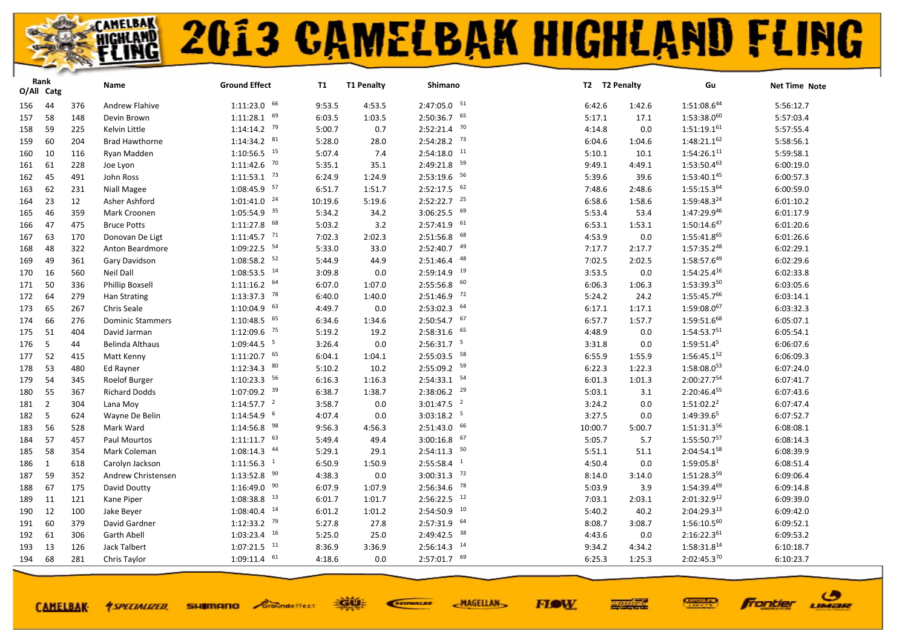| O/All Catg | Rank           |     | Name                    | <b>Ground Effect</b>      | T1      | <b>T1 Penalty</b> | Shimano                     |         | T2 T2 Penalty | Gu                      | Net Time Note |
|------------|----------------|-----|-------------------------|---------------------------|---------|-------------------|-----------------------------|---------|---------------|-------------------------|---------------|
| 156        | 44             | 376 | Andrew Flahive          | $1:11:23.0$ 66            | 9:53.5  | 4:53.5            | $2:47:05.0$ $51$            | 6:42.6  | 1:42.6        | $1:51:08.6^{44}$        | 5:56:12.7     |
| 157        | 58             | 148 | Devin Brown             | $1:11:28.1$ 69            | 6:03.5  | 1:03.5            | $2:50:36.7$ 65              | 5:17.1  | 17.1          | $1:53:38.0^{60}$        | 5:57:03.4     |
| 158        | 59             | 225 | Kelvin Little           | $1:14:14.2$ <sup>79</sup> | 5:00.7  | 0.7               | $2:52:21.4$ 70              | 4:14.8  | 0.0           | $1:51:19.1^{61}$        | 5:57:55.4     |
| 159        | 60             | 204 | <b>Brad Hawthorne</b>   | $1:14:34.2$ $81$          | 5:28.0  | 28.0              | $2:54:28.2$ <sup>73</sup>   | 6:04.6  | 1:04.6        | $1:48:21.1^{62}$        | 5:58:56.1     |
| 160        | 10             | 116 | Ryan Madden             | $1:10:56.5$ <sup>15</sup> | 5:07.4  | 7.4               | $2:54:18.0$ <sup>11</sup>   | 5:10.1  | 10.1          | 1:54:26.1 <sup>11</sup> | 5:59:58.1     |
| 161        | 61             | 228 | Joe Lyon                | $1:11:42.6$ <sup>70</sup> | 5:35.1  | 35.1              | $2:49:21.8$ <sup>59</sup>   | 9:49.1  | 4:49.1        | $1:53:50.4^{63}$        | 6:00:19.0     |
| 162        | 45             | 491 | John Ross               | $1:11:53.1$ <sup>73</sup> | 6:24.9  | 1:24.9            | $2:53:19.6$ 56              | 5:39.6  | 39.6          | 1:53:40.145             | 6:00:57.3     |
| 163        | 62             | 231 | Niall Magee             | 1:08:45.9 57              | 6:51.7  | 1:51.7            | $2:52:17.5$ 62              | 7:48.6  | 2:48.6        | 1:55:15.364             | 6:00:59.0     |
| 164        | 23             | 12  | Asher Ashford           | $1:01:41.0$ <sup>24</sup> | 10:19.6 | 5:19.6            | $2:52:22.7$ $25$            | 6:58.6  | 1:58.6        | 1:59:48.324             | 6:01:10.2     |
| 165        | 46             | 359 | Mark Croonen            | $1:05:54.9$ <sup>35</sup> | 5:34.2  | 34.2              | $3:06:25.5$ 69              | 5:53.4  | 53.4          | 1:47:29.946             | 6:01:17.9     |
| 166        | 47             | 475 | <b>Bruce Potts</b>      | $1:11:27.8$ 68            | 5:03.2  | 3.2               | $2:57:41.9$ $61$            | 6:53.1  | 1:53.1        | $1:50:14.6^{47}$        | 6:01:20.6     |
| 167        | 63             | 170 | Donovan De Ligt         | $1:11:45.7$ <sup>71</sup> | 7:02.3  | 2:02.3            | $2:51:56.8$ 68              | 4:53.9  | 0.0           | 1:55:41.865             | 6:01:26.6     |
| 168        | 48             | 322 | Anton Beardmore         | 1:09:22.5 54              | 5:33.0  | 33.0              | 49<br>2:52:40.7             | 7:17.7  | 2:17.7        | $1:57:35.2^{48}$        | 6:02:29.1     |
| 169        | 49             | 361 | Gary Davidson           | $1:08:58.2$ 52            | 5:44.9  | 44.9              | $2:51:46.4$ $48$            | 7:02.5  | 2:02.5        | 1:58:57.649             | 6:02:29.6     |
| 170        | 16             | 560 | Neil Dall               | $1:08:53.5$ <sup>14</sup> | 3:09.8  | 0.0               | $2:59:14.9$ <sup>19</sup>   | 3:53.5  | 0.0           | $1:54:25.4^{16}$        | 6:02:33.8     |
| 171        | 50             | 336 | <b>Phillip Boxsell</b>  | $1:11:16.2$ 64            | 6:07.0  | 1:07.0            | $2:55:56.8$ 60              | 6:06.3  | 1:06.3        | 1:53:39.350             | 6:03:05.6     |
| 172        | 64             | 279 | Han Strating            | $1:13:37.3$ <sup>78</sup> | 6:40.0  | 1:40.0            | $2:51:46.9$ <sup>72</sup>   | 5:24.2  | 24.2          | $1:55:45.7^{66}$        | 6:03:14.1     |
| 173        | 65             | 267 | Chris Seale             | $1:10:04.9$ 63            | 4:49.7  | 0.0               | $2:53:02.3$ 64              | 6:17.1  | 1:17.1        | 1:59:08.067             | 6:03:32.3     |
| 174        | 66             | 276 | <b>Dominic Stammers</b> | $1:10:48.5$ 65            | 6:34.6  | 1:34.6            | $2:50:54.7$ 67              | 6:57.7  | 1:57.7        | 1:59:51.668             | 6:05:07.1     |
| 175        | 51             | 404 | David Jarman            | $1:12:09.6$ <sup>75</sup> | 5:19.2  | 19.2              | $2:58:31.6$ 65              | 4:48.9  | 0.0           | 1:54:53.751             | 6:05:54.1     |
| 176        | 5              | 44  | Belinda Althaus         | $1:09:44.5$ <sup>5</sup>  | 3:26.4  | 0.0               | $2:56:31.7$ <sup>5</sup>    | 3:31.8  | 0.0           | $1:59:51.4^5$           | 6:06:07.6     |
| 177        | 52             | 415 | Matt Kenny              | $1:11:20.7$ 65            | 6:04.1  | 1:04.1            | $2:55:03.5$ 58              | 6:55.9  | 1:55.9        | 1:56:45.152             | 6:06:09.3     |
| 178        | 53             | 480 | Ed Rayner               | $1:12:34.3$ $80$          | 5:10.2  | 10.2              | $2:55:09.2$ 59              | 6:22.3  | 1:22.3        | $1:58:08.0^{53}$        | 6:07:24.0     |
| 179        | 54             | 345 | Roelof Burger           | $1:10:23.3$ 56            | 6:16.3  | 1:16.3            | $2:54:33.1$ 54              | 6:01.3  | 1:01.3        | 2:00:27.754             | 6:07:41.7     |
| 180        | 55             | 367 | <b>Richard Dodds</b>    | $1:07:09.2$ <sup>39</sup> | 6:38.7  | 1:38.7            | $2:38:06.2$ <sup>29</sup>   | 5:03.1  | 3.1           | 2:20:46.455             | 6:07:43.6     |
| 181        | $\overline{2}$ | 304 | Lana Moy                | $1:14:57.7$ <sup>2</sup>  | 3:58.7  | 0.0               | $3:01:47.5$ <sup>2</sup>    | 3:24.2  | 0.0           | $1:51:02.2^2$           | 6:07:47.4     |
| 182        | 5              | 624 | Wayne De Belin          | $1:14:54.9$ <sup>6</sup>  | 4:07.4  | 0.0               | $3:03:18.2$ <sup>5</sup>    | 3:27.5  | 0.0           | 1:49:39.65              | 6:07:52.7     |
| 183        | 56             | 528 | Mark Ward               | $1:14:56.8$ <sup>98</sup> | 9:56.3  | 4:56.3            | $2:51:43.0$ 66              | 10:00.7 | 5:00.7        | 1:51:31.356             | 6:08:08.1     |
| 184        | 57             | 457 | Paul Mourtos            | $1:11:11.7$ <sup>63</sup> | 5:49.4  | 49.4              | 67<br>3:00:16.8             | 5:05.7  | 5.7           | $1:55:50.7^{57}$        | 6:08:14.3     |
| 185        | 58             | 354 | Mark Coleman            | $1:08:14.3$ $44$          | 5:29.1  | 29.1              | $2:54:11.3$ <sup>50</sup>   | 5:51.1  | 51.1          | $2:04:54.1^{58}$        | 6:08:39.9     |
| 186        | 1              | 618 | Carolyn Jackson         | $1:11:56.3$ <sup>1</sup>  | 6:50.9  | 1:50.9            | $\overline{1}$<br>2:55:58.4 | 4:50.4  | 0.0           | 1:59:05.8 <sup>1</sup>  | 6:08:51.4     |
| 187        | 59             | 352 | Andrew Christensen      | $1:13:52.8$ $90$          | 4:38.3  | 0.0               | $3:00:31.3$ <sup>72</sup>   | 8:14.0  | 3:14.0        | $1:51:28.3^{59}$        | 6:09:06.4     |
| 188        | 67             | 175 | David Doutty            | $1:16:49.0$ 90            | 6:07.9  | 1:07.9            | $2:56:34.6$ 78              | 5:03.9  | 3.9           | 1:54:39.469             | 6:09:14.8     |
| 189        | 11             | 121 | Kane Piper              | $1:08:38.8$ <sup>13</sup> | 6:01.7  | 1:01.7            | $2:56:22.5$ <sup>12</sup>   | 7:03.1  | 2:03.1        | $2:01:32.9^{12}$        | 6:09:39.0     |
| 190        | 12             | 100 | Jake Beyer              | $1:08:40.4$ <sup>14</sup> | 6:01.2  | 1:01.2            | $2:54:50.9$ 10              | 5:40.2  | 40.2          | 2:04:29.313             | 6:09:42.0     |
| 191        | 60             | 379 | David Gardner           | $1:12:33.2$ <sup>79</sup> | 5:27.8  | 27.8              | $2:57:31.9$ 64              | 8:08.7  | 3:08.7        | $1:56:10.5^{60}$        | 6:09:52.1     |
| 192        | 61             | 306 | <b>Garth Abell</b>      | $1:03:23.4$ 16            | 5:25.0  | 25.0              | $2:49:42.5$ 38              | 4:43.6  | 0.0           | 2:16:22.361             | 6:09:53.2     |
| 193        | 13             | 126 | <b>Jack Talbert</b>     | $1:07:21.5$ <sup>11</sup> | 8:36.9  | 3:36.9            | $2:56:14.3$ <sup>14</sup>   | 9:34.2  | 4:34.2        | 1:58:31.8 <sup>14</sup> | 6:10:18.7     |
| 194        | 68             | 281 | Chris Taylor            | $1:09:11.4$ <sup>61</sup> | 4:18.6  | 0.0               | $2:57:01.7$ 69              | 6:25.3  | 1:25.3        | 2:02:45.370             | 6:10:23.7     |

**CAMELBAK-**

*<u>ASPECIALIZED.</u>* 

EGUE **SHIMANO** Groundeffect

SCIENALDE

**FIOW MAGELLAN** 



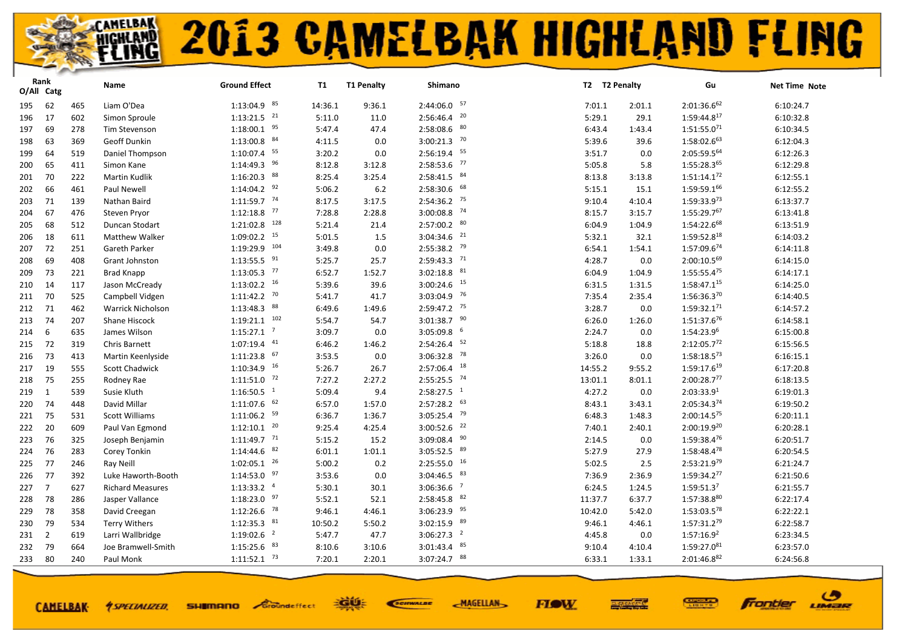| O/All Catg | Rank           |     | Name                     | <b>Ground Effect</b>       | <b>T1</b> | <b>T1 Penalty</b> | Shimano                   |         | T2 T2 Penalty | Gu                      | Net Time Note |
|------------|----------------|-----|--------------------------|----------------------------|-----------|-------------------|---------------------------|---------|---------------|-------------------------|---------------|
| 195        | 62             | 465 | Liam O'Dea               | $1:13:04.9$ 85             | 14:36.1   | 9:36.1            | $2:44:06.0$ 57            | 7:01.1  | 2:01.1        | $2:01:36.6^{62}$        | 6:10:24.7     |
| 196        | 17             | 602 | Simon Sproule            | $1:13:21.5$ <sup>21</sup>  | 5:11.0    | 11.0              | $2:56:46.4$ <sup>20</sup> | 5:29.1  | 29.1          | $1:59:44.8^{17}$        | 6:10:32.8     |
| 197        | 69             | 278 | Tim Stevenson            | $1:18:00.1$ 95             | 5:47.4    | 47.4              | $2:58:08.6$ 80            | 6:43.4  | 1:43.4        | $1:51:55.0^{71}$        | 6:10:34.5     |
| 198        | 63             | 369 | Geoff Dunkin             | $1:13:00.8$ $84$           | 4:11.5    | 0.0               | $3:00:21.3$ <sup>70</sup> | 5:39.6  | 39.6          | 1:58:02.663             | 6:12:04.3     |
| 199        | 64             | 519 | Daniel Thompson          | $1:10:07.4$ 55             | 3:20.2    | 0.0               | $2:56:19.4$ 55            | 3:51.7  | 0.0           | 2:05:59.564             | 6:12:26.3     |
| 200        | 65             | 411 | Simon Kane               | $1:14:49.3$ 96             | 8:12.8    | 3:12.8            | $2:58:53.6$ 77            | 5:05.8  | 5.8           | 1:55:28.365             | 6:12:29.8     |
| 201        | 70             | 222 | <b>Martin Kudlik</b>     | $1:16:20.3$ 88             | 8:25.4    | 3:25.4            | $2:58:41.5$ $84$          | 8:13.8  | 3:13.8        | $1:51:14.1^{72}$        | 6:12:55.1     |
| 202        | 66             | 461 | Paul Newell              | $1:14:04.2$ <sup>92</sup>  | 5:06.2    | 6.2               | $2:58:30.6$ 68            | 5:15.1  | 15.1          | 1:59:59.166             | 6:12:55.2     |
| 203        | 71             | 139 | Nathan Baird             | $1:11:59.7$ <sup>74</sup>  | 8:17.5    | 3:17.5            | $2:54:36.2$ 75            | 9:10.4  | 4:10.4        | 1:59:33.973             | 6:13:37.7     |
| 204        | 67             | 476 | Steven Pryor             | $1:12:18.8$ $77$           | 7:28.8    | 2:28.8            | $3:00:08.8$ <sup>74</sup> | 8:15.7  | 3:15.7        | 1:55:29.767             | 6:13:41.8     |
| 205        | 68             | 512 | Duncan Stodart           | $1:21:02.8$ <sup>128</sup> | 5:21.4    | 21.4              | $2:57:00.2$ 80            | 6:04.9  | 1:04.9        | 1:54:22.668             | 6:13:51.9     |
| 206        | 18             | 611 | <b>Matthew Walker</b>    | $1:09:02.2$ <sup>15</sup>  | 5:01.5    | 1.5               | 21<br>3:04:34.6           | 5:32.1  | 32.1          | 1:59:52.818             | 6:14:03.2     |
| 207        | 72             | 251 | Gareth Parker            | 1:19:29.9 104              | 3:49.8    | 0.0               | $2:55:38.2$ <sup>79</sup> | 6:54.1  | 1:54.1        | 1:57:09.674             | 6:14:11.8     |
| 208        | 69             | 408 | Grant Johnston           | $1:13:55.5$ <sup>91</sup>  | 5:25.7    | 25.7              | $2:59:43.3$ <sup>71</sup> | 4:28.7  | 0.0           | 2:00:10.569             | 6:14:15.0     |
| 209        | 73             | 221 | <b>Brad Knapp</b>        | $1:13:05.3$ $77$           | 6:52.7    | 1:52.7            | 81<br>3:02:18.8           | 6:04.9  | 1:04.9        | $1:55:55.4^{75}$        | 6:14:17.1     |
| 210        | 14             | 117 | Jason McCready           | $1:13:02.2$ 16             | 5:39.6    | 39.6              | $3:00:24.6$ 15            | 6:31.5  | 1:31.5        | 1:58:47.115             | 6:14:25.0     |
| 211        | 70             | 525 | Campbell Vidgen          | $1:11:42.2$ <sup>70</sup>  | 5:41.7    | 41.7              | $3:03:04.9$ <sup>76</sup> | 7:35.4  | 2:35.4        | 1:56:36.370             | 6:14:40.5     |
| 212        | 71             | 462 | <b>Warrick Nicholson</b> | $1:13:48.3$ 88             | 6:49.6    | 1:49.6            | 2:59:47.2 75              | 3:28.7  | 0.0           | 1:59:32.171             | 6:14:57.2     |
| 213        | 74             | 207 | Shane Hiscock            | $1:19:21.1$ $102$          | 5:54.7    | 54.7              | $3:01:38.7$ $90$          | 6:26.0  | 1:26.0        | 1:51:37.676             | 6:14:58.1     |
| 214        | 6              | 635 | James Wilson             | $1:15:27.1$ <sup>7</sup>   | 3:09.7    | 0.0               | $3:05:09.8$ 6             | 2:24.7  | 0.0           | 1:54:23.96              | 6:15:00.8     |
| 215        | 72             | 319 | Chris Barnett            | $1:07:19.4$ $41$           | 6:46.2    | 1:46.2            | 52<br>2:54:26.4           | 5:18.8  | 18.8          | 2:12:05.772             | 6:15:56.5     |
| 216        | 73             | 413 | Martin Keenlyside        | $1:11:23.8$ 67             | 3:53.5    | 0.0               | $3:06:32.8$ 78            | 3:26.0  | 0.0           | $1:58:18.5^{73}$        | 6:16:15.1     |
| 217        | 19             | 555 | <b>Scott Chadwick</b>    | $1:10:34.9$ <sup>16</sup>  | 5:26.7    | 26.7              | $2:57:06.4$ <sup>18</sup> | 14:55.2 | 9:55.2        | 1:59:17.6 <sup>19</sup> | 6:17:20.8     |
| 218        | 75             | 255 | Rodney Rae               | $1:11:51.0$ <sup>72</sup>  | 7:27.2    | 2:27.2            | $2:55:25.5$ 74            | 13:01.1 | 8:01.1        | 2:00:28.777             | 6:18:13.5     |
| 219        | 1              | 539 | Susie Kluth              | $1:16:50.5$ <sup>1</sup>   | 5:09.4    | 9.4               | $2:58:27.5$ <sup>1</sup>  | 4:27.2  | 0.0           | 2:03:33.9 <sup>1</sup>  | 6:19:01.3     |
| 220        | 74             | 448 | David Millar             | $1:11:07.6$ 62             | 6:57.0    | 1:57.0            | $2:57:28.2$ 63            | 8:43.1  | 3:43.1        | 2:05:34.374             | 6:19:50.2     |
| 221        | 75             | 531 | <b>Scott Williams</b>    | $1:11:06.2$ <sup>59</sup>  | 6:36.7    | 1:36.7            | $3:05:25.4$ <sup>79</sup> | 6:48.3  | 1:48.3        | 2:00:14.575             | 6:20:11.1     |
| 222        | 20             | 609 | Paul Van Egmond          | $1:12:10.1$ <sup>20</sup>  | 9:25.4    | 4:25.4            | 22<br>3:00:52.6           | 7:40.1  | 2:40.1        | $2:00:19.9^{20}$        | 6:20:28.1     |
| 223        | 76             | 325 | Joseph Benjamin          | $1:11:49.7$ <sup>71</sup>  | 5:15.2    | 15.2              | 90<br>3:09:08.4           | 2:14.5  | 0.0           | 1:59:38.476             | 6:20:51.7     |
| 224        | 76             | 283 | Corey Tonkin             | $1:14:44.6$ $82$           | 6:01.1    | 1:01.1            | $3:05:52.5$ $89$          | 5:27.9  | 27.9          | 1:58:48.478             | 6:20:54.5     |
| 225        | 77             | 246 | Ray Neill                | $1:02:05.1$ $^{26}$        | 5:00.2    | 0.2               | $2:25:55.0$ 16            | 5:02.5  | 2.5           | 2:53:21.979             | 6:21:24.7     |
| 226        | 77             | 392 | Luke Haworth-Booth       | $1:14:53.0$ $97$           | 3:53.6    | 0.0               | $3:04:46.5$ $83$          | 7:36.9  | 2:36.9        | 1:59:34.277             | 6:21:50.6     |
| 227        | $\overline{7}$ | 627 | <b>Richard Measures</b>  | $1:13:33.2$ <sup>4</sup>   | 5:30.1    | 30.1              | $3:06:36.6$ <sup>7</sup>  | 6:24.5  | 1:24.5        | 1:59:51.3 <sup>7</sup>  | 6:21:55.7     |
| 228        | 78             | 286 | Jasper Vallance          | $1:18:23.0$ $97$           | 5:52.1    | 52.1              | 82<br>2:58:45.8           | 11:37.7 | 6:37.7        | 1:57:38.880             | 6:22:17.4     |
| 229        | 78             | 358 | David Creegan            | $1:12:26.6$ <sup>78</sup>  | 9:46.1    | 4:46.1            | 3:06:23.9 95              | 10:42.0 | 5:42.0        | 1:53:03.578             | 6:22:22.1     |
| 230        | 79             | 534 | <b>Terry Withers</b>     | $1:12:35.3$ $81$           | 10:50.2   | 5:50.2            | $3:02:15.9$ $89$          | 9:46.1  | 4:46.1        | $1:57:31.2^{79}$        | 6:22:58.7     |
| 231        | $\overline{2}$ | 619 | Larri Wallbridge         | $1:19:02.6$ <sup>2</sup>   | 5:47.7    | 47.7              | $3:06:27.3$ <sup>2</sup>  | 4:45.8  | 0.0           | 1:57:16.9 <sup>2</sup>  | 6:23:34.5     |
| 232        | 79             | 664 | Joe Bramwell-Smith       | 83<br>1:15:25.6            | 8:10.6    | 3:10.6            | 85<br>3:01:43.4           | 9:10.4  | 4:10.4        | 1:59:27.081             | 6:23:57.0     |
| 233        | 80             | 240 | Paul Monk                | $1:11:52.1$ <sup>73</sup>  | 7:20.1    | 2:20.1            | 3:07:24.7 88              | 6:33.1  | 1:33.1        | 2:01:46.882             | 6:24:56.8     |

**CAMELBAK-**

*<u>ASPECIALIZED.</u>* 

**SHIMANO** Groundeffect

EGUE SCIENALDE

**FIOW MAGELLAN** 



ဖ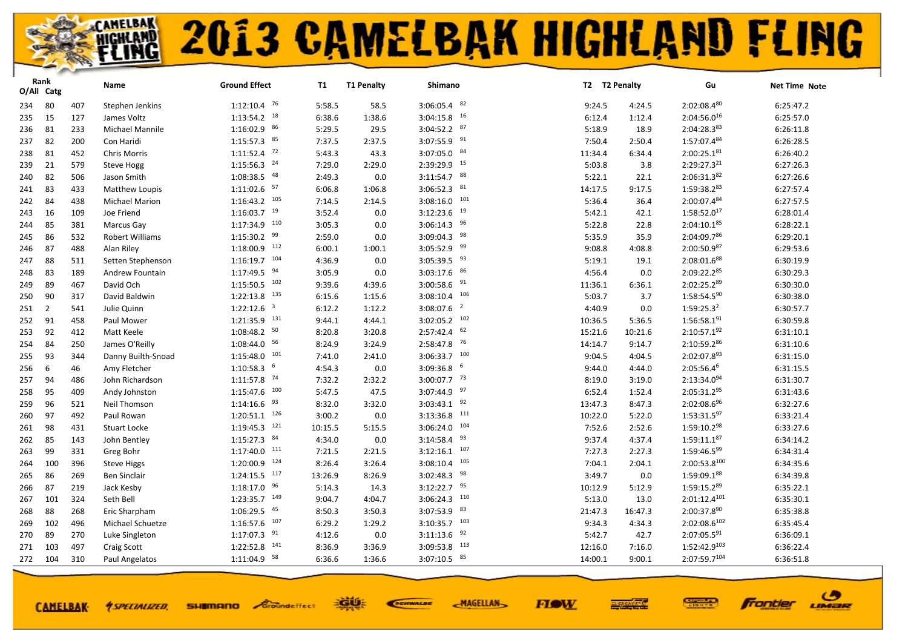|     | Rank<br>O/All Catg |     | Name                  | <b>Ground Effect</b>       | <b>T1</b> | <b>T1 Penalty</b> | Shimano                   |         | T2 T2 Penalty | Gu                | Net Time Note |
|-----|--------------------|-----|-----------------------|----------------------------|-----------|-------------------|---------------------------|---------|---------------|-------------------|---------------|
| 234 | 80                 | 407 | Stephen Jenkins       | $1:12:10.4$ 76             | 5:58.5    | 58.5              | $3:06:05.4$ 82            | 9:24.5  | 4:24.5        | $2:02:08.4^{80}$  | 6:25:47.2     |
| 235 | 15                 | 127 | James Voltz           | $1:13:54.2$ <sup>18</sup>  | 6:38.6    | 1:38.6            | $3:04:15.8$ <sup>16</sup> | 6:12.4  | 1:12.4        | $2:04:56.0^{16}$  | 6:25:57.0     |
| 236 | 81                 | 233 | Michael Mannile       | 1:16:02.9 86               | 5:29.5    | 29.5              | $3:04:52.2$ 87            | 5:18.9  | 18.9          | 2:04:28.383       | 6:26:11.8     |
| 237 | 82                 | 200 | Con Haridi            | $1:15:57.3$ $85$           | 7:37.5    | 2:37.5            | $3:07:55.9$ <sup>91</sup> | 7:50.4  | 2:50.4        | 1:57:07.484       | 6:26:28.5     |
| 238 | 81                 | 452 | <b>Chris Morris</b>   | $1:11:52.4$ <sup>72</sup>  | 5:43.3    | 43.3              | $3:07:05.0$ 84            | 11:34.4 | 6:34.4        | 2:00:25.181       | 6:26:40.2     |
| 239 | 21                 | 579 | <b>Steve Hogg</b>     | $1:15:56.3$ <sup>24</sup>  | 7:29.0    | 2:29.0            | 2:39:29.9 15              | 5:03.8  | 3.8           | $2:29:27.3^{21}$  | 6:27:26.3     |
| 240 | 82                 | 506 | Jason Smith           | $1:08:38.5$ $48$           | 2:49.3    | 0.0               | $3:11:54.7$ 88            | 5:22.1  | 22.1          | 2:06:31.382       | 6:27:26.6     |
| 241 | 83                 | 433 | Matthew Loupis        | $1:11:02.6$ <sup>57</sup>  | 6:06.8    | 1:06.8            | $3:06:52.3$ $81$          | 14:17.5 | 9:17.5        | 1:59:38.283       | 6:27:57.4     |
| 242 | 84                 | 438 | <b>Michael Marion</b> | $1:16:43.2$ 105            | 7:14.5    | 2:14.5            | $3:08:16.0$ 101           | 5:36.4  | 36.4          | 2:00:07.484       | 6:27:57.5     |
| 243 | 16                 | 109 | Joe Friend            | $1:16:03.7$ <sup>19</sup>  | 3:52.4    | 0.0               | 19<br>3:12:23.6           | 5:42.1  | 42.1          | $1:58:52.0^{17}$  | 6:28:01.4     |
| 244 | 85                 | 381 | Marcus Gay            | $1:17:34.9$ <sup>110</sup> | 3:05.3    | 0.0               | $3:06:14.3$ 96            | 5:22.8  | 22.8          | $2:04:10.1^{85}$  | 6:28:22.1     |
| 245 | 86                 | 532 | Robert Williams       | $1:15:30.2$ 99             | 2:59.0    | 0.0               | $3:09:04.3$ <sup>98</sup> | 5:35.9  | 35.9          | 2:04:09.786       | 6:29:20.1     |
| 246 | 87                 | 488 | Alan Riley            | $1:18:00.9$ <sup>112</sup> | 6:00.1    | 1:00.1            | $3:05:52.9$ <sup>99</sup> | 9:08.8  | 4:08.8        | $2:00:50.9^{87}$  | 6:29:53.6     |
| 247 | 88                 | 511 | Setten Stephenson     | $1:16:19.7$ 104            | 4:36.9    | 0.0               | $3:05:39.5$ <sup>93</sup> | 5:19.1  | 19.1          | 2:08:01.688       | 6:30:19.9     |
| 248 | 83                 | 189 | Andrew Fountain       | $1:17:49.5$ <sup>94</sup>  | 3:05.9    | 0.0               | $3:03:17.6$ 86            | 4:56.4  | 0.0           | 2:09:22.285       | 6:30:29.3     |
| 249 | 89                 | 467 | David Och             | $1:15:50.5$ 102            | 9:39.6    | 4:39.6            | $3:00:58.6$ <sup>91</sup> | 11:36.1 | 6:36.1        | 2:02:25.289       | 6:30:30.0     |
| 250 | 90                 | 317 | David Baldwin         | $1:22:13.8$ <sup>135</sup> | 6:15.6    | 1:15.6            | $3:08:10.4$ 106           | 5:03.7  | 3.7           | $1:58:54.5^{90}$  | 6:30:38.0     |
| 251 | $\overline{2}$     | 541 | Julie Quinn           | $1:22:12.6$ <sup>3</sup>   | 6:12.2    | 1:12.2            | $3:08:07.6$ <sup>2</sup>  | 4:40.9  | 0.0           | $1:59:25.3^2$     | 6:30:57.7     |
| 252 | 91                 | 458 | Paul Mower            | $1:21:35.9$ <sup>131</sup> | 9:44.1    | 4:44.1            | $3:02:05.2$ 102           | 10:36.5 | 5:36.5        | $1:56:58.1^{91}$  | 6:30:59.8     |
| 253 | 92                 | 412 | Matt Keele            | $1:08:48.2$ 50             | 8:20.8    | 3:20.8            | $2:57:42.4$ 62            | 15:21.6 | 10:21.6       | 2:10:57.192       | 6:31:10.1     |
| 254 | 84                 | 250 | James O'Reilly        | $1:08:44.0$ 56             | 8:24.9    | 3:24.9            | 76<br>2:58:47.8           | 14:14.7 | 9:14.7        | 2:10:59.286       | 6:31:10.6     |
| 255 | 93                 | 344 | Danny Builth-Snoad    | $1:15:48.0$ 101            | 7:41.0    | 2:41.0            | $3:06:33.7$ 100           | 9:04.5  | 4:04.5        | 2:02:07.893       | 6:31:15.0     |
| 256 | 6                  | 46  | Amy Fletcher          | $1:10:58.3$ <sup>6</sup>   | 4:54.3    | 0.0               | $3:09:36.8$ 6             | 9:44.0  | 4:44.0        | $2:05:56.4^{6}$   | 6:31:15.5     |
| 257 | 94                 | 486 | John Richardson       | 1:11:57.8 74               | 7:32.2    | 2:32.2            | $3:00:07.7$ 73            | 8:19.0  | 3:19.0        | 2:13:34.094       | 6:31:30.7     |
| 258 | 95                 | 409 | Andy Johnston         | 100<br>1:15:47.6           | 5:47.5    | 47.5              | $3:07:44.9$ <sup>97</sup> | 6:52.4  | 1:52.4        | 2:05:31.295       | 6:31:43.6     |
| 259 | 96                 | 521 | Neil Thomson          | 93<br>1:14:16.6            | 8:32.0    | 3:32.0            | $3:03:43.1$ 92            | 13:47.3 | 8:47.3        | 2:02:08.696       | 6:32:27.6     |
| 260 | 97                 | 492 | Paul Rowan            | $1:20:51.1$ $126$          | 3:00.2    | 0.0               | 111<br>3:13:36.8          | 10:22.0 | 5:22.0        | $1:53:31.5^{97}$  | 6:33:21.4     |
| 261 | 98                 | 431 | <b>Stuart Locke</b>   | $1:19:45.3$ <sup>121</sup> | 10:15.5   | 5:15.5            | 104<br>3:06:24.0          | 7:52.6  | 2:52.6        | 1:59:10.298       | 6:33:27.6     |
| 262 | 85                 | 143 | John Bentley          | $1:15:27.3$ $84$           | 4:34.0    | 0.0               | $3:14:58.4$ $93$          | 9:37.4  | 4:37.4        | $1:59:11.1^{87}$  | 6:34:14.2     |
| 263 | 99                 | 331 | Greg Bohr             | $1:17:40.0$ <sup>111</sup> | 7:21.5    | 2:21.5            | 107<br>3:12:16.1          | 7:27.3  | 2:27.3        | 1:59:46.599       | 6:34:31.4     |
| 264 | 100                | 396 | <b>Steve Higgs</b>    | $1:20:00.9$ 124            | 8:26.4    | 3:26.4            | 105<br>3:08:10.4          | 7:04.1  | 2:04.1        | 2:00:53.8100      | 6:34:35.6     |
| 265 | 86                 | 269 | Ben Sinclair          | $1:24:15.5$ $117$          | 13:26.9   | 8:26.9            | $3:02:48.3$ <sup>98</sup> | 3:49.7  | 0.0           | 1:59:09.188       | 6:34:39.8     |
| 266 | 87                 | 219 | Jack Kesby            | $1:18:17.0$ 96             | 5:14.3    | 14.3              | $3:12:22.7$ 95            | 10:12.9 | 5:12.9        | 1:59:15.289       | 6:35:22.1     |
| 267 | 101                | 324 | Seth Bell             | $1:23:35.7$ 149            | 9:04.7    | 4:04.7            | $3:06:24.3$ 110           | 5:13.0  | 13.0          | $2:01:12.4^{101}$ | 6:35:30.1     |
| 268 | 88                 | 268 | Eric Sharpham         | $1:06:29.5$ $45$           | 8:50.3    | 3:50.3            | $3:07:53.9$ 83            | 21:47.3 | 16:47.3       | 2:00:37.890       | 6:35:38.8     |
| 269 | 102                | 496 | Michael Schuetze      | $1:16:57.6$ $107$          | 6:29.2    | 1:29.2            | 103<br>3:10:35.7          | 9:34.3  | 4:34.3        | $2:02:08.6^{102}$ | 6:35:45.4     |
| 270 | 89                 | 270 | Luke Singleton        | $1:17:07.3$ 91             | 4:12.6    | 0.0               | $3:11:13.6$ 92            | 5:42.7  | 42.7          | 2:07:05.591       | 6:36:09.1     |
| 271 | 103                | 497 | Craig Scott           | 141<br>1:22:52.8           | 8:36.9    | 3:36.9            | 113<br>3:09:53.8          | 12:16.0 | 7:16.0        | 1:52:42.9103      | 6:36:22.4     |
| 272 | 104                | 310 | Paul Angelatos        | 1:11:04.9 58               | 6:36.6    | 1:36.6            | $3:07:10.5$ 85            | 14:00.1 | 9:00.1        | 2:07:59.7104      | 6:36:51.8     |
|     |                    |     |                       |                            |           |                   |                           |         |               |                   |               |

EGUE

**SHIMANO** Groundeffect

**CAMELBAK-**

*<u>ASPECIALIZED.</u>* 

SCIENALDE

**MAGELLAN** 

**FIOW** 

ு

LIMER

**Frontier**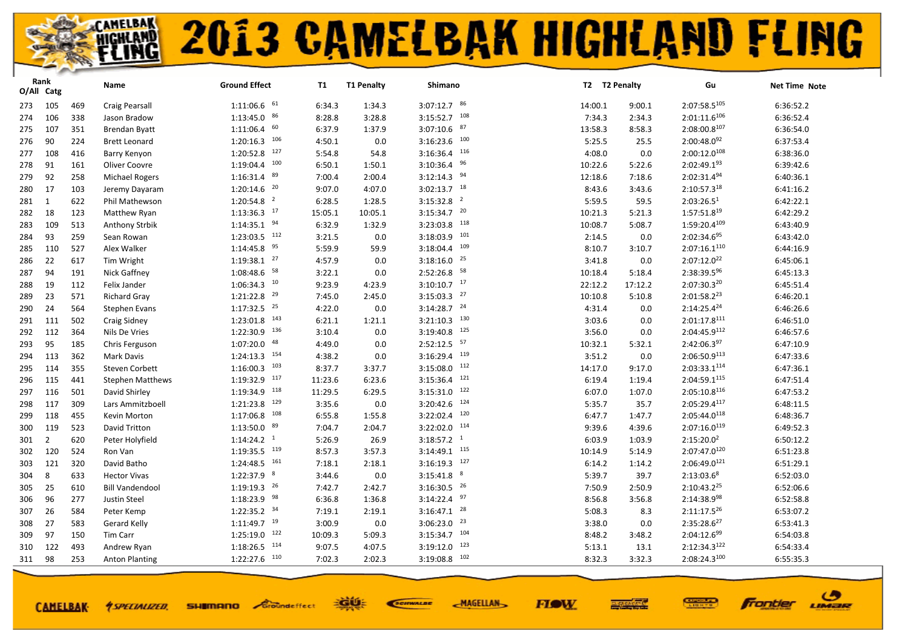|     | Rank<br>O/All Catg |     | Name                    | <b>Ground Effect</b>       | <b>T1</b> | <b>T1 Penalty</b> | Shimano                     | T2 T2 Penalty |         | Gu                                | <b>Net Time Note</b> |
|-----|--------------------|-----|-------------------------|----------------------------|-----------|-------------------|-----------------------------|---------------|---------|-----------------------------------|----------------------|
|     |                    |     |                         | $1:11:06.6$ 61             |           |                   | $3:07:12.7$ 86              |               |         | $2:07:58.5^{105}$                 |                      |
| 273 | 105                | 469 | Craig Pearsall          |                            | 6:34.3    | 1:34.3            | 108                         | 14:00.1       | 9:00.1  |                                   | 6:36:52.2            |
| 274 | 106                | 338 | Jason Bradow            | $1:13:45.0$ $86$<br>60     | 8:28.8    | 3:28.8            | 3:15:52.7<br>$3:07:10.6$ 87 | 7:34.3        | 2:34.3  | $2:01:11.6^{106}$<br>2:08:00.8107 | 6:36:52.4            |
| 275 | 107                | 351 | <b>Brendan Byatt</b>    | 1:11:06.4                  | 6:37.9    | 1:37.9            |                             | 13:58.3       | 8:58.3  |                                   | 6:36:54.0            |
| 276 | 90                 | 224 | <b>Brett Leonard</b>    | $1:20:16.3$ $106$          | 4:50.1    | 0.0               | $3:16:23.6$ 100<br>116      | 5:25.5        | 25.5    | $2:00:48.0^{92}$                  | 6:37:53.4            |
| 277 | 108                | 416 | Barry Kenyon            | $1:20:52.8$ 127<br>100     | 5:54.8    | 54.8              | 3:16:36.4<br>96             | 4:08.0        | 0.0     | 2:00:12.0108                      | 6:38:36.0            |
| 278 | 91                 | 161 | Oliver Coovre           | 1:19:04.4                  | 6:50.1    | 1:50.1            | 3:10:36.4                   | 10:22.6       | 5:22.6  | $2:02:49.1^{93}$                  | 6:39:42.6            |
| 279 | 92                 | 258 | <b>Michael Rogers</b>   | 89<br>1:16:31.4            | 7:00.4    | 2:00.4            | $3:12:14.3$ 94              | 12:18.6       | 7:18.6  | 2:02:31.494                       | 6:40:36.1            |
| 280 | 17                 | 103 | Jeremy Dayaram          | $1:20:14.6$ <sup>20</sup>  | 9:07.0    | 4:07.0            | $3:02:13.7$ 18              | 8:43.6        | 3:43.6  | $2:10:57.3^{18}$                  | 6:41:16.2            |
| 281 | 1                  | 622 | Phil Mathewson          | $1:20:54.8$ <sup>2</sup>   | 6:28.5    | 1:28.5            | $3:15:32.8$ <sup>2</sup>    | 5:59.5        | 59.5    | 2:03:26.5 <sup>1</sup>            | 6:42:22.1            |
| 282 | 18                 | 123 | Matthew Ryan            | $1:13:36.3$ <sup>17</sup>  | 15:05.1   | 10:05.1           | $3:15:34.7$ <sup>20</sup>   | 10:21.3       | 5:21.3  | $1:57:51.8^{19}$                  | 6:42:29.2            |
| 283 | 109                | 513 | Anthony Strbik          | $1:14:35.1$ 94             | 6:32.9    | 1:32.9            | 118<br>3:23:03.8            | 10:08.7       | 5:08.7  | 1:59:20.4109                      | 6:43:40.9            |
| 284 | 93                 | 259 | Sean Rowan              | $1:23:03.5$ $112$          | 3:21.5    | 0.0               | 101<br>3:18:03.9            | 2:14.5        | 0.0     | 2:02:34.695                       | 6:43:42.0            |
| 285 | 110                | 527 | Alex Walker             | 95<br>1:14:45.8            | 5:59.9    | 59.9              | 109<br>3:18:04.4            | 8:10.7        | 3:10.7  | 2:07:16.1 <sup>110</sup>          | 6:44:16.9            |
| 286 | 22                 | 617 | Tim Wright              | $1:19:38.1$ $27$           | 4:57.9    | 0.0               | $3:18:16.0$ <sup>25</sup>   | 3:41.8        | 0.0     | 2:07:12.0 <sup>22</sup>           | 6:45:06.1            |
| 287 | 94                 | 191 | Nick Gaffney            | $1:08:48.6$ <sup>58</sup>  | 3:22.1    | 0.0               | $2:52:26.8$ <sup>58</sup>   | 10:18.4       | 5:18.4  | 2:38:39.596                       | 6:45:13.3            |
| 288 | 19                 | 112 | Felix Jander            | $1:06:34.3$ <sup>10</sup>  | 9:23.9    | 4:23.9            | $3:10:10.7$ 17              | 22:12.2       | 17:12.2 | 2:07:30.320                       | 6:45:51.4            |
| 289 | 23                 | 571 | <b>Richard Gray</b>     | $1:21:22.8$ <sup>29</sup>  | 7:45.0    | 2:45.0            | $3:15:03.3$ <sup>27</sup>   | 10:10.8       | 5:10.8  | $2:01:58.2^{23}$                  | 6:46:20.1            |
| 290 | 24                 | 564 | <b>Stephen Evans</b>    | $1:17:32.5$ <sup>25</sup>  | 4:22.0    | 0.0               | $3:14:28.7$ $24$            | 4:31.4        | 0.0     | $2:14:25.4^{24}$                  | 6:46:26.6            |
| 291 | 111                | 502 | Craig Sidney            | $1:23:01.8$ <sup>143</sup> | 6:21.1    | 1:21.1            | 130<br>3:21:10.3            | 3:03.6        | 0.0     | 2:01:17.8 <sup>111</sup>          | 6:46:51.0            |
| 292 | 112                | 364 | Nils De Vries           | 1:22:30.9 136              | 3:10.4    | 0.0               | $3:19:40.8$ 125             | 3:56.0        | 0.0     | 2:04:45.9112                      | 6:46:57.6            |
| 293 | 95                 | 185 | Chris Ferguson          | 48<br>1:07:20.0            | 4:49.0    | 0.0               | $2:52:12.5$ <sup>57</sup>   | 10:32.1       | 5:32.1  | $2:42:06.3^{97}$                  | 6:47:10.9            |
| 294 | 113                | 362 | Mark Davis              | $1:24:13.3$ <sup>154</sup> | 4:38.2    | 0.0               | 119<br>3:16:29.4            | 3:51.2        | 0.0     | 2:06:50.9113                      | 6:47:33.6            |
| 295 | 114                | 355 | <b>Steven Corbett</b>   | 103<br>1:16:00.3           | 8:37.7    | 3:37.7            | 112<br>3:15:08.0            | 14:17.0       | 9:17.0  | $2:03:33.1^{114}$                 | 6:47:36.1            |
| 296 | 115                | 441 | <b>Stephen Matthews</b> | $1:19:32.9$ 117            | 11:23.6   | 6:23.6            | 121<br>3:15:36.4            | 6:19.4        | 1:19.4  | 2:04:59.1115                      | 6:47:51.4            |
| 297 | 116                | 501 | David Shirley           | $1:19:34.9$ <sup>118</sup> | 11:29.5   | 6:29.5            | 122<br>3:15:31.0            | 6:07.0        | 1:07.0  | $2:05:10.8^{116}$                 | 6:47:53.2            |
| 298 | 117                | 309 | Lars Ammitzboell        | 129<br>1:21:23.8           | 3:35.6    | 0.0               | 124<br>3:20:42.6            | 5:35.7        | 35.7    | 2:05:29.4117                      | 6:48:11.5            |
| 299 | 118                | 455 | Kevin Morton            | $1:17:06.8$ <sup>108</sup> | 6:55.8    | 1:55.8            | 120<br>3:22:02.4            | 6:47.7        | 1:47.7  | 2:05:44.0 <sup>118</sup>          | 6:48:36.7            |
| 300 | 119                | 523 | David Tritton           | $1:13:50.0$ $89$           | 7:04.7    | 2:04.7            | 114<br>3:22:02.0            | 9:39.6        | 4:39.6  | $2:07:16.0^{119}$                 | 6:49:52.3            |
| 301 | $\overline{2}$     | 620 | Peter Holyfield         | $1:14:24.2$ <sup>1</sup>   | 5:26.9    | 26.9              | $3:18:57.2$ <sup>1</sup>    | 6:03.9        | 1:03.9  | $2:15:20.0^2$                     | 6:50:12.2            |
| 302 | 120                | 524 | Ron Van                 | $1:19:35.5$ <sup>119</sup> | 8:57.3    | 3:57.3            | $3:14:49.1$ $115$           | 10:14.9       | 5:14.9  | 2:07:47.0120                      | 6:51:23.8            |
| 303 | 121                | 320 | David Batho             | $1:24:48.5$ <sup>161</sup> | 7:18.1    | 2:18.1            | 127<br>3:16:19.3            | 6:14.2        | 1:14.2  | $2:06:49.0^{121}$                 | 6:51:29.1            |
| 304 | 8                  | 633 | <b>Hector Vivas</b>     | $1:22:37.9$ 8              | 3:44.6    | 0.0               | 8<br>3:15:41.8              | 5:39.7        | 39.7    | $2:13:03.6^8$                     | 6:52:03.0            |
| 305 | 25                 | 610 | <b>Bill Vandendool</b>  | $1:19:19.3$ <sup>26</sup>  | 7:42.7    | 2:42.7            | $3:16:30.5$ <sup>26</sup>   | 7:50.9        | 2:50.9  | $2:10:43.2^{25}$                  | 6:52:06.6            |
| 306 | 96                 | 277 | <b>Justin Steel</b>     | $1:18:23.9$ <sup>98</sup>  | 6:36.8    | 1:36.8            | 97<br>3:14:22.4             | 8:56.8        | 3:56.8  | 2:14:38.998                       | 6:52:58.8            |
| 307 | 26                 | 584 | Peter Kemp              | $1:22:35.2$ 34             | 7:19.1    | 2:19.1            | $3:16:47.1$ $28$            | 5:08.3        | 8.3     | $2:11:17.5^{26}$                  | 6:53:07.2            |
| 308 | 27                 | 583 | Gerard Kelly            | $1:11:49.7$ <sup>19</sup>  | 3:00.9    | 0.0               | 23<br>3:06:23.0             | 3:38.0        | 0.0     | $2:35:28.6^{27}$                  | 6:53:41.3            |
| 309 | 97                 | 150 | Tim Carr                | $1:25:19.0$ 122            | 10:09.3   | 5:09.3            | $3:15:34.7$ 104             | 8:48.2        | 3:48.2  | $2:04:12.6^{99}$                  | 6:54:03.8            |
| 310 | 122                | 493 | Andrew Ryan             | $1:18:26.5$ $114$          | 9:07.5    | 4:07.5            | 123<br>3:19:12.0            | 5:13.1        | 13.1    | $2:12:34.3^{122}$                 | 6:54:33.4            |
| 311 | 98                 | 253 | <b>Anton Planting</b>   | $1:22:27.6$ $110$          | 7:02.3    | 2:02.3            | $3:19:08.8$ 102             | 8:32.3        | 3:32.3  | 2:08:24.3100                      | 6:55:35.3            |
|     |                    |     |                         |                            |           |                   |                             |               |         |                                   |                      |

**CAMELBAK-**

**SHIMANO** Groundeffect *<u>ASPECIALIZED.</u>* 

EGUE SCIENALDE

**FIOW MAGELLAN** 



ဖ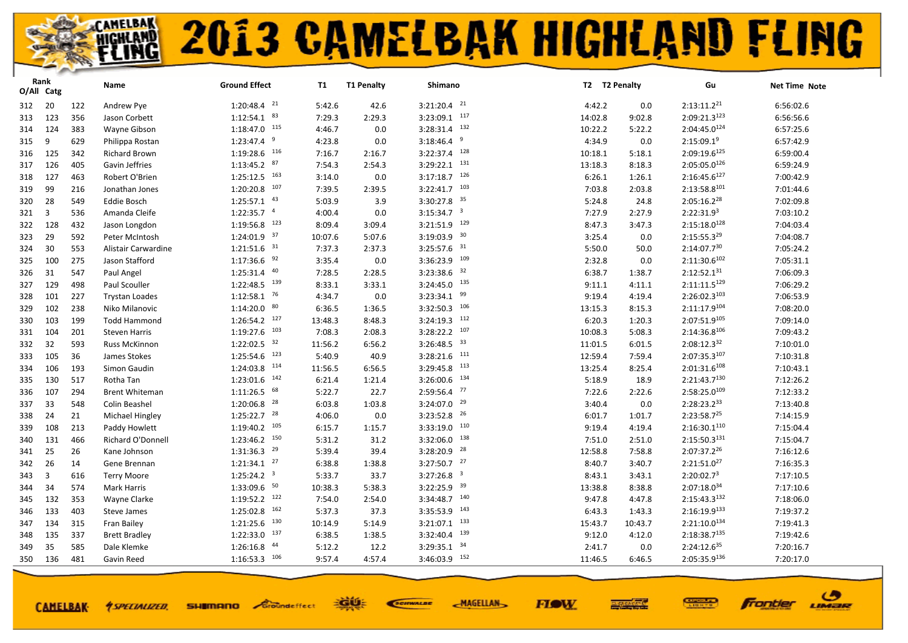|     | Rank<br>O/All Catg |     | Name                  | <b>Ground Effect</b>       | T1      | <b>T1 Penalty</b> | Shimano                    | T2 T2 Penalty |         | Gu                       | Net Time Note |
|-----|--------------------|-----|-----------------------|----------------------------|---------|-------------------|----------------------------|---------------|---------|--------------------------|---------------|
| 312 | 20                 | 122 | Andrew Pye            | $1:20:48.4$ <sup>21</sup>  | 5:42.6  | 42.6              | $3:21:20.4$ $21$           | 4:42.2        | 0.0     | $2:13:11.2^{21}$         | 6:56:02.6     |
| 313 | 123                | 356 | Jason Corbett         | $1:12:54.1$ $83$           | 7:29.3  | 2:29.3            | $3:23:09.1$ 117            | 14:02.8       | 9:02.8  | $2:09:21.3^{123}$        | 6:56:56.6     |
| 314 | 124                | 383 | Wayne Gibson          | $1:18:47.0$ 115            | 4:46.7  | 0.0               | $3:28:31.4$ $132$          | 10:22.2       | 5:22.2  | 2:04:45.0124             | 6:57:25.6     |
| 315 | 9                  | 629 | Philippa Rostan       | $1:23:47.4$ <sup>9</sup>   | 4:23.8  | 0.0               | 9<br>3:18:46.4             | 4:34.9        | 0.0     | $2:15:09.1^9$            | 6:57:42.9     |
| 316 | 125                | 342 | <b>Richard Brown</b>  | 1:19:28.6 116              | 7:16.7  | 2:16.7            | $3:22:37.4$ 128            | 10:18.1       | 5:18.1  | 2:09:19.6125             | 6:59:00.4     |
| 317 | 126                | 405 | Gavin Jeffries        | $1:13:45.2$ 87             | 7:54.3  | 2:54.3            | $3:29:22.1$ $131$          | 13:18.3       | 8:18.3  | $2:05:05.0^{126}$        | 6:59:24.9     |
| 318 | 127                | 463 | Robert O'Brien        | $1:25:12.5$ 163            | 3:14.0  | 0.0               | $3:17:18.7$ 126            | 6:26.1        | 1:26.1  | $2:16:45.6^{127}$        | 7:00:42.9     |
| 319 | 99                 | 216 | Jonathan Jones        | $1:20:20.8$ $107$          | 7:39.5  | 2:39.5            | $3:22:41.7$ 103            | 7:03.8        | 2:03.8  | $2:13:58.8^{101}$        | 7:01:44.6     |
| 320 | 28                 | 549 | <b>Eddie Bosch</b>    | $1:25:57.1$ $43$           | 5:03.9  | 3.9               | $3:30:27.8$ 35             | 5:24.8        | 24.8    | 2:05:16.228              | 7:02:09.8     |
| 321 | $\overline{3}$     | 536 | Amanda Cleife         | $1:22:35.7$ <sup>4</sup>   | 4:00.4  | 0.0               | $3:15:34.7$ <sup>3</sup>   | 7:27.9        | 2:27.9  | 2:22:31.9 <sup>3</sup>   | 7:03:10.2     |
| 322 | 128                | 432 | Jason Longdon         | $1:19:56.8$ <sup>123</sup> | 8:09.4  | 3:09.4            | $3:21:51.9$ 129            | 8:47.3        | 3:47.3  | $2:15:18.0^{128}$        | 7:04:03.4     |
| 323 | 29                 | 592 | Peter McIntosh        | $1:24:01.9$ 37             | 10:07.6 | 5:07.6            | 30<br>3:19:03.9            | 3:25.4        | 0.0     | $2:15:55.3^{29}$         | 7:04:08.7     |
| 324 | 30                 | 553 | Alistair Carwardine   | $1:21:51.6$ <sup>31</sup>  | 7:37.3  | 2:37.3            | $3:25:57.6$ 31             | 5:50.0        | 50.0    | $2:14:07.7^{30}$         | 7:05:24.2     |
| 325 | 100                | 275 | Jason Stafford        | $1:17:36.6$ 92             | 3:35.4  | 0.0               | $3:36:23.9$ 109            | 2:32.8        | 0.0     | $2:11:30.6^{102}$        | 7:05:31.1     |
| 326 | 31                 | 547 | Paul Angel            | $1:25:31.4$ $40$           | 7:28.5  | 2:28.5            | 32<br>3:23:38.6            | 6:38.7        | 1:38.7  | $2:12:52.1^{31}$         | 7:06:09.3     |
| 327 | 129                | 498 | Paul Scouller         | $1:22:48.5$ <sup>139</sup> | 8:33.1  | 3:33.1            | $3:24:45.0$ $135$          | 9:11.1        | 4:11.1  | 2:11:11.5129             | 7:06:29.2     |
| 328 | 101                | 227 | <b>Trystan Loades</b> | $1:12:58.1$ <sup>76</sup>  | 4:34.7  | 0.0               | 99<br>3:23:34.1            | 9:19.4        | 4:19.4  | $2:26:02.3^{103}$        | 7:06:53.9     |
| 329 | 102                | 238 | Niko Milanovic        | 80<br>1:14:20.0            | 6:36.5  | 1:36.5            | $3:32:50.3$ 106            | 13:15.3       | 8:15.3  | 2:11:17.9104             | 7:08:20.0     |
| 330 | 103                | 199 | <b>Todd Hammond</b>   | $1:26:54.2$ <sup>127</sup> | 13:48.3 | 8:48.3            | $3:24:19.3$ 112            | 6:20.3        | 1:20.3  | 2:07:51.9105             | 7:09:14.0     |
| 331 | 104                | 201 | <b>Steven Harris</b>  | $1:19:27.6$ 103            | 7:08.3  | 2:08.3            | $3:28:22.2$ 107            | 10:08.3       | 5:08.3  | 2:14:36.8106             | 7:09:43.2     |
| 332 | 32                 | 593 | <b>Russ McKinnon</b>  | $1:22:02.5$ 32             | 11:56.2 | 6:56.2            | $3:26:48.5$ 33             | 11:01.5       | 6:01.5  | $2:08:12.3^{32}$         | 7:10:01.0     |
| 333 | 105                | 36  | James Stokes          | $1:25:54.6$ $123$          | 5:40.9  | 40.9              | $3:28:21.6$ 111            | 12:59.4       | 7:59.4  | 2:07:35.3107             | 7:10:31.8     |
| 334 | 106                | 193 | Simon Gaudin          | $1:24:03.8$ <sup>114</sup> | 11:56.5 | 6:56.5            | $3:29:45.8$ <sup>113</sup> | 13:25.4       | 8:25.4  | $2:01:31.6^{108}$        | 7:10:43.1     |
| 335 | 130                | 517 | Rotha Tan             | $1:23:01.6$ $142$          | 6:21.4  | 1:21.4            | $3:26:00.6$ 134            | 5:18.9        | 18.9    | 2:21:43.7 <sup>130</sup> | 7:12:26.2     |
| 336 | 107                | 294 | <b>Brent Whiteman</b> | $1:11:26.5$ 68             | 5:22.7  | 22.7              | $2:59:56.4$ $77$           | 7:22.6        | 2:22.6  | $2:58:25.0^{109}$        | 7:12:33.2     |
| 337 | 33                 | 548 | Colin Beashel         | $1:20:06.8$ <sup>28</sup>  | 6:03.8  | 1:03.8            | $3:24:07.0$ $29$           | 3:40.4        | 0.0     | 2:28:23.233              | 7:13:40.8     |
| 338 | 24                 | 21  | Michael Hingley       | $1:25:22.7$ $28$           | 4:06.0  | 0.0               | 26<br>3:23:52.8            | 6:01.7        | 1:01.7  | $2:23:58.7^{25}$         | 7:14:15.9     |
| 339 | 108                | 213 | Paddy Howlett         | $1:19:40.2$ <sup>105</sup> | 6:15.7  | 1:15.7            | $3:33:19.0$ 110            | 9:19.4        | 4:19.4  | $2:16:30.1^{110}$        | 7:15:04.4     |
| 340 | 131                | 466 | Richard O'Donnell     | $1:23:46.2$ <sup>150</sup> | 5:31.2  | 31.2              | 138<br>3:32:06.0           | 7:51.0        | 2:51.0  | $2:15:50.3^{131}$        | 7:15:04.7     |
| 341 | 25                 | 26  | Kane Johnson          | $1:31:36.3$ <sup>29</sup>  | 5:39.4  | 39.4              | $3:28:20.9$ <sup>28</sup>  | 12:58.8       | 7:58.8  | 2:07:37.2 <sup>26</sup>  | 7:16:12.6     |
| 342 | 26                 | 14  | Gene Brennan          | $1:21:34.1$ $27$           | 6:38.8  | 1:38.8            | $3:27:50.7$ $27$           | 8:40.7        | 3:40.7  | $2:21:51.0^{27}$         | 7:16:35.3     |
| 343 | 3                  | 616 | <b>Terry Moore</b>    | $1:25:24.2$ <sup>3</sup>   | 5:33.7  | 33.7              | $3:27:26.8$ <sup>3</sup>   | 8:43.1        | 3:43.1  | 2:20:02.7 <sup>3</sup>   | 7:17:10.5     |
| 344 | 34                 | 574 | Mark Harris           | $1:33:09.6$ 50             | 10:38.3 | 5:38.3            | $3:22:25.9$ 39             | 13:38.8       | 8:38.8  | $2:07:18.0^{34}$         | 7:17:10.6     |
| 345 | 132                | 353 | Wayne Clarke          | $1:19:52.2$ <sup>122</sup> | 7:54.0  | 2:54.0            | $3:34:48.7$ 140            | 9:47.8        | 4:47.8  | 2:15:43.3132             | 7:18:06.0     |
| 346 | 133                | 403 | Steve James           | $1:25:02.8$ 162            | 5:37.3  | 37.3              | $3:35:53.9$ 143            | 6:43.3        | 1:43.3  | 2:16:19.9133             | 7:19:37.2     |
| 347 | 134                | 315 | Fran Bailey           | $1:21:25.6$ $130$          | 10:14.9 | 5:14.9            | $3:21:07.1$ $133$          | 15:43.7       | 10:43.7 | $2:21:10.0^{134}$        | 7:19:41.3     |
| 348 | 135                | 337 | <b>Brett Bradley</b>  | $1:22:33.0$ $137$          | 6:38.5  | 1:38.5            | $3:32:40.4$ $139$          | 9:12.0        | 4:12.0  | 2:18:38.7135             | 7:19:42.6     |
| 349 | 35                 | 585 | Dale Klemke           | 44<br>1:26:16.8            | 5:12.2  | 12.2              | 34<br>3:29:35.1            | 2:41.7        | 0.0     | $2:24:12.6^{35}$         | 7:20:16.7     |
| 350 | 136                | 481 | Gavin Reed            | $1:16:53.3$ <sup>106</sup> | 9:57.4  | 4:57.4            | 3:46:03.9 152              | 11:46.5       | 6:46.5  | 2:05:35.9136             | 7:20:17.0     |
|     |                    |     |                       |                            |         |                   |                            |               |         |                          |               |

**CAMELBAK-**

**SHIMANO** Groundeffect *<u>ASPECIALIZED.</u>* 

EGUE SCIENALDE **MAGELLAN** 



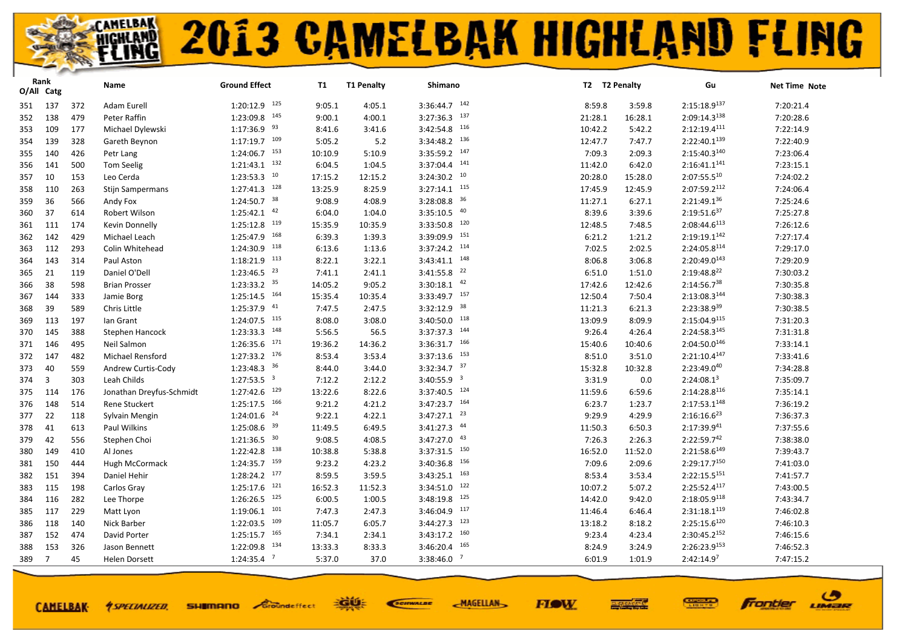| $1:20:12.9$ 125<br>$3:36:44.7$ 142<br>$2:15:18.9^{137}$<br>137<br>9:05.1<br>7:20:21.4<br>372<br>Adam Eurell<br>4:05.1<br>8:59.8<br>3:59.8<br>351<br>145<br>$3:27:36.3$ $137$<br>2:09:14.3 <sup>138</sup><br>138<br>479<br>1:23:09.8<br>9:00.1<br>7:20:28.6<br>Peter Raffin<br>4:00.1<br>21:28.1<br>16:28.1<br>352<br>$1:17:36.9$ <sup>93</sup><br>$3:42:54.8$ 116<br>2:12:19.4 <sup>111</sup><br>7:22:14.9<br>109<br>177<br>Michael Dylewski<br>8:41.6<br>3:41.6<br>10:42.2<br>5:42.2<br>353<br>$3:34:48.2$ $136$<br>$1:17:19.7$ <sup>109</sup><br>2:22:40.1 <sup>139</sup><br>5:05.2<br>7:22:40.9<br>139<br>328<br>5.2<br>12:47.7<br>7:47.7<br>354<br>Gareth Beynon<br>$3:35:59.2$ 147<br>$1:24:06.7$ 153<br>$2:15:40.3^{140}$<br>10:10.9<br>5:10.9<br>7:09.3<br>7:23:06.4<br>140<br>426<br>Petr Lang<br>2:09.3<br>355<br>$1:21:43.1$ $132$<br>141<br>2:16:41.1 <sup>141</sup><br>6:04.5<br>1:04.5<br>3:37:04.4<br>7:23:15.1<br>141<br>500<br><b>Tom Seelig</b><br>11:42.0<br>6:42.0<br>356<br>$1:23:53.3$ <sup>10</sup><br>$3:24:30.2$ 10<br>$2:07:55.5^{10}$<br>7:24:02.2<br>10<br>153<br>17:15.2<br>12:15.2<br>20:28.0<br>15:28.0<br>357<br>Leo Cerda<br>$1:27:41.3$ <sup>128</sup><br>115<br>$2:07:59.2^{112}$<br>13:25.9<br>8:25.9<br>3:27:14.1<br>17:45.9<br>7:24:06.4<br>110<br>263<br>12:45.9<br>358<br><b>Stijn Sampermans</b><br>$3:28:08.8$ 36<br>$1:24:50.7$ 38<br>9:08.9<br>2:21:49.136<br>7:25:24.6<br>36<br>4:08.9<br>11:27.1<br>6:27.1<br>566<br>Andy Fox<br>359<br>$1:25:42.1$ $42$<br>$3:35:10.5$ $40$<br>$2:19:51.6^{37}$<br>37<br>6:04.0<br>1:04.0<br>8:39.6<br>3:39.6<br>7:25:27.8<br>614<br>Robert Wilson<br>360<br>$1:25:12.8$ <sup>119</sup><br>120<br>2:08:44.6 <sup>113</sup><br>15:35.9<br>3:33:50.8<br>7:26:12.6<br>111<br>174<br>10:35.9<br>12:48.5<br>7:48.5<br>361<br>Kevin Donnelly<br>$1:25:47.9$ 168<br>151<br>$2:19:19.1^{142}$<br>7:27:17.4<br>142<br>6:39.3<br>3:39:09.9<br>429<br>Michael Leach<br>1:39.3<br>6:21.2<br>1:21.2<br>362<br>$1:24:30.9$ 118<br>$3:37:24.2$ 114<br>$2:24:05.8^{114}$<br>112<br>293<br>Colin Whitehead<br>6:13.6<br>1:13.6<br>7:02.5<br>2:02.5<br>7:29:17.0<br>363<br>$3:43:41.1$ $148$<br>$1:18:21.9$ 113<br>2:20:49.0143<br>8:22.1<br>7:29:20.9<br>143<br>314<br>Paul Aston<br>3:22.1<br>8:06.8<br>3:06.8<br>364<br>22<br>$1:23:46.5$ <sup>23</sup><br>$2:19:48.8^{22}$<br>3:41:55.8<br>7:30:03.2<br>21<br>119<br>Daniel O'Dell<br>7:41.1<br>2:41.1<br>6:51.0<br>1:51.0<br>365<br>$1:23:33.2$ 35<br>$3:30:18.1$ $42$<br>$2:14:56.7^{38}$<br>7:30:35.8<br>38<br>598<br>14:05.2<br>9:05.2<br>17:42.6<br>12:42.6<br>366<br><b>Brian Prosser</b><br>$3:33:49.7$ 157<br>$1:25:14.5$ <sup>164</sup><br>2:13:08.3144<br>15:35.4<br>10:35.4<br>7:30:38.3<br>144<br>333<br>12:50.4<br>7:50.4<br>367<br>Jamie Borg<br>1:25:37.9 41<br>$3:32:12.9$ 38<br>7:47.5<br>2:23:38.939<br>7:30:38.5<br>39<br>589<br>2:47.5<br>11:21.3<br>Chris Little<br>6:21.3<br>368<br>$1:24:07.5$ $115$<br>118<br>$2:15:04.9^{115}$<br>8:08.0<br>3:40:50.0<br>13:09.9<br>7:31:20.3<br>113<br>197<br>lan Grant<br>3:08.0<br>8:09.9<br>369<br>$1:23:33.3$ $148$<br>$3:37:37.3$ 144<br>2:24:58.3145<br>145<br>388<br>5:56.5<br>56.5<br>9:26.4<br>4:26.4<br>7:31:31.8<br>370<br>Stephen Hancock<br>$1:26:35.6$ $171$<br>166<br>$2:04:50.0^{146}$<br>19:36.2<br>3:36:31.7<br>7:33:14.1<br>146<br>495<br>Neil Salmon<br>14:36.2<br>15:40.6<br>10:40.6<br>371<br>$1:27:33.2$ $176$<br>153<br>2:21:10.4 <sup>147</sup><br>8:53.4<br>3:53.4<br>3:37:13.6<br>8:51.0<br>7:33:41.6<br>147<br>482<br>Michael Rensford<br>3:51.0<br>372<br>$1:23:48.3$ 36<br>$3:32:34.7$ 37<br>$2:23:49.0^{40}$<br>40<br>559<br>8:44.0<br>15:32.8<br>7:34:28.8<br>373<br>Andrew Curtis-Cody<br>3:44.0<br>10:32.8<br>$1:27:53.5$ <sup>3</sup><br>$3:40:55.9$ <sup>3</sup><br>7:12.2<br>3:31.9<br>2:24:08.1 <sup>3</sup><br>7:35:09.7<br>3<br>303<br>Leah Childs<br>2:12.2<br>0.0<br>374<br>$1:27:42.6$ <sup>129</sup><br>$3:37:40.5$ $124$<br>2:14:28.8116<br>13:22.6<br>8:22.6<br>7:35:14.1<br>114<br>176<br>Jonathan Dreyfus-Schmidt<br>11:59.6<br>6:59.6<br>375<br>$3:47:23.7$ 164<br>$1:25:17.5$ 166<br>9:21.2<br>2:17:53.1 <sup>148</sup><br>7:36:19.2<br>148<br>514<br>4:21.2<br>6:23.7<br>1:23.7<br>376<br><b>Rene Stuckert</b><br>$3:47:27.1$ $23$<br>$1:24:01.6$ <sup>24</sup><br>$2:16:16.6^{23}$<br>22<br>9:22.1<br>4:22.1<br>9:29.9<br>7:36:37.3<br>377<br>118<br>Sylvain Mengin<br>4:29.9<br>39<br>$3:41:27.3$ $44$<br>1:25:08.6<br>11:49.5<br>$2:17:39.9^{41}$<br>7:37:55.6<br>41<br>613<br>6:49.5<br>11:50.3<br>6:50.3<br>378<br>Paul Wilkins<br>$1:21:36.5$ 30<br>$3:47:27.0$ $43$<br>$2:22:59.7^{42}$<br>9:08.5<br>42<br>4:08.5<br>7:26.3<br>2:26.3<br>7:38:38.0<br>556<br>Stephen Choi<br>379<br>$1:22:42.8$ <sup>138</sup><br>$3:37:31.5$ $150$<br>$2:21:58.6^{149}$<br>7:39:43.7<br>10:38.8<br>5:38.8<br>16:52.0<br>11:52.0<br>149<br>410<br>Al Jones<br>380<br>159<br>156<br>2:29:17.7150<br>3:40:36.8<br>150<br>1:24:35.7<br>9:23.2<br>4:23.2<br>7:09.6<br>2:09.6<br>7:41:03.0<br>381<br>444<br>Hugh McCormack<br>$1:28:24.2$ $177$<br>163<br>$2:22:15.5^{151}$<br>8:59.5<br>3:59.5<br>3:43:25.1<br>8:53.4<br>7:41:57.7<br>382<br>151<br>394<br>Daniel Hehir<br>3:53.4<br>$1:25:17.6$ $121$<br>122<br>16:52.3<br>2:25:52.4117<br>7:43:00.5<br>115<br>198<br>11:52.3<br>3:34:51.0<br>10:07.2<br>5:07.2<br>383<br>Carlos Gray<br>$1:26:26.5$ $125$<br>125<br>$2:18:05.9^{118}$<br>6:00.5<br>3:48:19.8<br>7:43:34.7<br>116<br>282<br>Lee Thorpe<br>1:00.5<br>14:42.0<br>9:42.0<br>384<br>$1:19:06.1$ 101<br>$3:46:04.9$ 117<br>2:31:18.1 <sup>119</sup><br>117<br>7:47.3<br>2:47.3<br>7:46:02.8<br>229<br>Matt Lyon<br>11:46.4<br>6:46.4<br>385<br>123<br>$1:22:03.5$ $109$<br>$2:25:15.6^{120}$<br>3:44:27.3<br>7:46:10.3<br>118<br>140<br>11:05.7<br>6:05.7<br>13:18.2<br>8:18.2<br>386<br>Nick Barber<br>$3:43:17.2$ 160<br>$1:25:15.7$ 165<br>152<br>474<br>7:34.1<br>2:34.1<br>9:23.4<br>4:23.4<br>2:30:45.2152<br>7:46:15.6<br>387<br>David Porter<br>165<br>134<br>1:22:09.8<br>2:26:23.9153<br>13:33.3<br>8:33.3<br>3:46:20.4<br>7:46:52.3<br>153<br>326<br>8:24.9<br>3:24.9<br>388<br>Jason Bennett<br>$1:24:35.4$ <sup>7</sup><br>5:37.0<br>$3:38:46.0$ <sup>7</sup><br>2:42:14.97<br>45<br>37.0<br>6:01.9<br>1:01.9<br>7:47:15.2<br>389<br>$\overline{7}$<br><b>Helen Dorsett</b> | Rank<br>O/All Catg | Name | <b>Ground Effect</b> | <b>T1</b> | <b>T1 Penalty</b> | Shimano | T2 T2 Penalty | Gu | <b>Net Time Note</b> |
|----------------------------------------------------------------------------------------------------------------------------------------------------------------------------------------------------------------------------------------------------------------------------------------------------------------------------------------------------------------------------------------------------------------------------------------------------------------------------------------------------------------------------------------------------------------------------------------------------------------------------------------------------------------------------------------------------------------------------------------------------------------------------------------------------------------------------------------------------------------------------------------------------------------------------------------------------------------------------------------------------------------------------------------------------------------------------------------------------------------------------------------------------------------------------------------------------------------------------------------------------------------------------------------------------------------------------------------------------------------------------------------------------------------------------------------------------------------------------------------------------------------------------------------------------------------------------------------------------------------------------------------------------------------------------------------------------------------------------------------------------------------------------------------------------------------------------------------------------------------------------------------------------------------------------------------------------------------------------------------------------------------------------------------------------------------------------------------------------------------------------------------------------------------------------------------------------------------------------------------------------------------------------------------------------------------------------------------------------------------------------------------------------------------------------------------------------------------------------------------------------------------------------------------------------------------------------------------------------------------------------------------------------------------------------------------------------------------------------------------------------------------------------------------------------------------------------------------------------------------------------------------------------------------------------------------------------------------------------------------------------------------------------------------------------------------------------------------------------------------------------------------------------------------------------------------------------------------------------------------------------------------------------------------------------------------------------------------------------------------------------------------------------------------------------------------------------------------------------------------------------------------------------------------------------------------------------------------------------------------------------------------------------------------------------------------------------------------------------------------------------------------------------------------------------------------------------------------------------------------------------------------------------------------------------------------------------------------------------------------------------------------------------------------------------------------------------------------------------------------------------------------------------------------------------------------------------------------------------------------------------------------------------------------------------------------------------------------------------------------------------------------------------------------------------------------------------------------------------------------------------------------------------------------------------------------------------------------------------------------------------------------------------------------------------------------------------------------------------------------------------------------------------------------------------------------------------------------------------------------------------------------------------------------------------------------------------------------------------------------------------------------------------------------------------------------------------------------------------------------------------------------------------------------------------------------------------------------------------------------------------------------------------------------------------------------------------------------------------------------------------------------------------------------------------------------------------------------------------------------------------------------------------------------------------------------------------------------------------------------------------------------------------------------------------------------------------------------------------------------------------------------------------------------------------------------------------------------------------------------------------------------------------------------------------------------------------------------------------------------------------------------------------------------------------------------------------------------------------------------------------------------------------------------------------------------------------------------------------------------------------------------------------------------------------------------------|--------------------|------|----------------------|-----------|-------------------|---------|---------------|----|----------------------|
|                                                                                                                                                                                                                                                                                                                                                                                                                                                                                                                                                                                                                                                                                                                                                                                                                                                                                                                                                                                                                                                                                                                                                                                                                                                                                                                                                                                                                                                                                                                                                                                                                                                                                                                                                                                                                                                                                                                                                                                                                                                                                                                                                                                                                                                                                                                                                                                                                                                                                                                                                                                                                                                                                                                                                                                                                                                                                                                                                                                                                                                                                                                                                                                                                                                                                                                                                                                                                                                                                                                                                                                                                                                                                                                                                                                                                                                                                                                                                                                                                                                                                                                                                                                                                                                                                                                                                                                                                                                                                                                                                                                                                                                                                                                                                                                                                                                                                                                                                                                                                                                                                                                                                                                                                                                                                                                                                                                                                                                                                                                                                                                                                                                                                                                                                                                                                                                                                                                                                                                                                                                                                                                                                                                                                                                                                                                      |                    |      |                      |           |                   |         |               |    |                      |
|                                                                                                                                                                                                                                                                                                                                                                                                                                                                                                                                                                                                                                                                                                                                                                                                                                                                                                                                                                                                                                                                                                                                                                                                                                                                                                                                                                                                                                                                                                                                                                                                                                                                                                                                                                                                                                                                                                                                                                                                                                                                                                                                                                                                                                                                                                                                                                                                                                                                                                                                                                                                                                                                                                                                                                                                                                                                                                                                                                                                                                                                                                                                                                                                                                                                                                                                                                                                                                                                                                                                                                                                                                                                                                                                                                                                                                                                                                                                                                                                                                                                                                                                                                                                                                                                                                                                                                                                                                                                                                                                                                                                                                                                                                                                                                                                                                                                                                                                                                                                                                                                                                                                                                                                                                                                                                                                                                                                                                                                                                                                                                                                                                                                                                                                                                                                                                                                                                                                                                                                                                                                                                                                                                                                                                                                                                                      |                    |      |                      |           |                   |         |               |    |                      |
|                                                                                                                                                                                                                                                                                                                                                                                                                                                                                                                                                                                                                                                                                                                                                                                                                                                                                                                                                                                                                                                                                                                                                                                                                                                                                                                                                                                                                                                                                                                                                                                                                                                                                                                                                                                                                                                                                                                                                                                                                                                                                                                                                                                                                                                                                                                                                                                                                                                                                                                                                                                                                                                                                                                                                                                                                                                                                                                                                                                                                                                                                                                                                                                                                                                                                                                                                                                                                                                                                                                                                                                                                                                                                                                                                                                                                                                                                                                                                                                                                                                                                                                                                                                                                                                                                                                                                                                                                                                                                                                                                                                                                                                                                                                                                                                                                                                                                                                                                                                                                                                                                                                                                                                                                                                                                                                                                                                                                                                                                                                                                                                                                                                                                                                                                                                                                                                                                                                                                                                                                                                                                                                                                                                                                                                                                                                      |                    |      |                      |           |                   |         |               |    |                      |
|                                                                                                                                                                                                                                                                                                                                                                                                                                                                                                                                                                                                                                                                                                                                                                                                                                                                                                                                                                                                                                                                                                                                                                                                                                                                                                                                                                                                                                                                                                                                                                                                                                                                                                                                                                                                                                                                                                                                                                                                                                                                                                                                                                                                                                                                                                                                                                                                                                                                                                                                                                                                                                                                                                                                                                                                                                                                                                                                                                                                                                                                                                                                                                                                                                                                                                                                                                                                                                                                                                                                                                                                                                                                                                                                                                                                                                                                                                                                                                                                                                                                                                                                                                                                                                                                                                                                                                                                                                                                                                                                                                                                                                                                                                                                                                                                                                                                                                                                                                                                                                                                                                                                                                                                                                                                                                                                                                                                                                                                                                                                                                                                                                                                                                                                                                                                                                                                                                                                                                                                                                                                                                                                                                                                                                                                                                                      |                    |      |                      |           |                   |         |               |    |                      |
|                                                                                                                                                                                                                                                                                                                                                                                                                                                                                                                                                                                                                                                                                                                                                                                                                                                                                                                                                                                                                                                                                                                                                                                                                                                                                                                                                                                                                                                                                                                                                                                                                                                                                                                                                                                                                                                                                                                                                                                                                                                                                                                                                                                                                                                                                                                                                                                                                                                                                                                                                                                                                                                                                                                                                                                                                                                                                                                                                                                                                                                                                                                                                                                                                                                                                                                                                                                                                                                                                                                                                                                                                                                                                                                                                                                                                                                                                                                                                                                                                                                                                                                                                                                                                                                                                                                                                                                                                                                                                                                                                                                                                                                                                                                                                                                                                                                                                                                                                                                                                                                                                                                                                                                                                                                                                                                                                                                                                                                                                                                                                                                                                                                                                                                                                                                                                                                                                                                                                                                                                                                                                                                                                                                                                                                                                                                      |                    |      |                      |           |                   |         |               |    |                      |
|                                                                                                                                                                                                                                                                                                                                                                                                                                                                                                                                                                                                                                                                                                                                                                                                                                                                                                                                                                                                                                                                                                                                                                                                                                                                                                                                                                                                                                                                                                                                                                                                                                                                                                                                                                                                                                                                                                                                                                                                                                                                                                                                                                                                                                                                                                                                                                                                                                                                                                                                                                                                                                                                                                                                                                                                                                                                                                                                                                                                                                                                                                                                                                                                                                                                                                                                                                                                                                                                                                                                                                                                                                                                                                                                                                                                                                                                                                                                                                                                                                                                                                                                                                                                                                                                                                                                                                                                                                                                                                                                                                                                                                                                                                                                                                                                                                                                                                                                                                                                                                                                                                                                                                                                                                                                                                                                                                                                                                                                                                                                                                                                                                                                                                                                                                                                                                                                                                                                                                                                                                                                                                                                                                                                                                                                                                                      |                    |      |                      |           |                   |         |               |    |                      |
|                                                                                                                                                                                                                                                                                                                                                                                                                                                                                                                                                                                                                                                                                                                                                                                                                                                                                                                                                                                                                                                                                                                                                                                                                                                                                                                                                                                                                                                                                                                                                                                                                                                                                                                                                                                                                                                                                                                                                                                                                                                                                                                                                                                                                                                                                                                                                                                                                                                                                                                                                                                                                                                                                                                                                                                                                                                                                                                                                                                                                                                                                                                                                                                                                                                                                                                                                                                                                                                                                                                                                                                                                                                                                                                                                                                                                                                                                                                                                                                                                                                                                                                                                                                                                                                                                                                                                                                                                                                                                                                                                                                                                                                                                                                                                                                                                                                                                                                                                                                                                                                                                                                                                                                                                                                                                                                                                                                                                                                                                                                                                                                                                                                                                                                                                                                                                                                                                                                                                                                                                                                                                                                                                                                                                                                                                                                      |                    |      |                      |           |                   |         |               |    |                      |
|                                                                                                                                                                                                                                                                                                                                                                                                                                                                                                                                                                                                                                                                                                                                                                                                                                                                                                                                                                                                                                                                                                                                                                                                                                                                                                                                                                                                                                                                                                                                                                                                                                                                                                                                                                                                                                                                                                                                                                                                                                                                                                                                                                                                                                                                                                                                                                                                                                                                                                                                                                                                                                                                                                                                                                                                                                                                                                                                                                                                                                                                                                                                                                                                                                                                                                                                                                                                                                                                                                                                                                                                                                                                                                                                                                                                                                                                                                                                                                                                                                                                                                                                                                                                                                                                                                                                                                                                                                                                                                                                                                                                                                                                                                                                                                                                                                                                                                                                                                                                                                                                                                                                                                                                                                                                                                                                                                                                                                                                                                                                                                                                                                                                                                                                                                                                                                                                                                                                                                                                                                                                                                                                                                                                                                                                                                                      |                    |      |                      |           |                   |         |               |    |                      |
|                                                                                                                                                                                                                                                                                                                                                                                                                                                                                                                                                                                                                                                                                                                                                                                                                                                                                                                                                                                                                                                                                                                                                                                                                                                                                                                                                                                                                                                                                                                                                                                                                                                                                                                                                                                                                                                                                                                                                                                                                                                                                                                                                                                                                                                                                                                                                                                                                                                                                                                                                                                                                                                                                                                                                                                                                                                                                                                                                                                                                                                                                                                                                                                                                                                                                                                                                                                                                                                                                                                                                                                                                                                                                                                                                                                                                                                                                                                                                                                                                                                                                                                                                                                                                                                                                                                                                                                                                                                                                                                                                                                                                                                                                                                                                                                                                                                                                                                                                                                                                                                                                                                                                                                                                                                                                                                                                                                                                                                                                                                                                                                                                                                                                                                                                                                                                                                                                                                                                                                                                                                                                                                                                                                                                                                                                                                      |                    |      |                      |           |                   |         |               |    |                      |
|                                                                                                                                                                                                                                                                                                                                                                                                                                                                                                                                                                                                                                                                                                                                                                                                                                                                                                                                                                                                                                                                                                                                                                                                                                                                                                                                                                                                                                                                                                                                                                                                                                                                                                                                                                                                                                                                                                                                                                                                                                                                                                                                                                                                                                                                                                                                                                                                                                                                                                                                                                                                                                                                                                                                                                                                                                                                                                                                                                                                                                                                                                                                                                                                                                                                                                                                                                                                                                                                                                                                                                                                                                                                                                                                                                                                                                                                                                                                                                                                                                                                                                                                                                                                                                                                                                                                                                                                                                                                                                                                                                                                                                                                                                                                                                                                                                                                                                                                                                                                                                                                                                                                                                                                                                                                                                                                                                                                                                                                                                                                                                                                                                                                                                                                                                                                                                                                                                                                                                                                                                                                                                                                                                                                                                                                                                                      |                    |      |                      |           |                   |         |               |    |                      |
|                                                                                                                                                                                                                                                                                                                                                                                                                                                                                                                                                                                                                                                                                                                                                                                                                                                                                                                                                                                                                                                                                                                                                                                                                                                                                                                                                                                                                                                                                                                                                                                                                                                                                                                                                                                                                                                                                                                                                                                                                                                                                                                                                                                                                                                                                                                                                                                                                                                                                                                                                                                                                                                                                                                                                                                                                                                                                                                                                                                                                                                                                                                                                                                                                                                                                                                                                                                                                                                                                                                                                                                                                                                                                                                                                                                                                                                                                                                                                                                                                                                                                                                                                                                                                                                                                                                                                                                                                                                                                                                                                                                                                                                                                                                                                                                                                                                                                                                                                                                                                                                                                                                                                                                                                                                                                                                                                                                                                                                                                                                                                                                                                                                                                                                                                                                                                                                                                                                                                                                                                                                                                                                                                                                                                                                                                                                      |                    |      |                      |           |                   |         |               |    |                      |
|                                                                                                                                                                                                                                                                                                                                                                                                                                                                                                                                                                                                                                                                                                                                                                                                                                                                                                                                                                                                                                                                                                                                                                                                                                                                                                                                                                                                                                                                                                                                                                                                                                                                                                                                                                                                                                                                                                                                                                                                                                                                                                                                                                                                                                                                                                                                                                                                                                                                                                                                                                                                                                                                                                                                                                                                                                                                                                                                                                                                                                                                                                                                                                                                                                                                                                                                                                                                                                                                                                                                                                                                                                                                                                                                                                                                                                                                                                                                                                                                                                                                                                                                                                                                                                                                                                                                                                                                                                                                                                                                                                                                                                                                                                                                                                                                                                                                                                                                                                                                                                                                                                                                                                                                                                                                                                                                                                                                                                                                                                                                                                                                                                                                                                                                                                                                                                                                                                                                                                                                                                                                                                                                                                                                                                                                                                                      |                    |      |                      |           |                   |         |               |    |                      |
|                                                                                                                                                                                                                                                                                                                                                                                                                                                                                                                                                                                                                                                                                                                                                                                                                                                                                                                                                                                                                                                                                                                                                                                                                                                                                                                                                                                                                                                                                                                                                                                                                                                                                                                                                                                                                                                                                                                                                                                                                                                                                                                                                                                                                                                                                                                                                                                                                                                                                                                                                                                                                                                                                                                                                                                                                                                                                                                                                                                                                                                                                                                                                                                                                                                                                                                                                                                                                                                                                                                                                                                                                                                                                                                                                                                                                                                                                                                                                                                                                                                                                                                                                                                                                                                                                                                                                                                                                                                                                                                                                                                                                                                                                                                                                                                                                                                                                                                                                                                                                                                                                                                                                                                                                                                                                                                                                                                                                                                                                                                                                                                                                                                                                                                                                                                                                                                                                                                                                                                                                                                                                                                                                                                                                                                                                                                      |                    |      |                      |           |                   |         |               |    |                      |
|                                                                                                                                                                                                                                                                                                                                                                                                                                                                                                                                                                                                                                                                                                                                                                                                                                                                                                                                                                                                                                                                                                                                                                                                                                                                                                                                                                                                                                                                                                                                                                                                                                                                                                                                                                                                                                                                                                                                                                                                                                                                                                                                                                                                                                                                                                                                                                                                                                                                                                                                                                                                                                                                                                                                                                                                                                                                                                                                                                                                                                                                                                                                                                                                                                                                                                                                                                                                                                                                                                                                                                                                                                                                                                                                                                                                                                                                                                                                                                                                                                                                                                                                                                                                                                                                                                                                                                                                                                                                                                                                                                                                                                                                                                                                                                                                                                                                                                                                                                                                                                                                                                                                                                                                                                                                                                                                                                                                                                                                                                                                                                                                                                                                                                                                                                                                                                                                                                                                                                                                                                                                                                                                                                                                                                                                                                                      |                    |      |                      |           |                   |         |               |    |                      |
|                                                                                                                                                                                                                                                                                                                                                                                                                                                                                                                                                                                                                                                                                                                                                                                                                                                                                                                                                                                                                                                                                                                                                                                                                                                                                                                                                                                                                                                                                                                                                                                                                                                                                                                                                                                                                                                                                                                                                                                                                                                                                                                                                                                                                                                                                                                                                                                                                                                                                                                                                                                                                                                                                                                                                                                                                                                                                                                                                                                                                                                                                                                                                                                                                                                                                                                                                                                                                                                                                                                                                                                                                                                                                                                                                                                                                                                                                                                                                                                                                                                                                                                                                                                                                                                                                                                                                                                                                                                                                                                                                                                                                                                                                                                                                                                                                                                                                                                                                                                                                                                                                                                                                                                                                                                                                                                                                                                                                                                                                                                                                                                                                                                                                                                                                                                                                                                                                                                                                                                                                                                                                                                                                                                                                                                                                                                      |                    |      |                      |           |                   |         |               |    |                      |
|                                                                                                                                                                                                                                                                                                                                                                                                                                                                                                                                                                                                                                                                                                                                                                                                                                                                                                                                                                                                                                                                                                                                                                                                                                                                                                                                                                                                                                                                                                                                                                                                                                                                                                                                                                                                                                                                                                                                                                                                                                                                                                                                                                                                                                                                                                                                                                                                                                                                                                                                                                                                                                                                                                                                                                                                                                                                                                                                                                                                                                                                                                                                                                                                                                                                                                                                                                                                                                                                                                                                                                                                                                                                                                                                                                                                                                                                                                                                                                                                                                                                                                                                                                                                                                                                                                                                                                                                                                                                                                                                                                                                                                                                                                                                                                                                                                                                                                                                                                                                                                                                                                                                                                                                                                                                                                                                                                                                                                                                                                                                                                                                                                                                                                                                                                                                                                                                                                                                                                                                                                                                                                                                                                                                                                                                                                                      |                    |      |                      |           |                   |         |               |    |                      |
|                                                                                                                                                                                                                                                                                                                                                                                                                                                                                                                                                                                                                                                                                                                                                                                                                                                                                                                                                                                                                                                                                                                                                                                                                                                                                                                                                                                                                                                                                                                                                                                                                                                                                                                                                                                                                                                                                                                                                                                                                                                                                                                                                                                                                                                                                                                                                                                                                                                                                                                                                                                                                                                                                                                                                                                                                                                                                                                                                                                                                                                                                                                                                                                                                                                                                                                                                                                                                                                                                                                                                                                                                                                                                                                                                                                                                                                                                                                                                                                                                                                                                                                                                                                                                                                                                                                                                                                                                                                                                                                                                                                                                                                                                                                                                                                                                                                                                                                                                                                                                                                                                                                                                                                                                                                                                                                                                                                                                                                                                                                                                                                                                                                                                                                                                                                                                                                                                                                                                                                                                                                                                                                                                                                                                                                                                                                      |                    |      |                      |           |                   |         |               |    |                      |
|                                                                                                                                                                                                                                                                                                                                                                                                                                                                                                                                                                                                                                                                                                                                                                                                                                                                                                                                                                                                                                                                                                                                                                                                                                                                                                                                                                                                                                                                                                                                                                                                                                                                                                                                                                                                                                                                                                                                                                                                                                                                                                                                                                                                                                                                                                                                                                                                                                                                                                                                                                                                                                                                                                                                                                                                                                                                                                                                                                                                                                                                                                                                                                                                                                                                                                                                                                                                                                                                                                                                                                                                                                                                                                                                                                                                                                                                                                                                                                                                                                                                                                                                                                                                                                                                                                                                                                                                                                                                                                                                                                                                                                                                                                                                                                                                                                                                                                                                                                                                                                                                                                                                                                                                                                                                                                                                                                                                                                                                                                                                                                                                                                                                                                                                                                                                                                                                                                                                                                                                                                                                                                                                                                                                                                                                                                                      |                    |      |                      |           |                   |         |               |    |                      |
|                                                                                                                                                                                                                                                                                                                                                                                                                                                                                                                                                                                                                                                                                                                                                                                                                                                                                                                                                                                                                                                                                                                                                                                                                                                                                                                                                                                                                                                                                                                                                                                                                                                                                                                                                                                                                                                                                                                                                                                                                                                                                                                                                                                                                                                                                                                                                                                                                                                                                                                                                                                                                                                                                                                                                                                                                                                                                                                                                                                                                                                                                                                                                                                                                                                                                                                                                                                                                                                                                                                                                                                                                                                                                                                                                                                                                                                                                                                                                                                                                                                                                                                                                                                                                                                                                                                                                                                                                                                                                                                                                                                                                                                                                                                                                                                                                                                                                                                                                                                                                                                                                                                                                                                                                                                                                                                                                                                                                                                                                                                                                                                                                                                                                                                                                                                                                                                                                                                                                                                                                                                                                                                                                                                                                                                                                                                      |                    |      |                      |           |                   |         |               |    |                      |
|                                                                                                                                                                                                                                                                                                                                                                                                                                                                                                                                                                                                                                                                                                                                                                                                                                                                                                                                                                                                                                                                                                                                                                                                                                                                                                                                                                                                                                                                                                                                                                                                                                                                                                                                                                                                                                                                                                                                                                                                                                                                                                                                                                                                                                                                                                                                                                                                                                                                                                                                                                                                                                                                                                                                                                                                                                                                                                                                                                                                                                                                                                                                                                                                                                                                                                                                                                                                                                                                                                                                                                                                                                                                                                                                                                                                                                                                                                                                                                                                                                                                                                                                                                                                                                                                                                                                                                                                                                                                                                                                                                                                                                                                                                                                                                                                                                                                                                                                                                                                                                                                                                                                                                                                                                                                                                                                                                                                                                                                                                                                                                                                                                                                                                                                                                                                                                                                                                                                                                                                                                                                                                                                                                                                                                                                                                                      |                    |      |                      |           |                   |         |               |    |                      |
|                                                                                                                                                                                                                                                                                                                                                                                                                                                                                                                                                                                                                                                                                                                                                                                                                                                                                                                                                                                                                                                                                                                                                                                                                                                                                                                                                                                                                                                                                                                                                                                                                                                                                                                                                                                                                                                                                                                                                                                                                                                                                                                                                                                                                                                                                                                                                                                                                                                                                                                                                                                                                                                                                                                                                                                                                                                                                                                                                                                                                                                                                                                                                                                                                                                                                                                                                                                                                                                                                                                                                                                                                                                                                                                                                                                                                                                                                                                                                                                                                                                                                                                                                                                                                                                                                                                                                                                                                                                                                                                                                                                                                                                                                                                                                                                                                                                                                                                                                                                                                                                                                                                                                                                                                                                                                                                                                                                                                                                                                                                                                                                                                                                                                                                                                                                                                                                                                                                                                                                                                                                                                                                                                                                                                                                                                                                      |                    |      |                      |           |                   |         |               |    |                      |
|                                                                                                                                                                                                                                                                                                                                                                                                                                                                                                                                                                                                                                                                                                                                                                                                                                                                                                                                                                                                                                                                                                                                                                                                                                                                                                                                                                                                                                                                                                                                                                                                                                                                                                                                                                                                                                                                                                                                                                                                                                                                                                                                                                                                                                                                                                                                                                                                                                                                                                                                                                                                                                                                                                                                                                                                                                                                                                                                                                                                                                                                                                                                                                                                                                                                                                                                                                                                                                                                                                                                                                                                                                                                                                                                                                                                                                                                                                                                                                                                                                                                                                                                                                                                                                                                                                                                                                                                                                                                                                                                                                                                                                                                                                                                                                                                                                                                                                                                                                                                                                                                                                                                                                                                                                                                                                                                                                                                                                                                                                                                                                                                                                                                                                                                                                                                                                                                                                                                                                                                                                                                                                                                                                                                                                                                                                                      |                    |      |                      |           |                   |         |               |    |                      |
|                                                                                                                                                                                                                                                                                                                                                                                                                                                                                                                                                                                                                                                                                                                                                                                                                                                                                                                                                                                                                                                                                                                                                                                                                                                                                                                                                                                                                                                                                                                                                                                                                                                                                                                                                                                                                                                                                                                                                                                                                                                                                                                                                                                                                                                                                                                                                                                                                                                                                                                                                                                                                                                                                                                                                                                                                                                                                                                                                                                                                                                                                                                                                                                                                                                                                                                                                                                                                                                                                                                                                                                                                                                                                                                                                                                                                                                                                                                                                                                                                                                                                                                                                                                                                                                                                                                                                                                                                                                                                                                                                                                                                                                                                                                                                                                                                                                                                                                                                                                                                                                                                                                                                                                                                                                                                                                                                                                                                                                                                                                                                                                                                                                                                                                                                                                                                                                                                                                                                                                                                                                                                                                                                                                                                                                                                                                      |                    |      |                      |           |                   |         |               |    |                      |
|                                                                                                                                                                                                                                                                                                                                                                                                                                                                                                                                                                                                                                                                                                                                                                                                                                                                                                                                                                                                                                                                                                                                                                                                                                                                                                                                                                                                                                                                                                                                                                                                                                                                                                                                                                                                                                                                                                                                                                                                                                                                                                                                                                                                                                                                                                                                                                                                                                                                                                                                                                                                                                                                                                                                                                                                                                                                                                                                                                                                                                                                                                                                                                                                                                                                                                                                                                                                                                                                                                                                                                                                                                                                                                                                                                                                                                                                                                                                                                                                                                                                                                                                                                                                                                                                                                                                                                                                                                                                                                                                                                                                                                                                                                                                                                                                                                                                                                                                                                                                                                                                                                                                                                                                                                                                                                                                                                                                                                                                                                                                                                                                                                                                                                                                                                                                                                                                                                                                                                                                                                                                                                                                                                                                                                                                                                                      |                    |      |                      |           |                   |         |               |    |                      |
|                                                                                                                                                                                                                                                                                                                                                                                                                                                                                                                                                                                                                                                                                                                                                                                                                                                                                                                                                                                                                                                                                                                                                                                                                                                                                                                                                                                                                                                                                                                                                                                                                                                                                                                                                                                                                                                                                                                                                                                                                                                                                                                                                                                                                                                                                                                                                                                                                                                                                                                                                                                                                                                                                                                                                                                                                                                                                                                                                                                                                                                                                                                                                                                                                                                                                                                                                                                                                                                                                                                                                                                                                                                                                                                                                                                                                                                                                                                                                                                                                                                                                                                                                                                                                                                                                                                                                                                                                                                                                                                                                                                                                                                                                                                                                                                                                                                                                                                                                                                                                                                                                                                                                                                                                                                                                                                                                                                                                                                                                                                                                                                                                                                                                                                                                                                                                                                                                                                                                                                                                                                                                                                                                                                                                                                                                                                      |                    |      |                      |           |                   |         |               |    |                      |
|                                                                                                                                                                                                                                                                                                                                                                                                                                                                                                                                                                                                                                                                                                                                                                                                                                                                                                                                                                                                                                                                                                                                                                                                                                                                                                                                                                                                                                                                                                                                                                                                                                                                                                                                                                                                                                                                                                                                                                                                                                                                                                                                                                                                                                                                                                                                                                                                                                                                                                                                                                                                                                                                                                                                                                                                                                                                                                                                                                                                                                                                                                                                                                                                                                                                                                                                                                                                                                                                                                                                                                                                                                                                                                                                                                                                                                                                                                                                                                                                                                                                                                                                                                                                                                                                                                                                                                                                                                                                                                                                                                                                                                                                                                                                                                                                                                                                                                                                                                                                                                                                                                                                                                                                                                                                                                                                                                                                                                                                                                                                                                                                                                                                                                                                                                                                                                                                                                                                                                                                                                                                                                                                                                                                                                                                                                                      |                    |      |                      |           |                   |         |               |    |                      |
|                                                                                                                                                                                                                                                                                                                                                                                                                                                                                                                                                                                                                                                                                                                                                                                                                                                                                                                                                                                                                                                                                                                                                                                                                                                                                                                                                                                                                                                                                                                                                                                                                                                                                                                                                                                                                                                                                                                                                                                                                                                                                                                                                                                                                                                                                                                                                                                                                                                                                                                                                                                                                                                                                                                                                                                                                                                                                                                                                                                                                                                                                                                                                                                                                                                                                                                                                                                                                                                                                                                                                                                                                                                                                                                                                                                                                                                                                                                                                                                                                                                                                                                                                                                                                                                                                                                                                                                                                                                                                                                                                                                                                                                                                                                                                                                                                                                                                                                                                                                                                                                                                                                                                                                                                                                                                                                                                                                                                                                                                                                                                                                                                                                                                                                                                                                                                                                                                                                                                                                                                                                                                                                                                                                                                                                                                                                      |                    |      |                      |           |                   |         |               |    |                      |
|                                                                                                                                                                                                                                                                                                                                                                                                                                                                                                                                                                                                                                                                                                                                                                                                                                                                                                                                                                                                                                                                                                                                                                                                                                                                                                                                                                                                                                                                                                                                                                                                                                                                                                                                                                                                                                                                                                                                                                                                                                                                                                                                                                                                                                                                                                                                                                                                                                                                                                                                                                                                                                                                                                                                                                                                                                                                                                                                                                                                                                                                                                                                                                                                                                                                                                                                                                                                                                                                                                                                                                                                                                                                                                                                                                                                                                                                                                                                                                                                                                                                                                                                                                                                                                                                                                                                                                                                                                                                                                                                                                                                                                                                                                                                                                                                                                                                                                                                                                                                                                                                                                                                                                                                                                                                                                                                                                                                                                                                                                                                                                                                                                                                                                                                                                                                                                                                                                                                                                                                                                                                                                                                                                                                                                                                                                                      |                    |      |                      |           |                   |         |               |    |                      |
|                                                                                                                                                                                                                                                                                                                                                                                                                                                                                                                                                                                                                                                                                                                                                                                                                                                                                                                                                                                                                                                                                                                                                                                                                                                                                                                                                                                                                                                                                                                                                                                                                                                                                                                                                                                                                                                                                                                                                                                                                                                                                                                                                                                                                                                                                                                                                                                                                                                                                                                                                                                                                                                                                                                                                                                                                                                                                                                                                                                                                                                                                                                                                                                                                                                                                                                                                                                                                                                                                                                                                                                                                                                                                                                                                                                                                                                                                                                                                                                                                                                                                                                                                                                                                                                                                                                                                                                                                                                                                                                                                                                                                                                                                                                                                                                                                                                                                                                                                                                                                                                                                                                                                                                                                                                                                                                                                                                                                                                                                                                                                                                                                                                                                                                                                                                                                                                                                                                                                                                                                                                                                                                                                                                                                                                                                                                      |                    |      |                      |           |                   |         |               |    |                      |
|                                                                                                                                                                                                                                                                                                                                                                                                                                                                                                                                                                                                                                                                                                                                                                                                                                                                                                                                                                                                                                                                                                                                                                                                                                                                                                                                                                                                                                                                                                                                                                                                                                                                                                                                                                                                                                                                                                                                                                                                                                                                                                                                                                                                                                                                                                                                                                                                                                                                                                                                                                                                                                                                                                                                                                                                                                                                                                                                                                                                                                                                                                                                                                                                                                                                                                                                                                                                                                                                                                                                                                                                                                                                                                                                                                                                                                                                                                                                                                                                                                                                                                                                                                                                                                                                                                                                                                                                                                                                                                                                                                                                                                                                                                                                                                                                                                                                                                                                                                                                                                                                                                                                                                                                                                                                                                                                                                                                                                                                                                                                                                                                                                                                                                                                                                                                                                                                                                                                                                                                                                                                                                                                                                                                                                                                                                                      |                    |      |                      |           |                   |         |               |    |                      |
|                                                                                                                                                                                                                                                                                                                                                                                                                                                                                                                                                                                                                                                                                                                                                                                                                                                                                                                                                                                                                                                                                                                                                                                                                                                                                                                                                                                                                                                                                                                                                                                                                                                                                                                                                                                                                                                                                                                                                                                                                                                                                                                                                                                                                                                                                                                                                                                                                                                                                                                                                                                                                                                                                                                                                                                                                                                                                                                                                                                                                                                                                                                                                                                                                                                                                                                                                                                                                                                                                                                                                                                                                                                                                                                                                                                                                                                                                                                                                                                                                                                                                                                                                                                                                                                                                                                                                                                                                                                                                                                                                                                                                                                                                                                                                                                                                                                                                                                                                                                                                                                                                                                                                                                                                                                                                                                                                                                                                                                                                                                                                                                                                                                                                                                                                                                                                                                                                                                                                                                                                                                                                                                                                                                                                                                                                                                      |                    |      |                      |           |                   |         |               |    |                      |
|                                                                                                                                                                                                                                                                                                                                                                                                                                                                                                                                                                                                                                                                                                                                                                                                                                                                                                                                                                                                                                                                                                                                                                                                                                                                                                                                                                                                                                                                                                                                                                                                                                                                                                                                                                                                                                                                                                                                                                                                                                                                                                                                                                                                                                                                                                                                                                                                                                                                                                                                                                                                                                                                                                                                                                                                                                                                                                                                                                                                                                                                                                                                                                                                                                                                                                                                                                                                                                                                                                                                                                                                                                                                                                                                                                                                                                                                                                                                                                                                                                                                                                                                                                                                                                                                                                                                                                                                                                                                                                                                                                                                                                                                                                                                                                                                                                                                                                                                                                                                                                                                                                                                                                                                                                                                                                                                                                                                                                                                                                                                                                                                                                                                                                                                                                                                                                                                                                                                                                                                                                                                                                                                                                                                                                                                                                                      |                    |      |                      |           |                   |         |               |    |                      |
|                                                                                                                                                                                                                                                                                                                                                                                                                                                                                                                                                                                                                                                                                                                                                                                                                                                                                                                                                                                                                                                                                                                                                                                                                                                                                                                                                                                                                                                                                                                                                                                                                                                                                                                                                                                                                                                                                                                                                                                                                                                                                                                                                                                                                                                                                                                                                                                                                                                                                                                                                                                                                                                                                                                                                                                                                                                                                                                                                                                                                                                                                                                                                                                                                                                                                                                                                                                                                                                                                                                                                                                                                                                                                                                                                                                                                                                                                                                                                                                                                                                                                                                                                                                                                                                                                                                                                                                                                                                                                                                                                                                                                                                                                                                                                                                                                                                                                                                                                                                                                                                                                                                                                                                                                                                                                                                                                                                                                                                                                                                                                                                                                                                                                                                                                                                                                                                                                                                                                                                                                                                                                                                                                                                                                                                                                                                      |                    |      |                      |           |                   |         |               |    |                      |
|                                                                                                                                                                                                                                                                                                                                                                                                                                                                                                                                                                                                                                                                                                                                                                                                                                                                                                                                                                                                                                                                                                                                                                                                                                                                                                                                                                                                                                                                                                                                                                                                                                                                                                                                                                                                                                                                                                                                                                                                                                                                                                                                                                                                                                                                                                                                                                                                                                                                                                                                                                                                                                                                                                                                                                                                                                                                                                                                                                                                                                                                                                                                                                                                                                                                                                                                                                                                                                                                                                                                                                                                                                                                                                                                                                                                                                                                                                                                                                                                                                                                                                                                                                                                                                                                                                                                                                                                                                                                                                                                                                                                                                                                                                                                                                                                                                                                                                                                                                                                                                                                                                                                                                                                                                                                                                                                                                                                                                                                                                                                                                                                                                                                                                                                                                                                                                                                                                                                                                                                                                                                                                                                                                                                                                                                                                                      |                    |      |                      |           |                   |         |               |    |                      |
|                                                                                                                                                                                                                                                                                                                                                                                                                                                                                                                                                                                                                                                                                                                                                                                                                                                                                                                                                                                                                                                                                                                                                                                                                                                                                                                                                                                                                                                                                                                                                                                                                                                                                                                                                                                                                                                                                                                                                                                                                                                                                                                                                                                                                                                                                                                                                                                                                                                                                                                                                                                                                                                                                                                                                                                                                                                                                                                                                                                                                                                                                                                                                                                                                                                                                                                                                                                                                                                                                                                                                                                                                                                                                                                                                                                                                                                                                                                                                                                                                                                                                                                                                                                                                                                                                                                                                                                                                                                                                                                                                                                                                                                                                                                                                                                                                                                                                                                                                                                                                                                                                                                                                                                                                                                                                                                                                                                                                                                                                                                                                                                                                                                                                                                                                                                                                                                                                                                                                                                                                                                                                                                                                                                                                                                                                                                      |                    |      |                      |           |                   |         |               |    |                      |
|                                                                                                                                                                                                                                                                                                                                                                                                                                                                                                                                                                                                                                                                                                                                                                                                                                                                                                                                                                                                                                                                                                                                                                                                                                                                                                                                                                                                                                                                                                                                                                                                                                                                                                                                                                                                                                                                                                                                                                                                                                                                                                                                                                                                                                                                                                                                                                                                                                                                                                                                                                                                                                                                                                                                                                                                                                                                                                                                                                                                                                                                                                                                                                                                                                                                                                                                                                                                                                                                                                                                                                                                                                                                                                                                                                                                                                                                                                                                                                                                                                                                                                                                                                                                                                                                                                                                                                                                                                                                                                                                                                                                                                                                                                                                                                                                                                                                                                                                                                                                                                                                                                                                                                                                                                                                                                                                                                                                                                                                                                                                                                                                                                                                                                                                                                                                                                                                                                                                                                                                                                                                                                                                                                                                                                                                                                                      |                    |      |                      |           |                   |         |               |    |                      |
|                                                                                                                                                                                                                                                                                                                                                                                                                                                                                                                                                                                                                                                                                                                                                                                                                                                                                                                                                                                                                                                                                                                                                                                                                                                                                                                                                                                                                                                                                                                                                                                                                                                                                                                                                                                                                                                                                                                                                                                                                                                                                                                                                                                                                                                                                                                                                                                                                                                                                                                                                                                                                                                                                                                                                                                                                                                                                                                                                                                                                                                                                                                                                                                                                                                                                                                                                                                                                                                                                                                                                                                                                                                                                                                                                                                                                                                                                                                                                                                                                                                                                                                                                                                                                                                                                                                                                                                                                                                                                                                                                                                                                                                                                                                                                                                                                                                                                                                                                                                                                                                                                                                                                                                                                                                                                                                                                                                                                                                                                                                                                                                                                                                                                                                                                                                                                                                                                                                                                                                                                                                                                                                                                                                                                                                                                                                      |                    |      |                      |           |                   |         |               |    |                      |
|                                                                                                                                                                                                                                                                                                                                                                                                                                                                                                                                                                                                                                                                                                                                                                                                                                                                                                                                                                                                                                                                                                                                                                                                                                                                                                                                                                                                                                                                                                                                                                                                                                                                                                                                                                                                                                                                                                                                                                                                                                                                                                                                                                                                                                                                                                                                                                                                                                                                                                                                                                                                                                                                                                                                                                                                                                                                                                                                                                                                                                                                                                                                                                                                                                                                                                                                                                                                                                                                                                                                                                                                                                                                                                                                                                                                                                                                                                                                                                                                                                                                                                                                                                                                                                                                                                                                                                                                                                                                                                                                                                                                                                                                                                                                                                                                                                                                                                                                                                                                                                                                                                                                                                                                                                                                                                                                                                                                                                                                                                                                                                                                                                                                                                                                                                                                                                                                                                                                                                                                                                                                                                                                                                                                                                                                                                                      |                    |      |                      |           |                   |         |               |    |                      |
|                                                                                                                                                                                                                                                                                                                                                                                                                                                                                                                                                                                                                                                                                                                                                                                                                                                                                                                                                                                                                                                                                                                                                                                                                                                                                                                                                                                                                                                                                                                                                                                                                                                                                                                                                                                                                                                                                                                                                                                                                                                                                                                                                                                                                                                                                                                                                                                                                                                                                                                                                                                                                                                                                                                                                                                                                                                                                                                                                                                                                                                                                                                                                                                                                                                                                                                                                                                                                                                                                                                                                                                                                                                                                                                                                                                                                                                                                                                                                                                                                                                                                                                                                                                                                                                                                                                                                                                                                                                                                                                                                                                                                                                                                                                                                                                                                                                                                                                                                                                                                                                                                                                                                                                                                                                                                                                                                                                                                                                                                                                                                                                                                                                                                                                                                                                                                                                                                                                                                                                                                                                                                                                                                                                                                                                                                                                      |                    |      |                      |           |                   |         |               |    |                      |

**CAMELBAK-**

*<u>ASPECIALIZED.</u>* 

**SHIMANO** Groundeffect

EGUE SCIENALDE **MAGELLAN** 



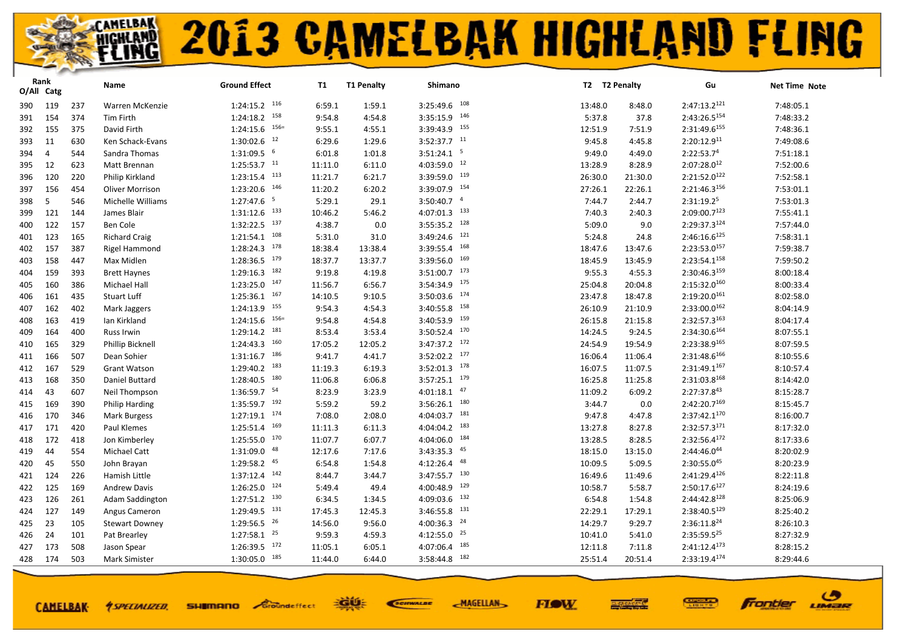|     | Rank<br>O/All Catg |     | Name                   | <b>Ground Effect</b>       | <b>T1</b> | <b>T1 Penalty</b> | Shimano                   |         | T2 T2 Penalty | Gu                       | Net Time Note |
|-----|--------------------|-----|------------------------|----------------------------|-----------|-------------------|---------------------------|---------|---------------|--------------------------|---------------|
| 390 | 119                | 237 | Warren McKenzie        | $1:24:15.2$ 116            | 6:59.1    | 1:59.1            | $3:25:49.6$ 108           | 13:48.0 | 8:48.0        | $2:47:13.2^{121}$        | 7:48:05.1     |
| 391 | 154                | 374 | <b>Tim Firth</b>       | 158<br>1:24:18.2           | 9:54.8    | 4:54.8            | 146<br>3:35:15.9          | 5:37.8  | 37.8          | $2:43:26.5^{154}$        | 7:48:33.2     |
| 392 | 155                | 375 | David Firth            | $1:24:15.6$ $156=$         | 9:55.1    | 4:55.1            | $3:39:43.9$ 155           | 12:51.9 | 7:51.9        | 2:31:49.6155             | 7:48:36.1     |
| 393 | 11                 | 630 | Ken Schack-Evans       | $1:30:02.6$ <sup>12</sup>  | 6:29.6    | 1:29.6            | $3:52:37.7$ <sup>11</sup> | 9:45.8  | 4:45.8        | 2:20:12.9 <sup>11</sup>  | 7:49:08.6     |
| 394 | $\overline{4}$     | 544 | Sandra Thomas          | $1:31:09.5$ 6              | 6:01.8    | 1:01.8            | $3:51:24.1$ <sup>5</sup>  | 9:49.0  | 4:49.0        | 2:22:53.74               | 7:51:18.1     |
| 395 | 12                 | 623 | Matt Brennan           | $1:25:53.7$ <sup>11</sup>  | 11:11.0   | 6:11.0            | $4:03:59.0$ $12$          | 13:28.9 | 8:28.9        | $2:07:28.0^{12}$         | 7:52:00.6     |
| 396 | 120                | 220 | Philip Kirkland        | $1:23:15.4$ $113$          | 11:21.7   | 6:21.7            | 119<br>3:39:59.0          | 26:30.0 | 21:30.0       | 2:21:52.0122             | 7:52:58.1     |
| 397 | 156                | 454 | <b>Oliver Morrison</b> | $1:23:20.6$ $146$          | 11:20.2   | 6:20.2            | 154<br>3:39:07.9          | 27:26.1 | 22:26.1       | 2:21:46.3156             | 7:53:01.1     |
| 398 | 5                  | 546 | Michelle Williams      | $1:27:47.6$ <sup>5</sup>   | 5:29.1    | 29.1              | $3:50:40.7$ $4$           | 7:44.7  | 2:44.7        | 2:31:19.25               | 7:53:01.3     |
| 399 | 121                | 144 | James Blair            | 133<br>1:31:12.6           | 10:46.2   | 5:46.2            | 133<br>4:07:01.3          | 7:40.3  | 2:40.3        | $2:09:00.7^{123}$        | 7:55:41.1     |
| 400 | 122                | 157 | Ben Cole               | $1:32:22.5$ $137$          | 4:38.7    | 0.0               | 128<br>3:55:35.2          | 5:09.0  | 9.0           | 2:29:37.3124             | 7:57:44.0     |
| 401 | 123                | 165 | <b>Richard Craig</b>   | $1:21:54.1$ $108$          | 5:31.0    | 31.0              | 121<br>3:49:24.6          | 5:24.8  | 24.8          | $2:46:16.6^{125}$        | 7:58:31.1     |
| 402 | 157                | 387 | Rigel Hammond          | 178<br>1:28:24.3           | 18:38.4   | 13:38.4           | 168<br>3:39:55.4          | 18:47.6 | 13:47.6       | $2:23:53.0^{157}$        | 7:59:38.7     |
| 403 | 158                | 447 | Max Midlen             | $1:28:36.5$ $179$          | 18:37.7   | 13:37.7           | 169<br>3:39:56.0          | 18:45.9 | 13:45.9       | 2:23:54.1158             | 7:59:50.2     |
| 404 | 159                | 393 | <b>Brett Haynes</b>    | 182<br>1:29:16.3           | 9:19.8    | 4:19.8            | $3:51:00.7$ 173           | 9:55.3  | 4:55.3        | 2:30:46.3159             | 8:00:18.4     |
| 405 | 160                | 386 | Michael Hall           | $1:23:25.0$ 147            | 11:56.7   | 6:56.7            | 175<br>3:54:34.9          | 25:04.8 | 20:04.8       | 2:15:32.0160             | 8:00:33.4     |
| 406 | 161                | 435 | <b>Stuart Luff</b>     | $1:25:36.1$ 167            | 14:10.5   | 9:10.5            | 174<br>3:50:03.6          | 23:47.8 | 18:47.8       | $2:19:20.0^{161}$        | 8:02:58.0     |
| 407 | 162                | 402 | Mark Jaggers           | 155<br>1:24:13.9           | 9:54.3    | 4:54.3            | 158<br>3:40:55.8          | 26:10.9 | 21:10.9       | $2:33:00.0^{162}$        | 8:04:14.9     |
| 408 | 163                | 419 | Ian Kirkland           | $156=$<br>1:24:15.6        | 9:54.8    | 4:54.8            | 159<br>3:40:53.9          | 26:15.8 | 21:15.8       | 2:32:57.3163             | 8:04:17.4     |
| 409 | 164                | 400 | <b>Russ Irwin</b>      | $1:29:14.2$ 181            | 8:53.4    | 3:53.4            | 170<br>3:50:52.4          | 14:24.5 | 9:24.5        | 2:34:30.6164             | 8:07:55.1     |
| 410 | 165                | 329 | Phillip Bicknell       | 160<br>1:24:43.3           | 17:05.2   | 12:05.2           | $3:47:37.2$ $172$         | 24:54.9 | 19:54.9       | 2:23:38.9165             | 8:07:59.5     |
| 411 | 166                | 507 | Dean Sohier            | $1:31:16.7$ 186            | 9:41.7    | 4:41.7            | $3:52:02.2$ 177           | 16:06.4 | 11:06.4       | 2:31:48.6166             | 8:10:55.6     |
| 412 | 167                | 529 | <b>Grant Watson</b>    | 183<br>1:29:40.2           | 11:19.3   | 6:19.3            | 178<br>3:52:01.3          | 16:07.5 | 11:07.5       | $2:31:49.1^{167}$        | 8:10:57.4     |
| 413 | 168                | 350 | Daniel Buttard         | $1:28:40.5$ 180            | 11:06.8   | 6:06.8            | $3:57:25.1$ 179           | 16:25.8 | 11:25.8       | 2:31:03.8 <sup>168</sup> | 8:14:42.0     |
| 414 | 43                 | 607 | Neil Thompson          | $1:36:59.7$ <sup>54</sup>  | 8:23.9    | 3:23.9            | 47<br>4:01:18.1           | 11:09.2 | 6:09.2        | 2:27:37.843              | 8:15:28.7     |
| 415 | 169                | 390 | Philip Harding         | $1:35:59.7$ 192            | 5:59.2    | 59.2              | 180<br>3:56:26.1          | 3:44.7  | 0.0           | 2:42:20.7169             | 8:15:45.7     |
| 416 | 170                | 346 | Mark Burgess           | $1:27:19.1$ $174$          | 7:08.0    | 2:08.0            | 181<br>4:04:03.7          | 9:47.8  | 4:47.8        | $2:37:42.1^{170}$        | 8:16:00.7     |
| 417 | 171                | 420 | Paul Klemes            | 169<br>1:25:51.4           | 11:11.3   | 6:11.3            | 183<br>4:04:04.2          | 13:27.8 | 8:27.8        | 2:32:57.3171             | 8:17:32.0     |
| 418 | 172                | 418 | Jon Kimberley          | $1:25:55.0$ $170$          | 11:07.7   | 6:07.7            | 184<br>4:04:06.0          | 13:28.5 | 8:28.5        | 2:32:56.4172             | 8:17:33.6     |
| 419 | 44                 | 554 | Michael Catt           | $1:31:09.0$ $48$           | 12:17.6   | 7:17.6            | $3:43:35.3$ $45$          | 18:15.0 | 13:15.0       | 2:44:46.044              | 8:20:02.9     |
| 420 | 45                 | 550 | John Brayan            | $1:29:58.2$ $45$           | 6:54.8    | 1:54.8            | 48<br>4:12:26.4           | 10:09.5 | 5:09.5        | $2:30:55.0^{45}$         | 8:20:23.9     |
| 421 | 124                | 226 | Hamish Little          | 142<br>1:37:12.4           | 8:44.7    | 3:44.7            | $3:47:55.7$ $130$         | 16:49.6 | 11:49.6       | 2:41:29.4126             | 8:22:11.8     |
| 422 | 125                | 169 | <b>Andrew Davis</b>    | $1:26:25.0$ $124$          | 5:49.4    | 49.4              | 129<br>4:00:48.9          | 10:58.7 | 5:58.7        | 2:50:17.6127             | 8:24:19.6     |
| 423 | 126                | 261 | Adam Saddington        | $1:27:51.2$ $130$          | 6:34.5    | 1:34.5            | 132<br>4:09:03.6          | 6:54.8  | 1:54.8        | 2:44:42.8 <sup>128</sup> | 8:25:06.9     |
| 424 | 127                | 149 | Angus Cameron          | $1:29:49.5$ <sup>131</sup> | 17:45.3   | 12:45.3           | $3:46:55.8$ $131$         | 22:29.1 | 17:29.1       | 2:38:40.5129             | 8:25:40.2     |
| 425 | 23                 | 105 | <b>Stewart Downey</b>  | $1:29:56.5$ <sup>26</sup>  | 14:56.0   | 9:56.0            | $4:00:36.3$ <sup>24</sup> | 14:29.7 | 9:29.7        | $2:36:11.8^{24}$         | 8:26:10.3     |
| 426 | 24                 | 101 | Pat Brearley           | $1:27:58.1$ $25$           | 9:59.3    | 4:59.3            | $4:12:55.0$ $25$          | 10:41.0 | 5:41.0        | 2:35:59.525              | 8:27:32.9     |
| 427 | 173                | 508 | Jason Spear            | $1:26:39.5$ $172$          | 11:05.1   | 6:05.1            | 185<br>4:07:06.4          | 12:11.8 | 7:11.8        | $2:41:12.4^{173}$        | 8:28:15.2     |
| 428 | 174                | 503 | <b>Mark Simister</b>   | $1:30:05.0$ 185            | 11:44.0   | 6:44.0            | 182<br>3:58:44.8          | 25:51.4 | 20:51.4       | 2:33:19.4174             | 8:29:44.6     |
|     |                    |     |                        |                            |           |                   |                           |         |               |                          |               |

**CAMELBAK-**

**SHIMANO** Groundeffect *<u>ASPECIALIZED.</u>* 

EGUE SCIENALDE

**FIOW MAGELLAN** 



ဖ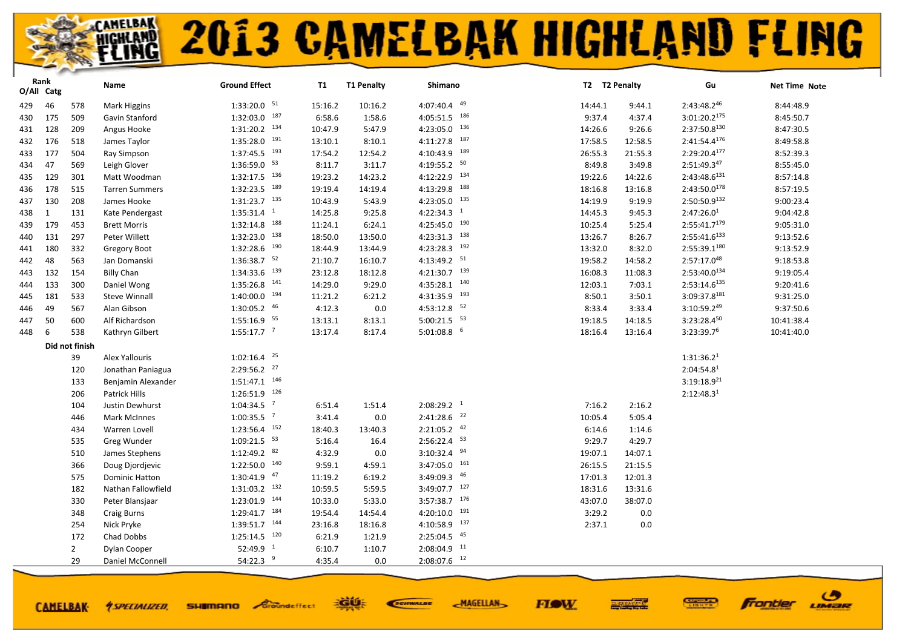| $1:33:20.0$ <sup>51</sup><br>4:07:40.4 49<br>2:43:48.246<br>429<br>46<br>578<br>Mark Higgins<br>15:16.2<br>10:16.2<br>14:44.1<br>9:44.1<br>$1:32:03.0$ 187<br>$4:05:51.5$ $186$<br>$3:01:20.2^{175}$<br>509<br>6:58.6<br>430<br>175<br>1:58.6<br>9:37.4<br>4:37.4<br>Gavin Stanford<br>4:23:05.0 136<br>$1:31:20.2$ $134$<br>2:37:50.8130<br>128<br>209<br>10:47.9<br>5:47.9<br>14:26.6<br>9:26.6<br>431<br>Angus Hooke<br>$4:11:27.8$ $187$<br>$1:35:28.0$ $191$<br>$2:41:54.4^{176}$<br>176<br>518<br>13:10.1<br>8:10.1<br>17:58.5<br>12:58.5<br>432<br>James Taylor<br>4:10:43.9 189<br>$1:37:45.5$ <sup>193</sup><br>2:29:20.4177<br>177<br>504<br>17:54.2<br>12:54.2<br>26:55.3<br>21:55.3<br>433<br>Ray Simpson | 8:44:48.9<br>8:45:50.7<br>8:47:30.5<br>8:49:58.8<br>8:52:39.3<br>8:55:45.0<br>8:57:14.8<br>8:57:19.5 |
|-----------------------------------------------------------------------------------------------------------------------------------------------------------------------------------------------------------------------------------------------------------------------------------------------------------------------------------------------------------------------------------------------------------------------------------------------------------------------------------------------------------------------------------------------------------------------------------------------------------------------------------------------------------------------------------------------------------------------|------------------------------------------------------------------------------------------------------|
|                                                                                                                                                                                                                                                                                                                                                                                                                                                                                                                                                                                                                                                                                                                       |                                                                                                      |
|                                                                                                                                                                                                                                                                                                                                                                                                                                                                                                                                                                                                                                                                                                                       |                                                                                                      |
|                                                                                                                                                                                                                                                                                                                                                                                                                                                                                                                                                                                                                                                                                                                       |                                                                                                      |
|                                                                                                                                                                                                                                                                                                                                                                                                                                                                                                                                                                                                                                                                                                                       |                                                                                                      |
|                                                                                                                                                                                                                                                                                                                                                                                                                                                                                                                                                                                                                                                                                                                       |                                                                                                      |
| $4:19:55.2$ 50<br>1:36:59.0 53<br>$2:51:49.3^{47}$<br>47<br>8:11.7<br>3:11.7<br>8:49.8<br>3:49.8<br>569<br>Leigh Glover<br>434                                                                                                                                                                                                                                                                                                                                                                                                                                                                                                                                                                                        |                                                                                                      |
| 4:12:22.9 134<br>1:32:17.5 136<br>129<br>301<br>19:23.2<br>14:23.2<br>14:22.6<br>2:43:48.6131<br>19:22.6<br>435<br>Matt Woodman                                                                                                                                                                                                                                                                                                                                                                                                                                                                                                                                                                                       |                                                                                                      |
| 1:32:23.5 189<br>188<br>$2:43:50.0^{178}$<br>178<br>19:19.4<br>14:19.4<br>4:13:29.8<br>515<br>18:16.8<br>13:16.8<br>436<br><b>Tarren Summers</b>                                                                                                                                                                                                                                                                                                                                                                                                                                                                                                                                                                      |                                                                                                      |
| 4:23:05.0 135<br>$1:31:23.7$ $135$<br>2:50:50.9132<br>130<br>208<br>10:43.9<br>5:43.9<br>9:19.9<br>437<br>James Hooke<br>14:19.9                                                                                                                                                                                                                                                                                                                                                                                                                                                                                                                                                                                      | 9:00:23.4                                                                                            |
| $1:35:31.4$ <sup>1</sup><br>$4:22:34.3$ <sup>1</sup><br>9:25.8<br>2:47:26.0 <sup>1</sup><br>438<br>$\mathbf{1}$<br>131<br>14:25.8<br>14:45.3<br>9:45.3<br>Kate Pendergast                                                                                                                                                                                                                                                                                                                                                                                                                                                                                                                                             | 9:04:42.8                                                                                            |
| $1:32:14.8$ <sup>188</sup><br>$4:25:45.0$ $190$<br>$2:55:41.7^{179}$<br>179<br>453<br>11:24.1<br>6:24.1<br>10:25.4<br>5:25.4<br>439<br><b>Brett Morris</b>                                                                                                                                                                                                                                                                                                                                                                                                                                                                                                                                                            | 9:05:31.0                                                                                            |
| $1:32:23.0$ $138$<br>$4:23:31.3$ $138$<br>$2:55:41.6^{133}$<br>131<br>297<br>Peter Willett<br>18:50.0<br>13:50.0<br>13:26.7<br>8:26.7<br>440                                                                                                                                                                                                                                                                                                                                                                                                                                                                                                                                                                          | 9:13:52.6                                                                                            |
| $1:32:28.6$ $190$<br>$4:23:28.3$ $192$<br>2:55:39.1180<br>180<br>332<br>18:44.9<br>13:44.9<br>13:32.0<br>8:32.0<br>441<br>Gregory Boot                                                                                                                                                                                                                                                                                                                                                                                                                                                                                                                                                                                | 9:13:52.9                                                                                            |
| $1:36:38.7$ <sup>52</sup><br>4:13:49.2 51<br>48<br>563<br>2:57:17.048<br>21:10.7<br>16:10.7<br>19:58.2<br>14:58.2<br>442<br>Jan Domanski                                                                                                                                                                                                                                                                                                                                                                                                                                                                                                                                                                              | 9:18:53.8                                                                                            |
| $4:21:30.7$ 139<br>$1:34:33.6$ <sup>139</sup><br>$2:53:40.0^{134}$<br>132<br>154<br><b>Billy Chan</b><br>23:12.8<br>18:12.8<br>16:08.3<br>11:08.3<br>443                                                                                                                                                                                                                                                                                                                                                                                                                                                                                                                                                              | 9:19:05.4                                                                                            |
| $4:35:28.1$ $140$<br>1:35:26.8 141<br>133<br>14:29.0<br>9:29.0<br>2:53:14.6135<br>300<br>Daniel Wong<br>12:03.1<br>7:03.1<br>444                                                                                                                                                                                                                                                                                                                                                                                                                                                                                                                                                                                      | 9:20:41.6                                                                                            |
| $1:40:00.0$ <sup>194</sup><br>$4:31:35.9$ $193$<br>3:09:37.8181<br>181<br>533<br>11:21.2<br>3:50.1<br><b>Steve Winnall</b><br>6:21.2<br>8:50.1<br>445                                                                                                                                                                                                                                                                                                                                                                                                                                                                                                                                                                 | 9:31:25.0                                                                                            |
| $4:53:12.8$ 52<br>1:30:05.2 46<br>4:12.3<br>0.0<br>3:10:59.249<br>49<br>567<br>Alan Gibson<br>8:33.4<br>3:33.4<br>446                                                                                                                                                                                                                                                                                                                                                                                                                                                                                                                                                                                                 | 9:37:50.6                                                                                            |
| $1:55:16.9$ <sup>55</sup><br>$5:00:21.5$ <sup>53</sup><br>3:23:28.450<br>600<br>13:13.1<br>8:13.1<br>19:18.5<br>14:18.5<br>50<br>Alf Richardson<br>447                                                                                                                                                                                                                                                                                                                                                                                                                                                                                                                                                                | 10:41:38.4                                                                                           |
| $1:55:17.7$ <sup>7</sup><br>$5:01:08.8$ 6<br>3:23:39.76<br>6<br>538<br>13:17.4<br>8:17.4<br>18:16.4<br>13:16.4<br>448<br>Kathryn Gilbert                                                                                                                                                                                                                                                                                                                                                                                                                                                                                                                                                                              | 10:41:40.0                                                                                           |
| Did not finish                                                                                                                                                                                                                                                                                                                                                                                                                                                                                                                                                                                                                                                                                                        |                                                                                                      |
| $1:02:16.4$ <sup>25</sup><br>39<br>Alex Yallouris<br>1:31:36.2 <sup>1</sup>                                                                                                                                                                                                                                                                                                                                                                                                                                                                                                                                                                                                                                           |                                                                                                      |
| $2:29:56.2$ $27$<br>2:04:54.8 <sup>1</sup><br>120<br>Jonathan Paniagua                                                                                                                                                                                                                                                                                                                                                                                                                                                                                                                                                                                                                                                |                                                                                                      |
| $1:51:47.1$ $146$<br>$3:19:18.9^{21}$<br>133<br>Benjamin Alexander                                                                                                                                                                                                                                                                                                                                                                                                                                                                                                                                                                                                                                                    |                                                                                                      |
| $1:26:51.9$ <sup>126</sup><br>2:12:48.3 <sup>1</sup><br>206<br>Patrick Hills                                                                                                                                                                                                                                                                                                                                                                                                                                                                                                                                                                                                                                          |                                                                                                      |
| $1:04:34.5$ <sup>7</sup><br>$2:08:29.2$ <sup>1</sup><br>104<br>Justin Dewhurst<br>6:51.4<br>1:51.4<br>7:16.2<br>2:16.2                                                                                                                                                                                                                                                                                                                                                                                                                                                                                                                                                                                                |                                                                                                      |
| $1:00:35.5$ <sup>7</sup><br>$2:41:28.6$ <sup>22</sup><br>3:41.4<br>0.0<br>446<br><b>Mark McInnes</b><br>10:05.4<br>5:05.4                                                                                                                                                                                                                                                                                                                                                                                                                                                                                                                                                                                             |                                                                                                      |
| $1:23:56.4$ $152$<br>$2:21:05.2$ $42$<br>18:40.3<br>434<br>13:40.3<br>6:14.6<br>1:14.6<br>Warren Lovell                                                                                                                                                                                                                                                                                                                                                                                                                                                                                                                                                                                                               |                                                                                                      |
| $1:09:21.5$ <sup>53</sup><br>2:56:22.4 53<br>5:16.4<br>16.4<br>9:29.7<br>4:29.7<br>535<br>Greg Wunder                                                                                                                                                                                                                                                                                                                                                                                                                                                                                                                                                                                                                 |                                                                                                      |
| $1:12:49.2$ 82<br>$3:10:32.4$ <sup>94</sup><br>4:32.9<br>510<br>0.0<br>19:07.1<br>14:07.1<br>James Stephens                                                                                                                                                                                                                                                                                                                                                                                                                                                                                                                                                                                                           |                                                                                                      |
| $1:22:50.0$ $140$<br>$3:47:05.0$ 161<br>366<br>9:59.1<br>4:59.1<br>26:15.5<br>21:15.5<br>Doug Djordjevic                                                                                                                                                                                                                                                                                                                                                                                                                                                                                                                                                                                                              |                                                                                                      |
| $3:49:09.3$ $46$<br>$1:30:41.9$ $47$<br>575<br>11:19.2<br>6:19.2<br>17:01.3<br>12:01.3<br><b>Dominic Hatton</b>                                                                                                                                                                                                                                                                                                                                                                                                                                                                                                                                                                                                       |                                                                                                      |
| $3:49:07.7$ 127<br>$1:31:03.2$ $132$<br>182<br>10:59.5<br>5:59.5<br>18:31.6<br>13:31.6<br>Nathan Fallowfield                                                                                                                                                                                                                                                                                                                                                                                                                                                                                                                                                                                                          |                                                                                                      |
| $1:23:01.9$ 144<br>$3:57:38.7$ 176<br>10:33.0<br>5:33.0<br>43:07.0<br>38:07.0<br>330<br>Peter Blansjaar                                                                                                                                                                                                                                                                                                                                                                                                                                                                                                                                                                                                               |                                                                                                      |
| 1:29:41.7 184<br>$4:20:10.0$ 191<br>348<br>19:54.4<br>14:54.4<br>3:29.2<br>0.0<br><b>Craig Burns</b>                                                                                                                                                                                                                                                                                                                                                                                                                                                                                                                                                                                                                  |                                                                                                      |
| 137<br>$1:39:51.7$ 144<br>23:16.8<br>18:16.8<br>4:10:58.9<br>2:37.1<br>$0.0\,$<br>254<br>Nick Pryke                                                                                                                                                                                                                                                                                                                                                                                                                                                                                                                                                                                                                   |                                                                                                      |
| $2:25:04.5$ $45$<br>$1:25:14.5$ 120<br>6:21.9<br>172<br>Chad Dobbs<br>1:21.9                                                                                                                                                                                                                                                                                                                                                                                                                                                                                                                                                                                                                                          |                                                                                                      |
| $2:08:04.9$ <sup>11</sup><br>$52:49.9$ <sup>1</sup><br>6:10.7<br>$\overline{2}$<br>1:10.7<br>Dylan Cooper                                                                                                                                                                                                                                                                                                                                                                                                                                                                                                                                                                                                             |                                                                                                      |
| 54:22.3 $9$<br>$2:08:07.6$ 12<br>29<br>4:35.4<br>0.0<br>Daniel McConnell                                                                                                                                                                                                                                                                                                                                                                                                                                                                                                                                                                                                                                              |                                                                                                      |

**FIOW** 

EGUE

**SHIMANO** Groundeffect

**CAMELBAK-**

*<u>ASPECIALIZED.</u>* 

SCIENALDE

**MAGELLAN** 

ு

LIMER

**Frontier**